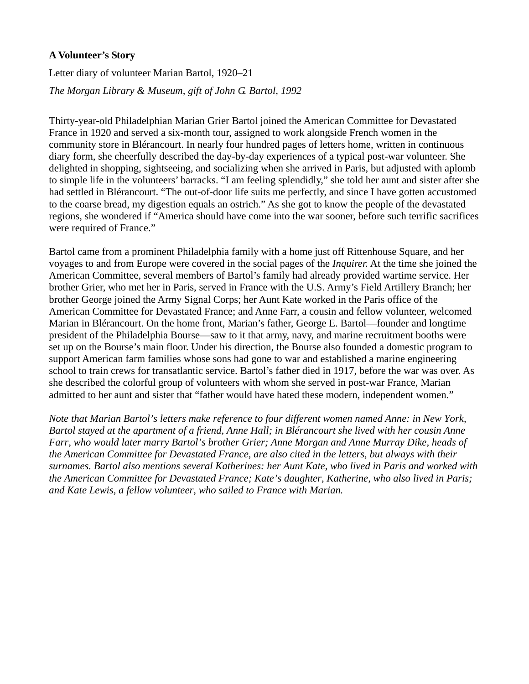# **A Volunteer's Story**

Letter diary of volunteer Marian Bartol, 1920–21

*The Morgan Library & Museum, gift of John G. Bartol, 1992* 

Thirty-year-old Philadelphian Marian Grier Bartol joined the American Committee for Devastated France in 1920 and served a six-month tour, assigned to work alongside French women in the community store in Blérancourt. In nearly four hundred pages of letters home, written in continuous diary form, she cheerfully described the day-by-day experiences of a typical post-war volunteer. She delighted in shopping, sightseeing, and socializing when she arrived in Paris, but adjusted with aplomb to simple life in the volunteers' barracks. "I am feeling splendidly," she told her aunt and sister after she had settled in Blérancourt. "The out-of-door life suits me perfectly, and since I have gotten accustomed to the coarse bread, my digestion equals an ostrich." As she got to know the people of the devastated regions, she wondered if "America should have come into the war sooner, before such terrific sacrifices were required of France."

Bartol came from a prominent Philadelphia family with a home just off Rittenhouse Square, and her voyages to and from Europe were covered in the social pages of the *Inquirer.* At the time she joined the American Committee, several members of Bartol's family had already provided wartime service. Her brother Grier, who met her in Paris, served in France with the U.S. Army's Field Artillery Branch; her brother George joined the Army Signal Corps; her Aunt Kate worked in the Paris office of the American Committee for Devastated France; and Anne Farr, a cousin and fellow volunteer, welcomed Marian in Blérancourt. On the home front, Marian's father, George E. Bartol—founder and longtime president of the Philadelphia Bourse—saw to it that army, navy, and marine recruitment booths were set up on the Bourse's main floor. Under his direction, the Bourse also founded a domestic program to support American farm families whose sons had gone to war and established a marine engineering school to train crews for transatlantic service. Bartol's father died in 1917, before the war was over. As she described the colorful group of volunteers with whom she served in post-war France, Marian admitted to her aunt and sister that "father would have hated these modern, independent women."

*Note that Marian Bartol's letters make reference to four different women named Anne: in New York, Bartol stayed at the apartment of a friend, Anne Hall; in Blérancourt she lived with her cousin Anne Farr, who would later marry Bartol's brother Grier; Anne Morgan and Anne Murray Dike, heads of the American Committee for Devastated France, are also cited in the letters, but always with their surnames. Bartol also mentions several Katherines: her Aunt Kate, who lived in Paris and worked with the American Committee for Devastated France; Kate's daughter, Katherine, who also lived in Paris; and Kate Lewis, a fellow volunteer, who sailed to France with Marian.*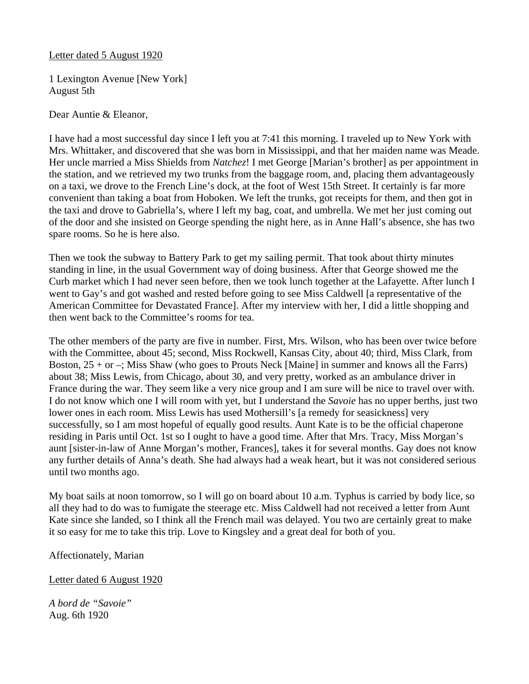### Letter dated 5 August 1920

1 Lexington Avenue [New York] August 5th

Dear Auntie & Eleanor,

I have had a most successful day since I left you at 7:41 this morning. I traveled up to New York with Mrs. Whittaker, and discovered that she was born in Mississippi, and that her maiden name was Meade. Her uncle married a Miss Shields from *Natchez*! I met George [Marian's brother] as per appointment in the station, and we retrieved my two trunks from the baggage room, and, placing them advantageously on a taxi, we drove to the French Line's dock, at the foot of West 15th Street. It certainly is far more convenient than taking a boat from Hoboken. We left the trunks, got receipts for them, and then got in the taxi and drove to Gabriella's, where I left my bag, coat, and umbrella. We met her just coming out of the door and she insisted on George spending the night here, as in Anne Hall's absence, she has two spare rooms. So he is here also.

Then we took the subway to Battery Park to get my sailing permit. That took about thirty minutes standing in line, in the usual Government way of doing business. After that George showed me the Curb market which I had never seen before, then we took lunch together at the Lafayette. After lunch I went to Gay's and got washed and rested before going to see Miss Caldwell [a representative of the American Committee for Devastated France]. After my interview with her, I did a little shopping and then went back to the Committee's rooms for tea.

The other members of the party are five in number. First, Mrs. Wilson, who has been over twice before with the Committee, about 45; second, Miss Rockwell, Kansas City, about 40; third, Miss Clark, from Boston,  $25 + or -$ ; Miss Shaw (who goes to Prouts Neck [Maine] in summer and knows all the Farrs) about 38; Miss Lewis, from Chicago, about 30, and very pretty, worked as an ambulance driver in France during the war. They seem like a very nice group and I am sure will be nice to travel over with. I do not know which one I will room with yet, but I understand the *Savoie* has no upper berths, just two lower ones in each room. Miss Lewis has used Mothersill's [a remedy for seasickness] very successfully, so I am most hopeful of equally good results. Aunt Kate is to be the official chaperone residing in Paris until Oct. 1st so I ought to have a good time. After that Mrs. Tracy, Miss Morgan's aunt [sister-in-law of Anne Morgan's mother, Frances], takes it for several months. Gay does not know any further details of Anna's death. She had always had a weak heart, but it was not considered serious until two months ago.

My boat sails at noon tomorrow, so I will go on board about 10 a.m. Typhus is carried by body lice, so all they had to do was to fumigate the steerage etc. Miss Caldwell had not received a letter from Aunt Kate since she landed, so I think all the French mail was delayed. You two are certainly great to make it so easy for me to take this trip. Love to Kingsley and a great deal for both of you.

### Affectionately, Marian

Letter dated 6 August 1920

*A bord de "Savoie"*  Aug. 6th 1920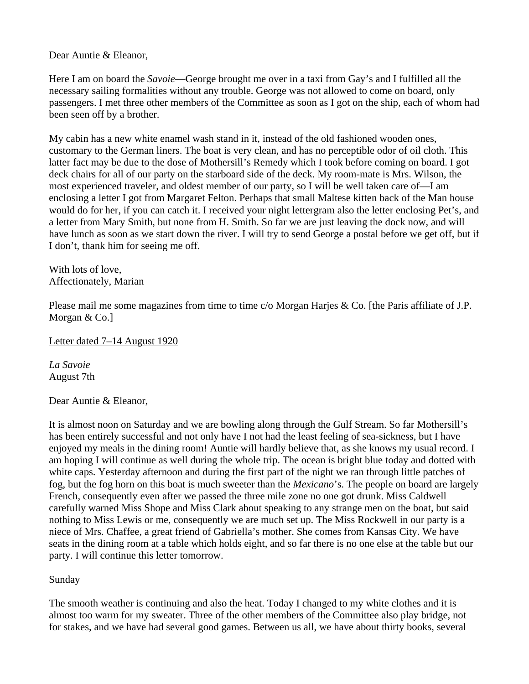Dear Auntie & Eleanor,

Here I am on board the *Savoie*—George brought me over in a taxi from Gay's and I fulfilled all the necessary sailing formalities without any trouble. George was not allowed to come on board, only passengers. I met three other members of the Committee as soon as I got on the ship, each of whom had been seen off by a brother.

My cabin has a new white enamel wash stand in it, instead of the old fashioned wooden ones, customary to the German liners. The boat is very clean, and has no perceptible odor of oil cloth. This latter fact may be due to the dose of Mothersill's Remedy which I took before coming on board. I got deck chairs for all of our party on the starboard side of the deck. My room-mate is Mrs. Wilson, the most experienced traveler, and oldest member of our party, so I will be well taken care of—I am enclosing a letter I got from Margaret Felton. Perhaps that small Maltese kitten back of the Man house would do for her, if you can catch it. I received your night lettergram also the letter enclosing Pet's, and a letter from Mary Smith, but none from H. Smith. So far we are just leaving the dock now, and will have lunch as soon as we start down the river. I will try to send George a postal before we get off, but if I don't, thank him for seeing me off.

With lots of love, Affectionately, Marian

Please mail me some magazines from time to time c/o Morgan Harjes & Co. [the Paris affiliate of J.P. Morgan & Co.]

Letter dated 7–14 August 1920

*La Savoie*  August 7th

Dear Auntie & Eleanor,

It is almost noon on Saturday and we are bowling along through the Gulf Stream. So far Mothersill's has been entirely successful and not only have I not had the least feeling of sea-sickness, but I have enjoyed my meals in the dining room! Auntie will hardly believe that, as she knows my usual record. I am hoping I will continue as well during the whole trip. The ocean is bright blue today and dotted with white caps. Yesterday afternoon and during the first part of the night we ran through little patches of fog, but the fog horn on this boat is much sweeter than the *Mexicano*'s. The people on board are largely French, consequently even after we passed the three mile zone no one got drunk. Miss Caldwell carefully warned Miss Shope and Miss Clark about speaking to any strange men on the boat, but said nothing to Miss Lewis or me, consequently we are much set up. The Miss Rockwell in our party is a niece of Mrs. Chaffee, a great friend of Gabriella's mother. She comes from Kansas City. We have seats in the dining room at a table which holds eight, and so far there is no one else at the table but our party. I will continue this letter tomorrow.

# Sunday

The smooth weather is continuing and also the heat. Today I changed to my white clothes and it is almost too warm for my sweater. Three of the other members of the Committee also play bridge, not for stakes, and we have had several good games. Between us all, we have about thirty books, several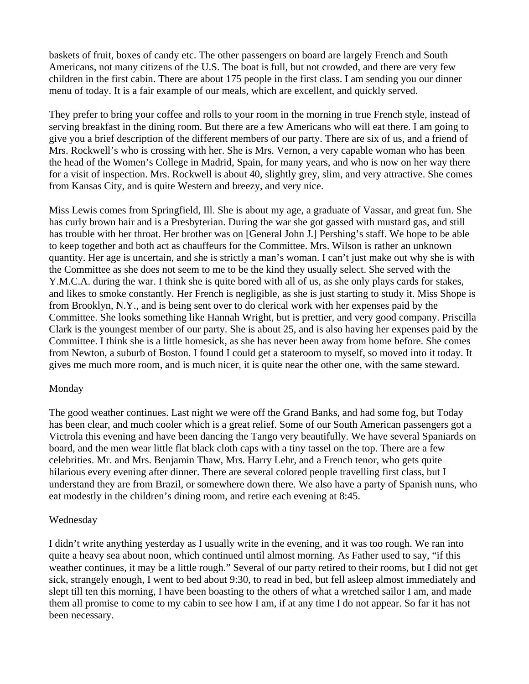baskets of fruit, boxes of candy etc. The other passengers on board are largely French and South Americans, not many citizens of the U.S. The boat is full, but not crowded, and there are very few children in the first cabin. There are about 175 people in the first class. I am sending you our dinner menu of today. It is a fair example of our meals, which are excellent, and quickly served.

They prefer to bring your coffee and rolls to your room in the morning in true French style, instead of serving breakfast in the dining room. But there are a few Americans who will eat there. I am going to give you a brief description of the different members of our party. There are six of us, and a friend of Mrs. Rockwell's who is crossing with her. She is Mrs. Vernon, a very capable woman who has been the head of the Women's College in Madrid, Spain, for many years, and who is now on her way there for a visit of inspection. Mrs. Rockwell is about 40, slightly grey, slim, and very attractive. She comes from Kansas City, and is quite Western and breezy, and very nice.

Miss Lewis comes from Springfield, Ill. She is about my age, a graduate of Vassar, and great fun. She has curly brown hair and is a Presbyterian. During the war she got gassed with mustard gas, and still has trouble with her throat. Her brother was on [General John J.] Pershing's staff. We hope to be able to keep together and both act as chauffeurs for the Committee. Mrs. Wilson is rather an unknown quantity. Her age is uncertain, and she is strictly a man's woman. I can't just make out why she is with the Committee as she does not seem to me to be the kind they usually select. She served with the Y.M.C.A. during the war. I think she is quite bored with all of us, as she only plays cards for stakes, and likes to smoke constantly. Her French is negligible, as she is just starting to study it. Miss Shope is from Brooklyn, N.Y., and is being sent over to do clerical work with her expenses paid by the Committee. She looks something like Hannah Wright, but is prettier, and very good company. Priscilla Clark is the youngest member of our party. She is about 25, and is also having her expenses paid by the Committee. I think she is a little homesick, as she has never been away from home before. She comes from Newton, a suburb of Boston. I found I could get a stateroom to myself, so moved into it today. It gives me much more room, and is much nicer, it is quite near the other one, with the same steward.

#### Monday

The good weather continues. Last night we were off the Grand Banks, and had some fog, but Today has been clear, and much cooler which is a great relief. Some of our South American passengers got a Victrola this evening and have been dancing the Tango very beautifully. We have several Spaniards on board, and the men wear little flat black cloth caps with a tiny tassel on the top. There are a few celebrities. Mr. and Mrs. Benjamin Thaw, Mrs. Harry Lehr, and a French tenor, who gets quite hilarious every evening after dinner. There are several colored people travelling first class, but I understand they are from Brazil, or somewhere down there. We also have a party of Spanish nuns, who eat modestly in the children's dining room, and retire each evening at 8:45.

### Wednesday

I didn't write anything yesterday as I usually write in the evening, and it was too rough. We ran into quite a heavy sea about noon, which continued until almost morning. As Father used to say, "if this weather continues, it may be a little rough." Several of our party retired to their rooms, but I did not get sick, strangely enough, I went to bed about 9:30, to read in bed, but fell asleep almost immediately and slept till ten this morning, I have been boasting to the others of what a wretched sailor I am, and made them all promise to come to my cabin to see how I am, if at any time I do not appear. So far it has not been necessary.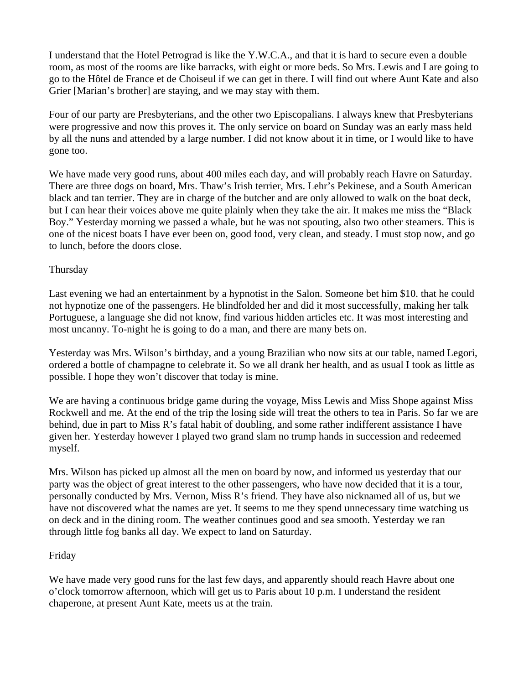I understand that the Hotel Petrograd is like the Y.W.C.A., and that it is hard to secure even a double room, as most of the rooms are like barracks, with eight or more beds. So Mrs. Lewis and I are going to go to the Hôtel de France et de Choiseul if we can get in there. I will find out where Aunt Kate and also Grier [Marian's brother] are staying, and we may stay with them.

Four of our party are Presbyterians, and the other two Episcopalians. I always knew that Presbyterians were progressive and now this proves it. The only service on board on Sunday was an early mass held by all the nuns and attended by a large number. I did not know about it in time, or I would like to have gone too.

We have made very good runs, about 400 miles each day, and will probably reach Havre on Saturday. There are three dogs on board, Mrs. Thaw's Irish terrier, Mrs. Lehr's Pekinese, and a South American black and tan terrier. They are in charge of the butcher and are only allowed to walk on the boat deck, but I can hear their voices above me quite plainly when they take the air. It makes me miss the "Black Boy." Yesterday morning we passed a whale, but he was not spouting, also two other steamers. This is one of the nicest boats I have ever been on, good food, very clean, and steady. I must stop now, and go to lunch, before the doors close.

# Thursday

Last evening we had an entertainment by a hypnotist in the Salon. Someone bet him \$10. that he could not hypnotize one of the passengers. He blindfolded her and did it most successfully, making her talk Portuguese, a language she did not know, find various hidden articles etc. It was most interesting and most uncanny. To-night he is going to do a man, and there are many bets on.

Yesterday was Mrs. Wilson's birthday, and a young Brazilian who now sits at our table, named Legori, ordered a bottle of champagne to celebrate it. So we all drank her health, and as usual I took as little as possible. I hope they won't discover that today is mine.

We are having a continuous bridge game during the voyage, Miss Lewis and Miss Shope against Miss Rockwell and me. At the end of the trip the losing side will treat the others to tea in Paris. So far we are behind, due in part to Miss R's fatal habit of doubling, and some rather indifferent assistance I have given her. Yesterday however I played two grand slam no trump hands in succession and redeemed myself.

Mrs. Wilson has picked up almost all the men on board by now, and informed us yesterday that our party was the object of great interest to the other passengers, who have now decided that it is a tour, personally conducted by Mrs. Vernon, Miss R's friend. They have also nicknamed all of us, but we have not discovered what the names are yet. It seems to me they spend unnecessary time watching us on deck and in the dining room. The weather continues good and sea smooth. Yesterday we ran through little fog banks all day. We expect to land on Saturday.

# Friday

We have made very good runs for the last few days, and apparently should reach Havre about one o'clock tomorrow afternoon, which will get us to Paris about 10 p.m. I understand the resident chaperone, at present Aunt Kate, meets us at the train.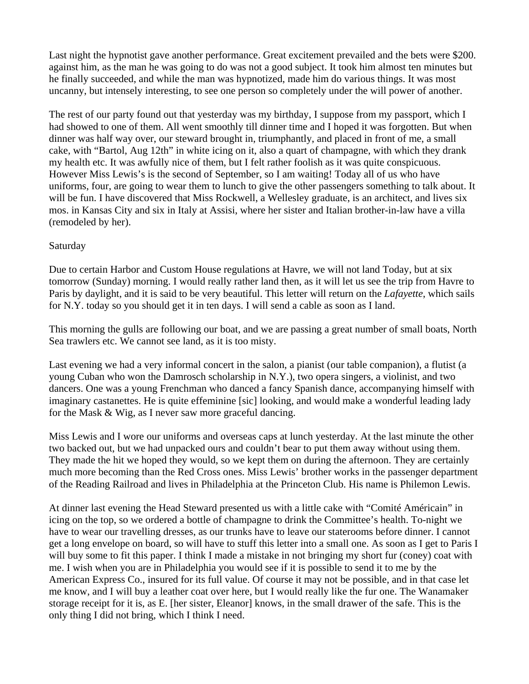Last night the hypnotist gave another performance. Great excitement prevailed and the bets were \$200. against him, as the man he was going to do was not a good subject. It took him almost ten minutes but he finally succeeded, and while the man was hypnotized, made him do various things. It was most uncanny, but intensely interesting, to see one person so completely under the will power of another.

The rest of our party found out that yesterday was my birthday, I suppose from my passport, which I had showed to one of them. All went smoothly till dinner time and I hoped it was forgotten. But when dinner was half way over, our steward brought in, triumphantly, and placed in front of me, a small cake, with "Bartol, Aug 12th" in white icing on it, also a quart of champagne, with which they drank my health etc. It was awfully nice of them, but I felt rather foolish as it was quite conspicuous. However Miss Lewis's is the second of September, so I am waiting! Today all of us who have uniforms, four, are going to wear them to lunch to give the other passengers something to talk about. It will be fun. I have discovered that Miss Rockwell, a Wellesley graduate, is an architect, and lives six mos. in Kansas City and six in Italy at Assisi, where her sister and Italian brother-in-law have a villa (remodeled by her).

### Saturday

Due to certain Harbor and Custom House regulations at Havre, we will not land Today, but at six tomorrow (Sunday) morning. I would really rather land then, as it will let us see the trip from Havre to Paris by daylight, and it is said to be very beautiful. This letter will return on the *Lafayette*, which sails for N.Y. today so you should get it in ten days. I will send a cable as soon as I land.

This morning the gulls are following our boat, and we are passing a great number of small boats, North Sea trawlers etc. We cannot see land, as it is too misty.

Last evening we had a very informal concert in the salon, a pianist (our table companion), a flutist (a young Cuban who won the Damrosch scholarship in N.Y.), two opera singers, a violinist, and two dancers. One was a young Frenchman who danced a fancy Spanish dance, accompanying himself with imaginary castanettes. He is quite effeminine [sic] looking, and would make a wonderful leading lady for the Mask & Wig, as I never saw more graceful dancing.

Miss Lewis and I wore our uniforms and overseas caps at lunch yesterday. At the last minute the other two backed out, but we had unpacked ours and couldn't bear to put them away without using them. They made the hit we hoped they would, so we kept them on during the afternoon. They are certainly much more becoming than the Red Cross ones. Miss Lewis' brother works in the passenger department of the Reading Railroad and lives in Philadelphia at the Princeton Club. His name is Philemon Lewis.

At dinner last evening the Head Steward presented us with a little cake with "Comité Américain" in icing on the top, so we ordered a bottle of champagne to drink the Committee's health. To-night we have to wear our travelling dresses, as our trunks have to leave our staterooms before dinner. I cannot get a long envelope on board, so will have to stuff this letter into a small one. As soon as I get to Paris I will buy some to fit this paper. I think I made a mistake in not bringing my short fur (coney) coat with me. I wish when you are in Philadelphia you would see if it is possible to send it to me by the American Express Co., insured for its full value. Of course it may not be possible, and in that case let me know, and I will buy a leather coat over here, but I would really like the fur one. The Wanamaker storage receipt for it is, as E. [her sister, Eleanor] knows, in the small drawer of the safe. This is the only thing I did not bring, which I think I need.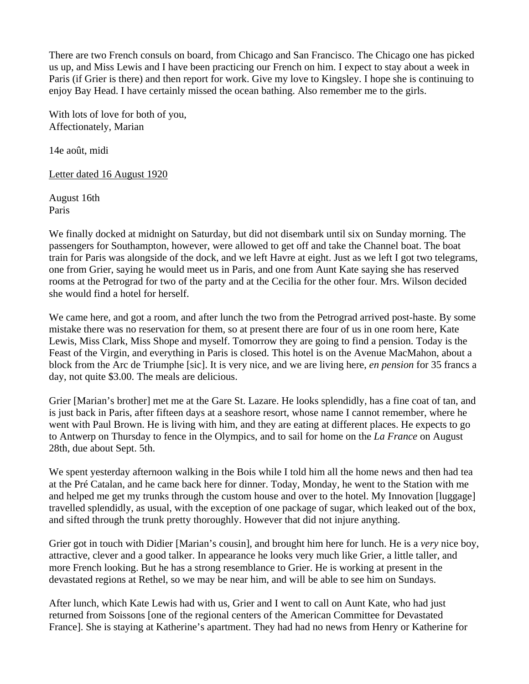There are two French consuls on board, from Chicago and San Francisco. The Chicago one has picked us up, and Miss Lewis and I have been practicing our French on him. I expect to stay about a week in Paris (if Grier is there) and then report for work. Give my love to Kingsley. I hope she is continuing to enjoy Bay Head. I have certainly missed the ocean bathing. Also remember me to the girls.

With lots of love for both of you, Affectionately, Marian

14e août, midi

Letter dated 16 August 1920

August 16th Paris

We finally docked at midnight on Saturday, but did not disembark until six on Sunday morning. The passengers for Southampton, however, were allowed to get off and take the Channel boat. The boat train for Paris was alongside of the dock, and we left Havre at eight. Just as we left I got two telegrams, one from Grier, saying he would meet us in Paris, and one from Aunt Kate saying she has reserved rooms at the Petrograd for two of the party and at the Cecilia for the other four. Mrs. Wilson decided she would find a hotel for herself.

We came here, and got a room, and after lunch the two from the Petrograd arrived post-haste. By some mistake there was no reservation for them, so at present there are four of us in one room here, Kate Lewis, Miss Clark, Miss Shope and myself. Tomorrow they are going to find a pension. Today is the Feast of the Virgin, and everything in Paris is closed. This hotel is on the Avenue MacMahon, about a block from the Arc de Triumphe [sic]. It is very nice, and we are living here, *en pension* for 35 francs a day, not quite \$3.00. The meals are delicious.

Grier [Marian's brother] met me at the Gare St. Lazare. He looks splendidly, has a fine coat of tan, and is just back in Paris, after fifteen days at a seashore resort, whose name I cannot remember, where he went with Paul Brown. He is living with him, and they are eating at different places. He expects to go to Antwerp on Thursday to fence in the Olympics, and to sail for home on the *La France* on August 28th, due about Sept. 5th.

We spent yesterday afternoon walking in the Bois while I told him all the home news and then had tea at the Pré Catalan, and he came back here for dinner. Today, Monday, he went to the Station with me and helped me get my trunks through the custom house and over to the hotel. My Innovation [luggage] travelled splendidly, as usual, with the exception of one package of sugar, which leaked out of the box, and sifted through the trunk pretty thoroughly. However that did not injure anything.

Grier got in touch with Didier [Marian's cousin], and brought him here for lunch. He is a *very* nice boy, attractive, clever and a good talker. In appearance he looks very much like Grier, a little taller, and more French looking. But he has a strong resemblance to Grier. He is working at present in the devastated regions at Rethel, so we may be near him, and will be able to see him on Sundays.

After lunch, which Kate Lewis had with us, Grier and I went to call on Aunt Kate, who had just returned from Soissons [one of the regional centers of the American Committee for Devastated France]. She is staying at Katherine's apartment. They had had no news from Henry or Katherine for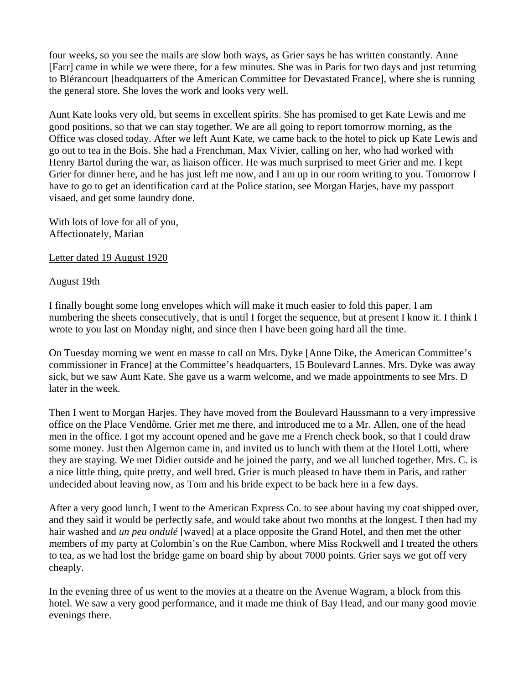four weeks, so you see the mails are slow both ways, as Grier says he has written constantly. Anne [Farr] came in while we were there, for a few minutes. She was in Paris for two days and just returning to Blérancourt [headquarters of the American Committee for Devastated France], where she is running the general store. She loves the work and looks very well.

Aunt Kate looks very old, but seems in excellent spirits. She has promised to get Kate Lewis and me good positions, so that we can stay together. We are all going to report tomorrow morning, as the Office was closed today. After we left Aunt Kate, we came back to the hotel to pick up Kate Lewis and go out to tea in the Bois. She had a Frenchman, Max Vivier, calling on her, who had worked with Henry Bartol during the war, as liaison officer. He was much surprised to meet Grier and me. I kept Grier for dinner here, and he has just left me now, and I am up in our room writing to you. Tomorrow I have to go to get an identification card at the Police station, see Morgan Harjes, have my passport visaed, and get some laundry done.

With lots of love for all of you, Affectionately, Marian

Letter dated 19 August 1920

August 19th

I finally bought some long envelopes which will make it much easier to fold this paper. I am numbering the sheets consecutively, that is until I forget the sequence, but at present I know it. I think I wrote to you last on Monday night, and since then I have been going hard all the time.

On Tuesday morning we went en masse to call on Mrs. Dyke [Anne Dike, the American Committee's commissioner in France] at the Committee's headquarters, 15 Boulevard Lannes. Mrs. Dyke was away sick, but we saw Aunt Kate. She gave us a warm welcome, and we made appointments to see Mrs. D later in the week.

Then I went to Morgan Harjes. They have moved from the Boulevard Haussmann to a very impressive office on the Place Vendôme. Grier met me there, and introduced me to a Mr. Allen, one of the head men in the office. I got my account opened and he gave me a French check book, so that I could draw some money. Just then Algernon came in, and invited us to lunch with them at the Hotel Lotti, where they are staying. We met Didier outside and he joined the party, and we all lunched together. Mrs. C. is a nice little thing, quite pretty, and well bred. Grier is much pleased to have them in Paris, and rather undecided about leaving now, as Tom and his bride expect to be back here in a few days.

After a very good lunch, I went to the American Express Co. to see about having my coat shipped over, and they said it would be perfectly safe, and would take about two months at the longest. I then had my hair washed and *un peu ondulé* [waved] at a place opposite the Grand Hotel, and then met the other members of my party at Colombin's on the Rue Cambon, where Miss Rockwell and I treated the others to tea, as we had lost the bridge game on board ship by about 7000 points. Grier says we got off very cheaply.

In the evening three of us went to the movies at a theatre on the Avenue Wagram, a block from this hotel. We saw a very good performance, and it made me think of Bay Head, and our many good movie evenings there.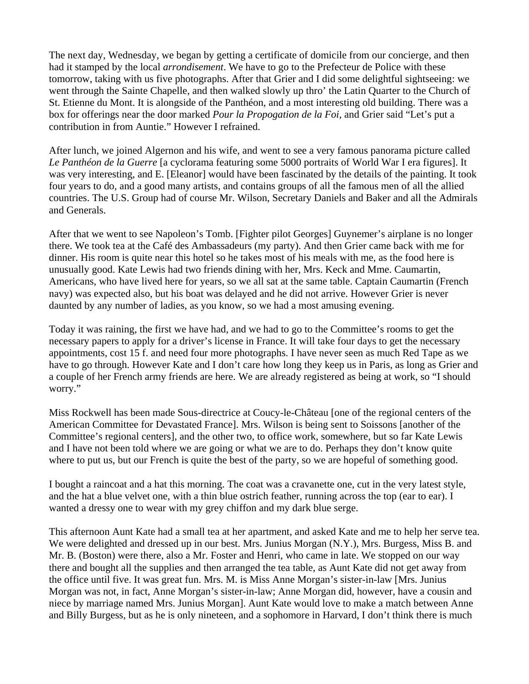The next day, Wednesday, we began by getting a certificate of domicile from our concierge, and then had it stamped by the local *arrondisement*. We have to go to the Prefecteur de Police with these tomorrow, taking with us five photographs. After that Grier and I did some delightful sightseeing: we went through the Sainte Chapelle, and then walked slowly up thro' the Latin Quarter to the Church of St. Etienne du Mont. It is alongside of the Panthéon, and a most interesting old building. There was a box for offerings near the door marked *Pour la Propogation de la Foi,* and Grier said "Let's put a contribution in from Auntie." However I refrained.

After lunch, we joined Algernon and his wife, and went to see a very famous panorama picture called *Le Panthéon de la Guerre* [a cyclorama featuring some 5000 portraits of World War I era figures]. It was very interesting, and E. [Eleanor] would have been fascinated by the details of the painting. It took four years to do, and a good many artists, and contains groups of all the famous men of all the allied countries. The U.S. Group had of course Mr. Wilson, Secretary Daniels and Baker and all the Admirals and Generals.

After that we went to see Napoleon's Tomb. [Fighter pilot Georges] Guynemer's airplane is no longer there. We took tea at the Café des Ambassadeurs (my party). And then Grier came back with me for dinner. His room is quite near this hotel so he takes most of his meals with me, as the food here is unusually good. Kate Lewis had two friends dining with her, Mrs. Keck and Mme. Caumartin, Americans, who have lived here for years, so we all sat at the same table. Captain Caumartin (French navy) was expected also, but his boat was delayed and he did not arrive. However Grier is never daunted by any number of ladies, as you know, so we had a most amusing evening.

Today it was raining, the first we have had, and we had to go to the Committee's rooms to get the necessary papers to apply for a driver's license in France. It will take four days to get the necessary appointments, cost 15 f. and need four more photographs. I have never seen as much Red Tape as we have to go through. However Kate and I don't care how long they keep us in Paris, as long as Grier and a couple of her French army friends are here. We are already registered as being at work, so "I should worry."

Miss Rockwell has been made Sous-directrice at Coucy-le-Château [one of the regional centers of the American Committee for Devastated France]. Mrs. Wilson is being sent to Soissons [another of the Committee's regional centers], and the other two, to office work, somewhere, but so far Kate Lewis and I have not been told where we are going or what we are to do. Perhaps they don't know quite where to put us, but our French is quite the best of the party, so we are hopeful of something good.

I bought a raincoat and a hat this morning. The coat was a cravanette one, cut in the very latest style, and the hat a blue velvet one, with a thin blue ostrich feather, running across the top (ear to ear). I wanted a dressy one to wear with my grey chiffon and my dark blue serge.

This afternoon Aunt Kate had a small tea at her apartment, and asked Kate and me to help her serve tea. We were delighted and dressed up in our best. Mrs. Junius Morgan (N.Y.), Mrs. Burgess, Miss B. and Mr. B. (Boston) were there, also a Mr. Foster and Henri, who came in late. We stopped on our way there and bought all the supplies and then arranged the tea table, as Aunt Kate did not get away from the office until five. It was great fun. Mrs. M. is Miss Anne Morgan's sister-in-law [Mrs. Junius Morgan was not, in fact, Anne Morgan's sister-in-law; Anne Morgan did, however, have a cousin and niece by marriage named Mrs. Junius Morgan]. Aunt Kate would love to make a match between Anne and Billy Burgess, but as he is only nineteen, and a sophomore in Harvard, I don't think there is much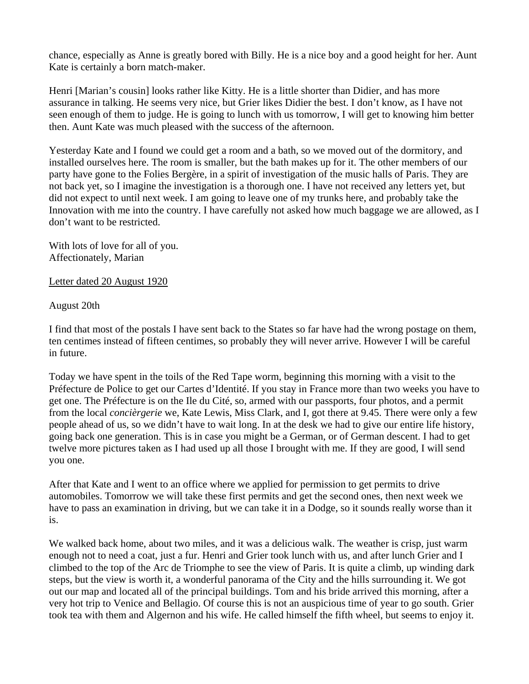chance, especially as Anne is greatly bored with Billy. He is a nice boy and a good height for her. Aunt Kate is certainly a born match-maker.

Henri [Marian's cousin] looks rather like Kitty. He is a little shorter than Didier, and has more assurance in talking. He seems very nice, but Grier likes Didier the best. I don't know, as I have not seen enough of them to judge. He is going to lunch with us tomorrow, I will get to knowing him better then. Aunt Kate was much pleased with the success of the afternoon.

Yesterday Kate and I found we could get a room and a bath, so we moved out of the dormitory, and installed ourselves here. The room is smaller, but the bath makes up for it. The other members of our party have gone to the Folies Bergère, in a spirit of investigation of the music halls of Paris. They are not back yet, so I imagine the investigation is a thorough one. I have not received any letters yet, but did not expect to until next week. I am going to leave one of my trunks here, and probably take the Innovation with me into the country. I have carefully not asked how much baggage we are allowed, as I don't want to be restricted.

With lots of love for all of you. Affectionately, Marian

Letter dated 20 August 1920

August 20th

I find that most of the postals I have sent back to the States so far have had the wrong postage on them, ten centimes instead of fifteen centimes, so probably they will never arrive. However I will be careful in future.

Today we have spent in the toils of the Red Tape worm, beginning this morning with a visit to the Préfecture de Police to get our Cartes d'Identité. If you stay in France more than two weeks you have to get one. The Préfecture is on the Ile du Cité, so, armed with our passports, four photos, and a permit from the local *concièrgerie* we, Kate Lewis, Miss Clark, and I, got there at 9.45. There were only a few people ahead of us, so we didn't have to wait long. In at the desk we had to give our entire life history, going back one generation. This is in case you might be a German, or of German descent. I had to get twelve more pictures taken as I had used up all those I brought with me. If they are good, I will send you one.

After that Kate and I went to an office where we applied for permission to get permits to drive automobiles. Tomorrow we will take these first permits and get the second ones, then next week we have to pass an examination in driving, but we can take it in a Dodge, so it sounds really worse than it is.

We walked back home, about two miles, and it was a delicious walk. The weather is crisp, just warm enough not to need a coat, just a fur. Henri and Grier took lunch with us, and after lunch Grier and I climbed to the top of the Arc de Triomphe to see the view of Paris. It is quite a climb, up winding dark steps, but the view is worth it, a wonderful panorama of the City and the hills surrounding it. We got out our map and located all of the principal buildings. Tom and his bride arrived this morning, after a very hot trip to Venice and Bellagio. Of course this is not an auspicious time of year to go south. Grier took tea with them and Algernon and his wife. He called himself the fifth wheel, but seems to enjoy it.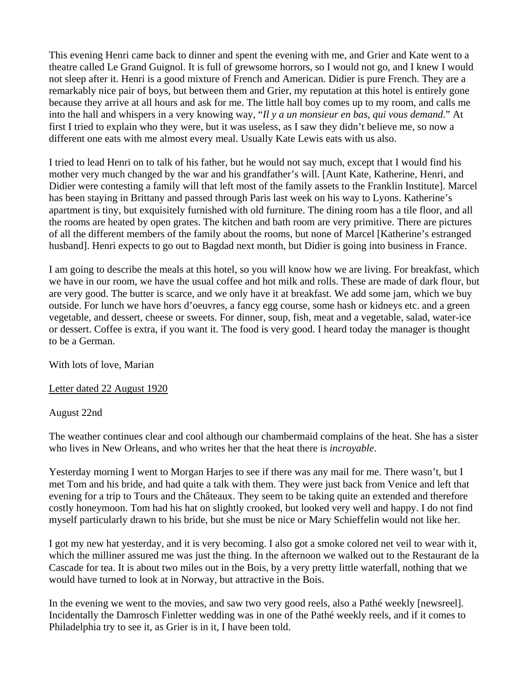This evening Henri came back to dinner and spent the evening with me, and Grier and Kate went to a theatre called Le Grand Guignol. It is full of grewsome horrors, so I would not go, and I knew I would not sleep after it. Henri is a good mixture of French and American. Didier is pure French. They are a remarkably nice pair of boys, but between them and Grier, my reputation at this hotel is entirely gone because they arrive at all hours and ask for me. The little hall boy comes up to my room, and calls me into the hall and whispers in a very knowing way, "*Il y a un monsieur en bas, qui vous demand*." At first I tried to explain who they were, but it was useless, as I saw they didn't believe me, so now a different one eats with me almost every meal. Usually Kate Lewis eats with us also.

I tried to lead Henri on to talk of his father, but he would not say much, except that I would find his mother very much changed by the war and his grandfather's will. [Aunt Kate, Katherine, Henri, and Didier were contesting a family will that left most of the family assets to the Franklin Institute]. Marcel has been staying in Brittany and passed through Paris last week on his way to Lyons. Katherine's apartment is tiny, but exquisitely furnished with old furniture. The dining room has a tile floor, and all the rooms are heated by open grates. The kitchen and bath room are very primitive. There are pictures of all the different members of the family about the rooms, but none of Marcel [Katherine's estranged husband]. Henri expects to go out to Bagdad next month, but Didier is going into business in France.

I am going to describe the meals at this hotel, so you will know how we are living. For breakfast, which we have in our room, we have the usual coffee and hot milk and rolls. These are made of dark flour, but are very good. The butter is scarce, and we only have it at breakfast. We add some jam, which we buy outside. For lunch we have hors d'oeuvres, a fancy egg course, some hash or kidneys etc. and a green vegetable, and dessert, cheese or sweets. For dinner, soup, fish, meat and a vegetable, salad, water-ice or dessert. Coffee is extra, if you want it. The food is very good. I heard today the manager is thought to be a German.

With lots of love, Marian

### Letter dated 22 August 1920

### August 22nd

The weather continues clear and cool although our chambermaid complains of the heat. She has a sister who lives in New Orleans, and who writes her that the heat there is *incroyable*.

Yesterday morning I went to Morgan Harjes to see if there was any mail for me. There wasn't, but I met Tom and his bride, and had quite a talk with them. They were just back from Venice and left that evening for a trip to Tours and the Châteaux. They seem to be taking quite an extended and therefore costly honeymoon. Tom had his hat on slightly crooked, but looked very well and happy. I do not find myself particularly drawn to his bride, but she must be nice or Mary Schieffelin would not like her.

I got my new hat yesterday, and it is very becoming. I also got a smoke colored net veil to wear with it, which the milliner assured me was just the thing. In the afternoon we walked out to the Restaurant de la Cascade for tea. It is about two miles out in the Bois, by a very pretty little waterfall, nothing that we would have turned to look at in Norway, but attractive in the Bois.

In the evening we went to the movies, and saw two very good reels, also a Pathé weekly [newsreel]. Incidentally the Damrosch Finletter wedding was in one of the Pathé weekly reels, and if it comes to Philadelphia try to see it, as Grier is in it, I have been told.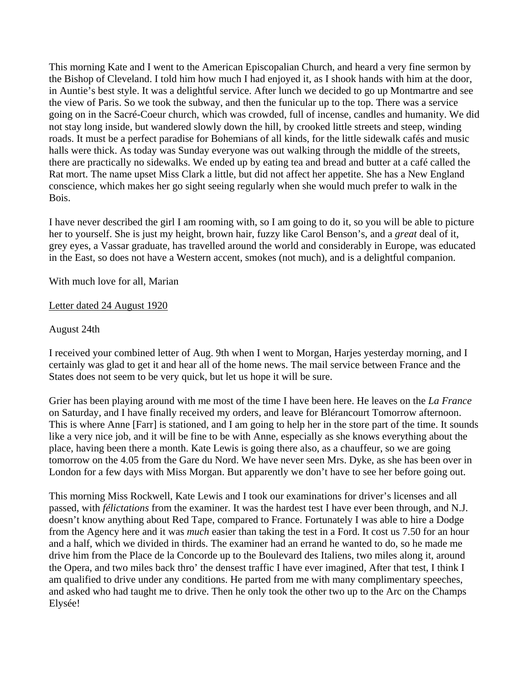This morning Kate and I went to the American Episcopalian Church, and heard a very fine sermon by the Bishop of Cleveland. I told him how much I had enjoyed it, as I shook hands with him at the door, in Auntie's best style. It was a delightful service. After lunch we decided to go up Montmartre and see the view of Paris. So we took the subway, and then the funicular up to the top. There was a service going on in the Sacré-Coeur church, which was crowded, full of incense, candles and humanity. We did not stay long inside, but wandered slowly down the hill, by crooked little streets and steep, winding roads. It must be a perfect paradise for Bohemians of all kinds, for the little sidewalk cafés and music halls were thick. As today was Sunday everyone was out walking through the middle of the streets, there are practically no sidewalks. We ended up by eating tea and bread and butter at a café called the Rat mort. The name upset Miss Clark a little, but did not affect her appetite. She has a New England conscience, which makes her go sight seeing regularly when she would much prefer to walk in the Bois.

I have never described the girl I am rooming with, so I am going to do it, so you will be able to picture her to yourself. She is just my height, brown hair, fuzzy like Carol Benson's, and a *great* deal of it, grey eyes, a Vassar graduate, has travelled around the world and considerably in Europe, was educated in the East, so does not have a Western accent, smokes (not much), and is a delightful companion.

With much love for all, Marian

### Letter dated 24 August 1920

August 24th

I received your combined letter of Aug. 9th when I went to Morgan, Harjes yesterday morning, and I certainly was glad to get it and hear all of the home news. The mail service between France and the States does not seem to be very quick, but let us hope it will be sure.

Grier has been playing around with me most of the time I have been here. He leaves on the *La France* on Saturday, and I have finally received my orders, and leave for Blérancourt Tomorrow afternoon. This is where Anne [Farr] is stationed, and I am going to help her in the store part of the time. It sounds like a very nice job, and it will be fine to be with Anne, especially as she knows everything about the place, having been there a month. Kate Lewis is going there also, as a chauffeur, so we are going tomorrow on the 4.05 from the Gare du Nord. We have never seen Mrs. Dyke, as she has been over in London for a few days with Miss Morgan. But apparently we don't have to see her before going out.

This morning Miss Rockwell, Kate Lewis and I took our examinations for driver's licenses and all passed, with *félictations* from the examiner. It was the hardest test I have ever been through, and N.J. doesn't know anything about Red Tape, compared to France. Fortunately I was able to hire a Dodge from the Agency here and it was *much* easier than taking the test in a Ford. It cost us 7.50 for an hour and a half, which we divided in thirds. The examiner had an errand he wanted to do, so he made me drive him from the Place de la Concorde up to the Boulevard des Italiens, two miles along it, around the Opera, and two miles back thro' the densest traffic I have ever imagined, After that test, I think I am qualified to drive under any conditions. He parted from me with many complimentary speeches, and asked who had taught me to drive. Then he only took the other two up to the Arc on the Champs Elysée!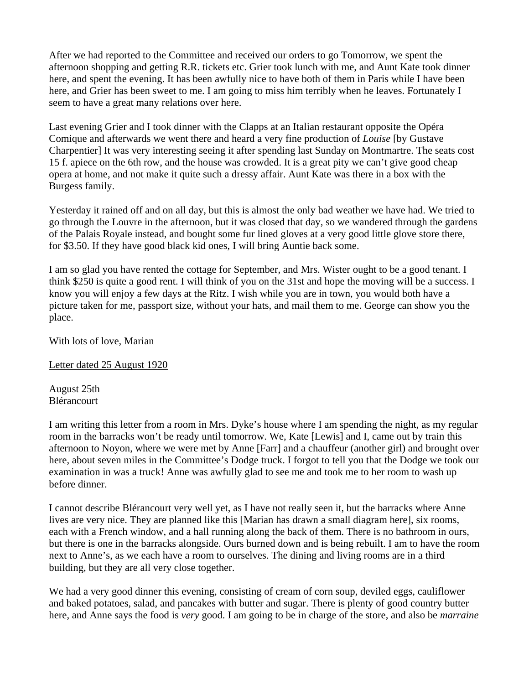After we had reported to the Committee and received our orders to go Tomorrow, we spent the afternoon shopping and getting R.R. tickets etc. Grier took lunch with me, and Aunt Kate took dinner here, and spent the evening. It has been awfully nice to have both of them in Paris while I have been here, and Grier has been sweet to me. I am going to miss him terribly when he leaves. Fortunately I seem to have a great many relations over here.

Last evening Grier and I took dinner with the Clapps at an Italian restaurant opposite the Opéra Comique and afterwards we went there and heard a very fine production of *Louise* [by Gustave Charpentier] It was very interesting seeing it after spending last Sunday on Montmartre. The seats cost 15 f. apiece on the 6th row, and the house was crowded. It is a great pity we can't give good cheap opera at home, and not make it quite such a dressy affair. Aunt Kate was there in a box with the Burgess family.

Yesterday it rained off and on all day, but this is almost the only bad weather we have had. We tried to go through the Louvre in the afternoon, but it was closed that day, so we wandered through the gardens of the Palais Royale instead, and bought some fur lined gloves at a very good little glove store there, for \$3.50. If they have good black kid ones, I will bring Auntie back some.

I am so glad you have rented the cottage for September, and Mrs. Wister ought to be a good tenant. I think \$250 is quite a good rent. I will think of you on the 31st and hope the moving will be a success. I know you will enjoy a few days at the Ritz. I wish while you are in town, you would both have a picture taken for me, passport size, without your hats, and mail them to me. George can show you the place.

With lots of love, Marian

Letter dated 25 August 1920

August 25th Blérancourt

I am writing this letter from a room in Mrs. Dyke's house where I am spending the night, as my regular room in the barracks won't be ready until tomorrow. We, Kate [Lewis] and I, came out by train this afternoon to Noyon, where we were met by Anne [Farr] and a chauffeur (another girl) and brought over here, about seven miles in the Committee's Dodge truck. I forgot to tell you that the Dodge we took our examination in was a truck! Anne was awfully glad to see me and took me to her room to wash up before dinner.

I cannot describe Blérancourt very well yet, as I have not really seen it, but the barracks where Anne lives are very nice. They are planned like this [Marian has drawn a small diagram here], six rooms, each with a French window, and a hall running along the back of them. There is no bathroom in ours, but there is one in the barracks alongside. Ours burned down and is being rebuilt. I am to have the room next to Anne's, as we each have a room to ourselves. The dining and living rooms are in a third building, but they are all very close together.

We had a very good dinner this evening, consisting of cream of corn soup, deviled eggs, cauliflower and baked potatoes, salad, and pancakes with butter and sugar. There is plenty of good country butter here, and Anne says the food is *very* good. I am going to be in charge of the store, and also be *marraine*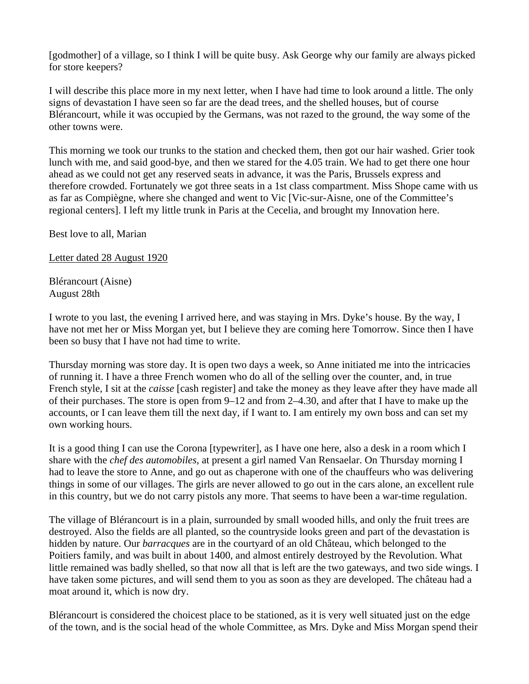[godmother] of a village, so I think I will be quite busy. Ask George why our family are always picked for store keepers?

I will describe this place more in my next letter, when I have had time to look around a little. The only signs of devastation I have seen so far are the dead trees, and the shelled houses, but of course Blérancourt, while it was occupied by the Germans, was not razed to the ground, the way some of the other towns were.

This morning we took our trunks to the station and checked them, then got our hair washed. Grier took lunch with me, and said good-bye, and then we stared for the 4.05 train. We had to get there one hour ahead as we could not get any reserved seats in advance, it was the Paris, Brussels express and therefore crowded. Fortunately we got three seats in a 1st class compartment. Miss Shope came with us as far as Compiègne, where she changed and went to Vic [Vic-sur-Aisne, one of the Committee's regional centers]. I left my little trunk in Paris at the Cecelia, and brought my Innovation here.

Best love to all, Marian

Letter dated 28 August 1920

Blérancourt (Aisne) August 28th

I wrote to you last, the evening I arrived here, and was staying in Mrs. Dyke's house. By the way, I have not met her or Miss Morgan yet, but I believe they are coming here Tomorrow. Since then I have been so busy that I have not had time to write.

Thursday morning was store day. It is open two days a week, so Anne initiated me into the intricacies of running it. I have a three French women who do all of the selling over the counter, and, in true French style, I sit at the *caisse* [cash register] and take the money as they leave after they have made all of their purchases. The store is open from 9–12 and from 2–4.30, and after that I have to make up the accounts, or I can leave them till the next day, if I want to. I am entirely my own boss and can set my own working hours.

It is a good thing I can use the Corona [typewriter], as I have one here, also a desk in a room which I share with the *chef des automobiles,* at present a girl named Van Rensaelar. On Thursday morning I had to leave the store to Anne, and go out as chaperone with one of the chauffeurs who was delivering things in some of our villages. The girls are never allowed to go out in the cars alone, an excellent rule in this country, but we do not carry pistols any more. That seems to have been a war-time regulation.

The village of Blérancourt is in a plain, surrounded by small wooded hills, and only the fruit trees are destroyed. Also the fields are all planted, so the countryside looks green and part of the devastation is hidden by nature. Our *barracques* are in the courtyard of an old Château, which belonged to the Poitiers family, and was built in about 1400, and almost entirely destroyed by the Revolution. What little remained was badly shelled, so that now all that is left are the two gateways, and two side wings. I have taken some pictures, and will send them to you as soon as they are developed. The château had a moat around it, which is now dry.

Blérancourt is considered the choicest place to be stationed, as it is very well situated just on the edge of the town, and is the social head of the whole Committee, as Mrs. Dyke and Miss Morgan spend their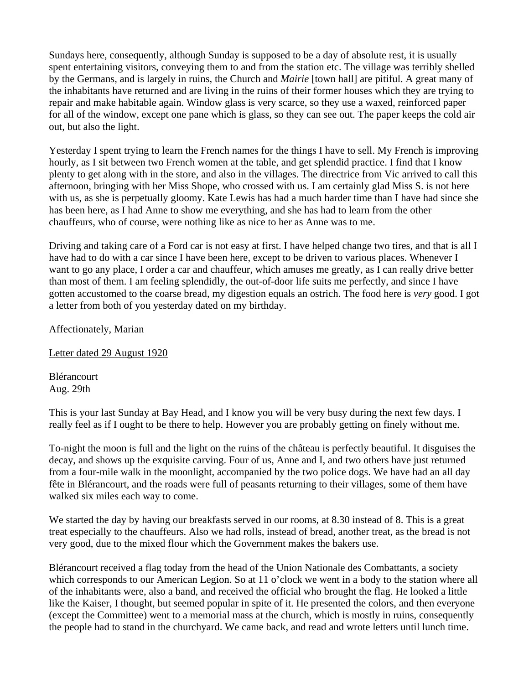Sundays here, consequently, although Sunday is supposed to be a day of absolute rest, it is usually spent entertaining visitors, conveying them to and from the station etc. The village was terribly shelled by the Germans, and is largely in ruins, the Church and *Mairie* [town hall] are pitiful. A great many of the inhabitants have returned and are living in the ruins of their former houses which they are trying to repair and make habitable again. Window glass is very scarce, so they use a waxed, reinforced paper for all of the window, except one pane which is glass, so they can see out. The paper keeps the cold air out, but also the light.

Yesterday I spent trying to learn the French names for the things I have to sell. My French is improving hourly, as I sit between two French women at the table, and get splendid practice. I find that I know plenty to get along with in the store, and also in the villages. The directrice from Vic arrived to call this afternoon, bringing with her Miss Shope, who crossed with us. I am certainly glad Miss S. is not here with us, as she is perpetually gloomy. Kate Lewis has had a much harder time than I have had since she has been here, as I had Anne to show me everything, and she has had to learn from the other chauffeurs, who of course, were nothing like as nice to her as Anne was to me.

Driving and taking care of a Ford car is not easy at first. I have helped change two tires, and that is all I have had to do with a car since I have been here, except to be driven to various places. Whenever I want to go any place, I order a car and chauffeur, which amuses me greatly, as I can really drive better than most of them. I am feeling splendidly, the out-of-door life suits me perfectly, and since I have gotten accustomed to the coarse bread, my digestion equals an ostrich. The food here is *very* good. I got a letter from both of you yesterday dated on my birthday.

Affectionately, Marian

Letter dated 29 August 1920

Blérancourt Aug. 29th

This is your last Sunday at Bay Head, and I know you will be very busy during the next few days. I really feel as if I ought to be there to help. However you are probably getting on finely without me.

To-night the moon is full and the light on the ruins of the château is perfectly beautiful. It disguises the decay, and shows up the exquisite carving. Four of us, Anne and I, and two others have just returned from a four-mile walk in the moonlight, accompanied by the two police dogs. We have had an all day fête in Blérancourt, and the roads were full of peasants returning to their villages, some of them have walked six miles each way to come.

We started the day by having our breakfasts served in our rooms, at 8.30 instead of 8. This is a great treat especially to the chauffeurs. Also we had rolls, instead of bread, another treat, as the bread is not very good, due to the mixed flour which the Government makes the bakers use.

Blérancourt received a flag today from the head of the Union Nationale des Combattants, a society which corresponds to our American Legion. So at 11 o'clock we went in a body to the station where all of the inhabitants were, also a band, and received the official who brought the flag. He looked a little like the Kaiser, I thought, but seemed popular in spite of it. He presented the colors, and then everyone (except the Committee) went to a memorial mass at the church, which is mostly in ruins, consequently the people had to stand in the churchyard. We came back, and read and wrote letters until lunch time.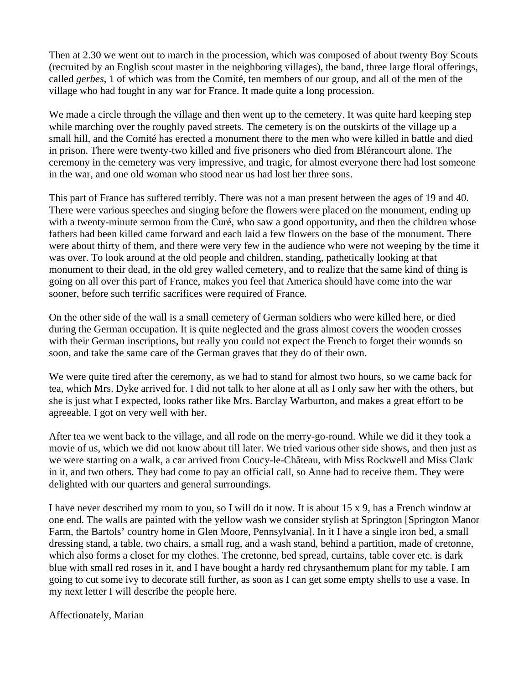Then at 2.30 we went out to march in the procession, which was composed of about twenty Boy Scouts (recruited by an English scout master in the neighboring villages), the band, three large floral offerings, called *gerbes*, 1 of which was from the Comité, ten members of our group, and all of the men of the village who had fought in any war for France. It made quite a long procession.

We made a circle through the village and then went up to the cemetery. It was quite hard keeping step while marching over the roughly paved streets. The cemetery is on the outskirts of the village up a small hill, and the Comité has erected a monument there to the men who were killed in battle and died in prison. There were twenty-two killed and five prisoners who died from Blérancourt alone. The ceremony in the cemetery was very impressive, and tragic, for almost everyone there had lost someone in the war, and one old woman who stood near us had lost her three sons.

This part of France has suffered terribly. There was not a man present between the ages of 19 and 40. There were various speeches and singing before the flowers were placed on the monument, ending up with a twenty-minute sermon from the Curé, who saw a good opportunity, and then the children whose fathers had been killed came forward and each laid a few flowers on the base of the monument. There were about thirty of them, and there were very few in the audience who were not weeping by the time it was over. To look around at the old people and children, standing, pathetically looking at that monument to their dead, in the old grey walled cemetery, and to realize that the same kind of thing is going on all over this part of France, makes you feel that America should have come into the war sooner, before such terrific sacrifices were required of France.

On the other side of the wall is a small cemetery of German soldiers who were killed here, or died during the German occupation. It is quite neglected and the grass almost covers the wooden crosses with their German inscriptions, but really you could not expect the French to forget their wounds so soon, and take the same care of the German graves that they do of their own.

We were quite tired after the ceremony, as we had to stand for almost two hours, so we came back for tea, which Mrs. Dyke arrived for. I did not talk to her alone at all as I only saw her with the others, but she is just what I expected, looks rather like Mrs. Barclay Warburton, and makes a great effort to be agreeable. I got on very well with her.

After tea we went back to the village, and all rode on the merry-go-round. While we did it they took a movie of us, which we did not know about till later. We tried various other side shows, and then just as we were starting on a walk, a car arrived from Coucy-le-Château, with Miss Rockwell and Miss Clark in it, and two others. They had come to pay an official call, so Anne had to receive them. They were delighted with our quarters and general surroundings.

I have never described my room to you, so I will do it now. It is about 15 x 9, has a French window at one end. The walls are painted with the yellow wash we consider stylish at Springton [Springton Manor Farm, the Bartols' country home in Glen Moore, Pennsylvania]. In it I have a single iron bed, a small dressing stand, a table, two chairs, a small rug, and a wash stand, behind a partition, made of cretonne, which also forms a closet for my clothes. The cretonne, bed spread, curtains, table cover etc. is dark blue with small red roses in it, and I have bought a hardy red chrysanthemum plant for my table. I am going to cut some ivy to decorate still further, as soon as I can get some empty shells to use a vase. In my next letter I will describe the people here.

Affectionately, Marian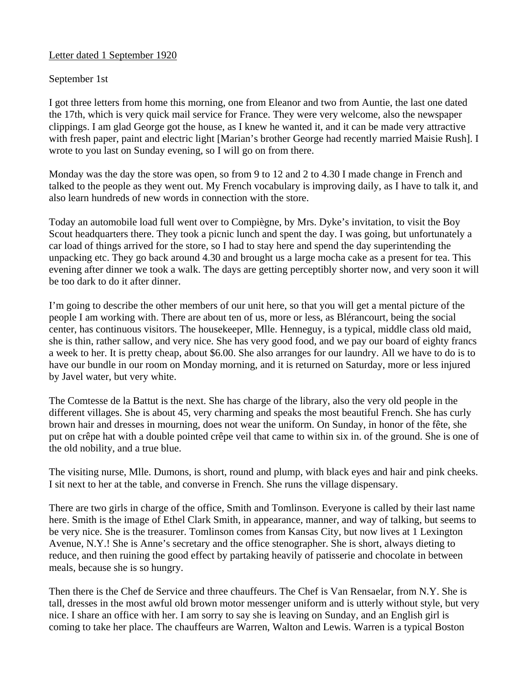# Letter dated 1 September 1920

## September 1st

I got three letters from home this morning, one from Eleanor and two from Auntie, the last one dated the 17th, which is very quick mail service for France. They were very welcome, also the newspaper clippings. I am glad George got the house, as I knew he wanted it, and it can be made very attractive with fresh paper, paint and electric light [Marian's brother George had recently married Maisie Rush]. I wrote to you last on Sunday evening, so I will go on from there.

Monday was the day the store was open, so from 9 to 12 and 2 to 4.30 I made change in French and talked to the people as they went out. My French vocabulary is improving daily, as I have to talk it, and also learn hundreds of new words in connection with the store.

Today an automobile load full went over to Compiègne, by Mrs. Dyke's invitation, to visit the Boy Scout headquarters there. They took a picnic lunch and spent the day. I was going, but unfortunately a car load of things arrived for the store, so I had to stay here and spend the day superintending the unpacking etc. They go back around 4.30 and brought us a large mocha cake as a present for tea. This evening after dinner we took a walk. The days are getting perceptibly shorter now, and very soon it will be too dark to do it after dinner.

I'm going to describe the other members of our unit here, so that you will get a mental picture of the people I am working with. There are about ten of us, more or less, as Blérancourt, being the social center, has continuous visitors. The housekeeper, Mlle. Henneguy, is a typical, middle class old maid, she is thin, rather sallow, and very nice. She has very good food, and we pay our board of eighty francs a week to her. It is pretty cheap, about \$6.00. She also arranges for our laundry. All we have to do is to have our bundle in our room on Monday morning, and it is returned on Saturday, more or less injured by Javel water, but very white.

The Comtesse de la Battut is the next. She has charge of the library, also the very old people in the different villages. She is about 45, very charming and speaks the most beautiful French. She has curly brown hair and dresses in mourning, does not wear the uniform. On Sunday, in honor of the fête, she put on crêpe hat with a double pointed crêpe veil that came to within six in. of the ground. She is one of the old nobility, and a true blue.

The visiting nurse, Mlle. Dumons, is short, round and plump, with black eyes and hair and pink cheeks. I sit next to her at the table, and converse in French. She runs the village dispensary.

There are two girls in charge of the office, Smith and Tomlinson. Everyone is called by their last name here. Smith is the image of Ethel Clark Smith, in appearance, manner, and way of talking, but seems to be very nice. She is the treasurer. Tomlinson comes from Kansas City, but now lives at 1 Lexington Avenue, N.Y.! She is Anne's secretary and the office stenographer. She is short, always dieting to reduce, and then ruining the good effect by partaking heavily of patisserie and chocolate in between meals, because she is so hungry.

Then there is the Chef de Service and three chauffeurs. The Chef is Van Rensaelar, from N.Y. She is tall, dresses in the most awful old brown motor messenger uniform and is utterly without style, but very nice. I share an office with her. I am sorry to say she is leaving on Sunday, and an English girl is coming to take her place. The chauffeurs are Warren, Walton and Lewis. Warren is a typical Boston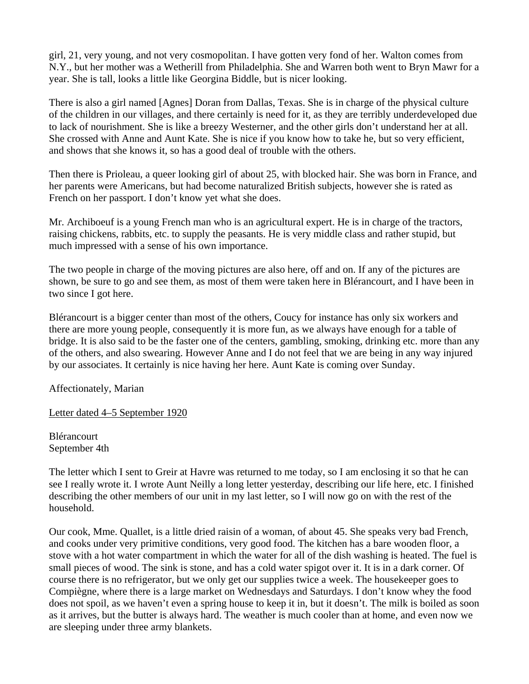girl, 21, very young, and not very cosmopolitan. I have gotten very fond of her. Walton comes from N.Y., but her mother was a Wetherill from Philadelphia. She and Warren both went to Bryn Mawr for a year. She is tall, looks a little like Georgina Biddle, but is nicer looking.

There is also a girl named [Agnes] Doran from Dallas, Texas. She is in charge of the physical culture of the children in our villages, and there certainly is need for it, as they are terribly underdeveloped due to lack of nourishment. She is like a breezy Westerner, and the other girls don't understand her at all. She crossed with Anne and Aunt Kate. She is nice if you know how to take he, but so very efficient, and shows that she knows it, so has a good deal of trouble with the others.

Then there is Prioleau, a queer looking girl of about 25, with blocked hair. She was born in France, and her parents were Americans, but had become naturalized British subjects, however she is rated as French on her passport. I don't know yet what she does.

Mr. Archiboeuf is a young French man who is an agricultural expert. He is in charge of the tractors, raising chickens, rabbits, etc. to supply the peasants. He is very middle class and rather stupid, but much impressed with a sense of his own importance.

The two people in charge of the moving pictures are also here, off and on. If any of the pictures are shown, be sure to go and see them, as most of them were taken here in Blérancourt, and I have been in two since I got here.

Blérancourt is a bigger center than most of the others, Coucy for instance has only six workers and there are more young people, consequently it is more fun, as we always have enough for a table of bridge. It is also said to be the faster one of the centers, gambling, smoking, drinking etc. more than any of the others, and also swearing. However Anne and I do not feel that we are being in any way injured by our associates. It certainly is nice having her here. Aunt Kate is coming over Sunday.

Affectionately, Marian

Letter dated 4–5 September 1920

Blérancourt September 4th

The letter which I sent to Greir at Havre was returned to me today, so I am enclosing it so that he can see I really wrote it. I wrote Aunt Neilly a long letter yesterday, describing our life here, etc. I finished describing the other members of our unit in my last letter, so I will now go on with the rest of the household.

Our cook, Mme. Quallet, is a little dried raisin of a woman, of about 45. She speaks very bad French, and cooks under very primitive conditions, very good food. The kitchen has a bare wooden floor, a stove with a hot water compartment in which the water for all of the dish washing is heated. The fuel is small pieces of wood. The sink is stone, and has a cold water spigot over it. It is in a dark corner. Of course there is no refrigerator, but we only get our supplies twice a week. The housekeeper goes to Compiègne, where there is a large market on Wednesdays and Saturdays. I don't know whey the food does not spoil, as we haven't even a spring house to keep it in, but it doesn't. The milk is boiled as soon as it arrives, but the butter is always hard. The weather is much cooler than at home, and even now we are sleeping under three army blankets.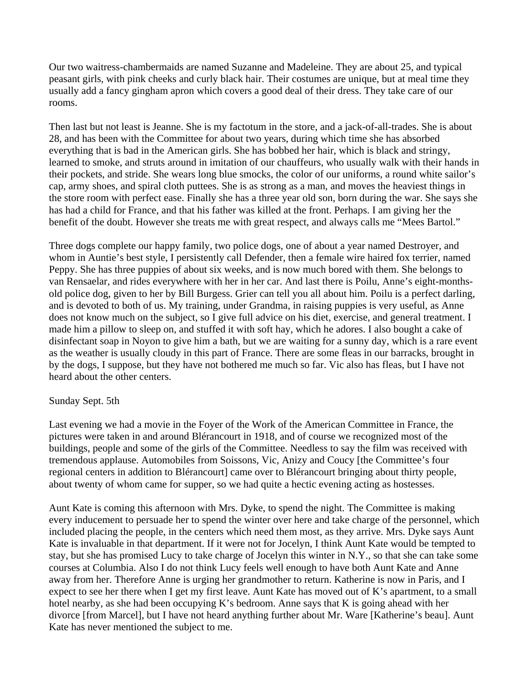Our two waitress-chambermaids are named Suzanne and Madeleine. They are about 25, and typical peasant girls, with pink cheeks and curly black hair. Their costumes are unique, but at meal time they usually add a fancy gingham apron which covers a good deal of their dress. They take care of our rooms.

Then last but not least is Jeanne. She is my factotum in the store, and a jack-of-all-trades. She is about 28, and has been with the Committee for about two years, during which time she has absorbed everything that is bad in the American girls. She has bobbed her hair, which is black and stringy, learned to smoke, and struts around in imitation of our chauffeurs, who usually walk with their hands in their pockets, and stride. She wears long blue smocks, the color of our uniforms, a round white sailor's cap, army shoes, and spiral cloth puttees. She is as strong as a man, and moves the heaviest things in the store room with perfect ease. Finally she has a three year old son, born during the war. She says she has had a child for France, and that his father was killed at the front. Perhaps. I am giving her the benefit of the doubt. However she treats me with great respect, and always calls me "Mees Bartol."

Three dogs complete our happy family, two police dogs, one of about a year named Destroyer, and whom in Auntie's best style, I persistently call Defender, then a female wire haired fox terrier, named Peppy. She has three puppies of about six weeks, and is now much bored with them. She belongs to van Rensaelar, and rides everywhere with her in her car. And last there is Poilu, Anne's eight-monthsold police dog, given to her by Bill Burgess. Grier can tell you all about him. Poilu is a perfect darling, and is devoted to both of us. My training, under Grandma, in raising puppies is very useful, as Anne does not know much on the subject, so I give full advice on his diet, exercise, and general treatment. I made him a pillow to sleep on, and stuffed it with soft hay, which he adores. I also bought a cake of disinfectant soap in Noyon to give him a bath, but we are waiting for a sunny day, which is a rare event as the weather is usually cloudy in this part of France. There are some fleas in our barracks, brought in by the dogs, I suppose, but they have not bothered me much so far. Vic also has fleas, but I have not heard about the other centers.

### Sunday Sept. 5th

Last evening we had a movie in the Foyer of the Work of the American Committee in France, the pictures were taken in and around Blérancourt in 1918, and of course we recognized most of the buildings, people and some of the girls of the Committee. Needless to say the film was received with tremendous applause. Automobiles from Soissons, Vic, Anizy and Coucy [the Committee's four regional centers in addition to Blérancourt] came over to Blérancourt bringing about thirty people, about twenty of whom came for supper, so we had quite a hectic evening acting as hostesses.

Aunt Kate is coming this afternoon with Mrs. Dyke, to spend the night. The Committee is making every inducement to persuade her to spend the winter over here and take charge of the personnel, which included placing the people, in the centers which need them most, as they arrive. Mrs. Dyke says Aunt Kate is invaluable in that department. If it were not for Jocelyn, I think Aunt Kate would be tempted to stay, but she has promised Lucy to take charge of Jocelyn this winter in N.Y., so that she can take some courses at Columbia. Also I do not think Lucy feels well enough to have both Aunt Kate and Anne away from her. Therefore Anne is urging her grandmother to return. Katherine is now in Paris, and I expect to see her there when I get my first leave. Aunt Kate has moved out of K's apartment, to a small hotel nearby, as she had been occupying K's bedroom. Anne says that K is going ahead with her divorce [from Marcel], but I have not heard anything further about Mr. Ware [Katherine's beau]. Aunt Kate has never mentioned the subject to me.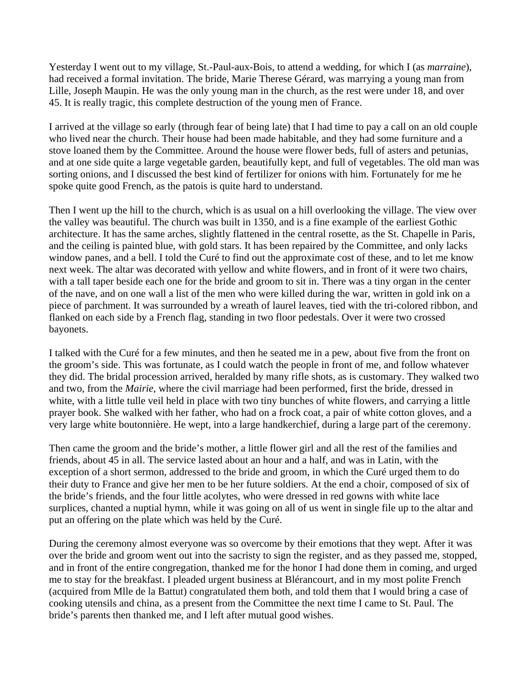Yesterday I went out to my village, St.-Paul-aux-Bois, to attend a wedding, for which I (as *marraine*), had received a formal invitation. The bride, Marie Therese Gérard, was marrying a young man from Lille, Joseph Maupin. He was the only young man in the church, as the rest were under 18, and over 45. It is really tragic, this complete destruction of the young men of France.

I arrived at the village so early (through fear of being late) that I had time to pay a call on an old couple who lived near the church. Their house had been made habitable, and they had some furniture and a stove loaned them by the Committee. Around the house were flower beds, full of asters and petunias, and at one side quite a large vegetable garden, beautifully kept, and full of vegetables. The old man was sorting onions, and I discussed the best kind of fertilizer for onions with him. Fortunately for me he spoke quite good French, as the patois is quite hard to understand.

Then I went up the hill to the church, which is as usual on a hill overlooking the village. The view over the valley was beautiful. The church was built in 1350, and is a fine example of the earliest Gothic architecture. It has the same arches, slightly flattened in the central rosette, as the St. Chapelle in Paris, and the ceiling is painted blue, with gold stars. It has been repaired by the Committee, and only lacks window panes, and a bell. I told the Curé to find out the approximate cost of these, and to let me know next week. The altar was decorated with yellow and white flowers, and in front of it were two chairs, with a tall taper beside each one for the bride and groom to sit in. There was a tiny organ in the center of the nave, and on one wall a list of the men who were killed during the war, written in gold ink on a piece of parchment. It was surrounded by a wreath of laurel leaves, tied with the tri-colored ribbon, and flanked on each side by a French flag, standing in two floor pedestals. Over it were two crossed bayonets.

I talked with the Curé for a few minutes, and then he seated me in a pew, about five from the front on the groom's side. This was fortunate, as I could watch the people in front of me, and follow whatever they did. The bridal procession arrived, heralded by many rifle shots, as is customary. They walked two and two, from the *Mairie*, where the civil marriage had been performed, first the bride, dressed in white, with a little tulle veil held in place with two tiny bunches of white flowers, and carrying a little prayer book. She walked with her father, who had on a frock coat, a pair of white cotton gloves, and a very large white boutonnière. He wept, into a large handkerchief, during a large part of the ceremony.

Then came the groom and the bride's mother, a little flower girl and all the rest of the families and friends, about 45 in all. The service lasted about an hour and a half, and was in Latin, with the exception of a short sermon, addressed to the bride and groom, in which the Curé urged them to do their duty to France and give her men to be her future soldiers. At the end a choir, composed of six of the bride's friends, and the four little acolytes, who were dressed in red gowns with white lace surplices, chanted a nuptial hymn, while it was going on all of us went in single file up to the altar and put an offering on the plate which was held by the Curé.

During the ceremony almost everyone was so overcome by their emotions that they wept. After it was over the bride and groom went out into the sacristy to sign the register, and as they passed me, stopped, and in front of the entire congregation, thanked me for the honor I had done them in coming, and urged me to stay for the breakfast. I pleaded urgent business at Blérancourt, and in my most polite French (acquired from Mlle de la Battut) congratulated them both, and told them that I would bring a case of cooking utensils and china, as a present from the Committee the next time I came to St. Paul. The bride's parents then thanked me, and I left after mutual good wishes.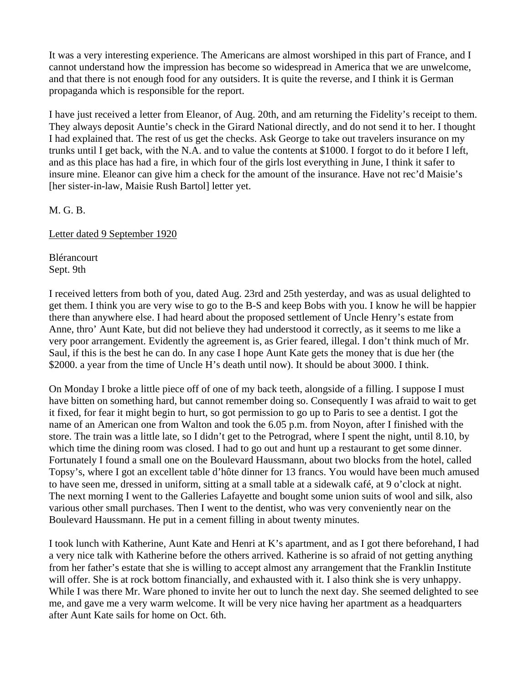It was a very interesting experience. The Americans are almost worshiped in this part of France, and I cannot understand how the impression has become so widespread in America that we are unwelcome, and that there is not enough food for any outsiders. It is quite the reverse, and I think it is German propaganda which is responsible for the report.

I have just received a letter from Eleanor, of Aug. 20th, and am returning the Fidelity's receipt to them. They always deposit Auntie's check in the Girard National directly, and do not send it to her. I thought I had explained that. The rest of us get the checks. Ask George to take out travelers insurance on my trunks until I get back, with the N.A. and to value the contents at \$1000. I forgot to do it before I left, and as this place has had a fire, in which four of the girls lost everything in June, I think it safer to insure mine. Eleanor can give him a check for the amount of the insurance. Have not rec'd Maisie's [her sister-in-law, Maisie Rush Bartol] letter yet.

M. G. B.

Letter dated 9 September 1920

Blérancourt Sept. 9th

I received letters from both of you, dated Aug. 23rd and 25th yesterday, and was as usual delighted to get them. I think you are very wise to go to the B-S and keep Bobs with you. I know he will be happier there than anywhere else. I had heard about the proposed settlement of Uncle Henry's estate from Anne, thro' Aunt Kate, but did not believe they had understood it correctly, as it seems to me like a very poor arrangement. Evidently the agreement is, as Grier feared, illegal. I don't think much of Mr. Saul, if this is the best he can do. In any case I hope Aunt Kate gets the money that is due her (the \$2000. a year from the time of Uncle H's death until now). It should be about 3000. I think.

On Monday I broke a little piece off of one of my back teeth, alongside of a filling. I suppose I must have bitten on something hard, but cannot remember doing so. Consequently I was afraid to wait to get it fixed, for fear it might begin to hurt, so got permission to go up to Paris to see a dentist. I got the name of an American one from Walton and took the 6.05 p.m. from Noyon, after I finished with the store. The train was a little late, so I didn't get to the Petrograd, where I spent the night, until 8.10, by which time the dining room was closed. I had to go out and hunt up a restaurant to get some dinner. Fortunately I found a small one on the Boulevard Haussmann, about two blocks from the hotel, called Topsy's, where I got an excellent table d'hôte dinner for 13 francs. You would have been much amused to have seen me, dressed in uniform, sitting at a small table at a sidewalk café, at 9 o'clock at night. The next morning I went to the Galleries Lafayette and bought some union suits of wool and silk, also various other small purchases. Then I went to the dentist, who was very conveniently near on the Boulevard Haussmann. He put in a cement filling in about twenty minutes.

I took lunch with Katherine, Aunt Kate and Henri at K's apartment, and as I got there beforehand, I had a very nice talk with Katherine before the others arrived. Katherine is so afraid of not getting anything from her father's estate that she is willing to accept almost any arrangement that the Franklin Institute will offer. She is at rock bottom financially, and exhausted with it. I also think she is very unhappy. While I was there Mr. Ware phoned to invite her out to lunch the next day. She seemed delighted to see me, and gave me a very warm welcome. It will be very nice having her apartment as a headquarters after Aunt Kate sails for home on Oct. 6th.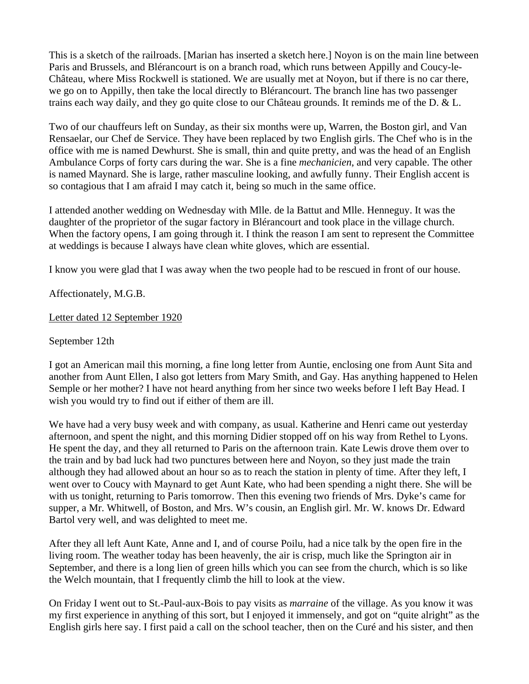This is a sketch of the railroads. [Marian has inserted a sketch here.] Noyon is on the main line between Paris and Brussels, and Blérancourt is on a branch road, which runs between Appilly and Coucy-le-Château, where Miss Rockwell is stationed. We are usually met at Noyon, but if there is no car there, we go on to Appilly, then take the local directly to Blérancourt. The branch line has two passenger trains each way daily, and they go quite close to our Château grounds. It reminds me of the D. & L.

Two of our chauffeurs left on Sunday, as their six months were up, Warren, the Boston girl, and Van Rensaelar, our Chef de Service. They have been replaced by two English girls. The Chef who is in the office with me is named Dewhurst. She is small, thin and quite pretty, and was the head of an English Ambulance Corps of forty cars during the war. She is a fine *mechanicien*, and very capable. The other is named Maynard. She is large, rather masculine looking, and awfully funny. Their English accent is so contagious that I am afraid I may catch it, being so much in the same office.

I attended another wedding on Wednesday with Mlle. de la Battut and Mlle. Henneguy. It was the daughter of the proprietor of the sugar factory in Blérancourt and took place in the village church. When the factory opens, I am going through it. I think the reason I am sent to represent the Committee at weddings is because I always have clean white gloves, which are essential.

I know you were glad that I was away when the two people had to be rescued in front of our house.

Affectionately, M.G.B.

Letter dated 12 September 1920

September 12th

I got an American mail this morning, a fine long letter from Auntie, enclosing one from Aunt Sita and another from Aunt Ellen, I also got letters from Mary Smith, and Gay. Has anything happened to Helen Semple or her mother? I have not heard anything from her since two weeks before I left Bay Head. I wish you would try to find out if either of them are ill.

We have had a very busy week and with company, as usual. Katherine and Henri came out yesterday afternoon, and spent the night, and this morning Didier stopped off on his way from Rethel to Lyons. He spent the day, and they all returned to Paris on the afternoon train. Kate Lewis drove them over to the train and by bad luck had two punctures between here and Noyon, so they just made the train although they had allowed about an hour so as to reach the station in plenty of time. After they left, I went over to Coucy with Maynard to get Aunt Kate, who had been spending a night there. She will be with us tonight, returning to Paris tomorrow. Then this evening two friends of Mrs. Dyke's came for supper, a Mr. Whitwell, of Boston, and Mrs. W's cousin, an English girl. Mr. W. knows Dr. Edward Bartol very well, and was delighted to meet me.

After they all left Aunt Kate, Anne and I, and of course Poilu, had a nice talk by the open fire in the living room. The weather today has been heavenly, the air is crisp, much like the Springton air in September, and there is a long lien of green hills which you can see from the church, which is so like the Welch mountain, that I frequently climb the hill to look at the view.

On Friday I went out to St.-Paul-aux-Bois to pay visits as *marraine* of the village. As you know it was my first experience in anything of this sort, but I enjoyed it immensely, and got on "quite alright" as the English girls here say. I first paid a call on the school teacher, then on the Curé and his sister, and then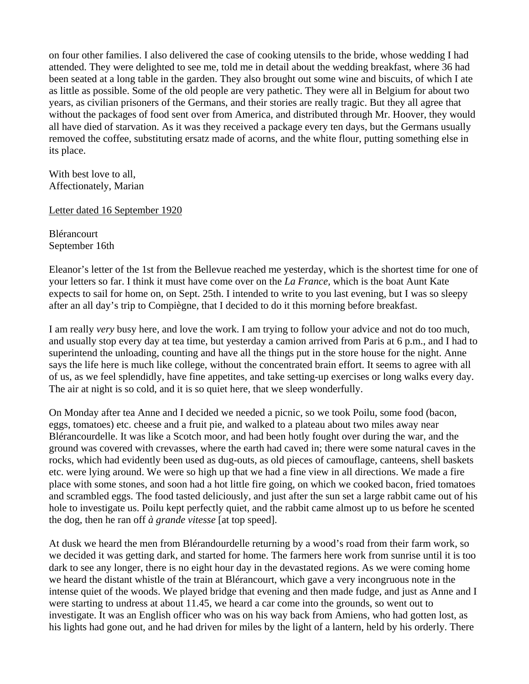on four other families. I also delivered the case of cooking utensils to the bride, whose wedding I had attended. They were delighted to see me, told me in detail about the wedding breakfast, where 36 had been seated at a long table in the garden. They also brought out some wine and biscuits, of which I ate as little as possible. Some of the old people are very pathetic. They were all in Belgium for about two years, as civilian prisoners of the Germans, and their stories are really tragic. But they all agree that without the packages of food sent over from America, and distributed through Mr. Hoover, they would all have died of starvation. As it was they received a package every ten days, but the Germans usually removed the coffee, substituting ersatz made of acorns, and the white flour, putting something else in its place.

With best love to all, Affectionately, Marian

Letter dated 16 September 1920

**Blérancourt** September 16th

Eleanor's letter of the 1st from the Bellevue reached me yesterday, which is the shortest time for one of your letters so far. I think it must have come over on the *La France,* which is the boat Aunt Kate expects to sail for home on, on Sept. 25th. I intended to write to you last evening, but I was so sleepy after an all day's trip to Compiègne, that I decided to do it this morning before breakfast.

I am really *very* busy here, and love the work. I am trying to follow your advice and not do too much, and usually stop every day at tea time, but yesterday a camion arrived from Paris at 6 p.m., and I had to superintend the unloading, counting and have all the things put in the store house for the night. Anne says the life here is much like college, without the concentrated brain effort. It seems to agree with all of us, as we feel splendidly, have fine appetites, and take setting-up exercises or long walks every day. The air at night is so cold, and it is so quiet here, that we sleep wonderfully.

On Monday after tea Anne and I decided we needed a picnic, so we took Poilu, some food (bacon, eggs, tomatoes) etc. cheese and a fruit pie, and walked to a plateau about two miles away near Blérancourdelle. It was like a Scotch moor, and had been hotly fought over during the war, and the ground was covered with crevasses, where the earth had caved in; there were some natural caves in the rocks, which had evidently been used as dug-outs, as old pieces of camouflage, canteens, shell baskets etc. were lying around. We were so high up that we had a fine view in all directions. We made a fire place with some stones, and soon had a hot little fire going, on which we cooked bacon, fried tomatoes and scrambled eggs. The food tasted deliciously, and just after the sun set a large rabbit came out of his hole to investigate us. Poilu kept perfectly quiet, and the rabbit came almost up to us before he scented the dog, then he ran off *à grande vitesse* [at top speed].

At dusk we heard the men from Blérandourdelle returning by a wood's road from their farm work, so we decided it was getting dark, and started for home. The farmers here work from sunrise until it is too dark to see any longer, there is no eight hour day in the devastated regions. As we were coming home we heard the distant whistle of the train at Blérancourt, which gave a very incongruous note in the intense quiet of the woods. We played bridge that evening and then made fudge, and just as Anne and I were starting to undress at about 11.45, we heard a car come into the grounds, so went out to investigate. It was an English officer who was on his way back from Amiens, who had gotten lost, as his lights had gone out, and he had driven for miles by the light of a lantern, held by his orderly. There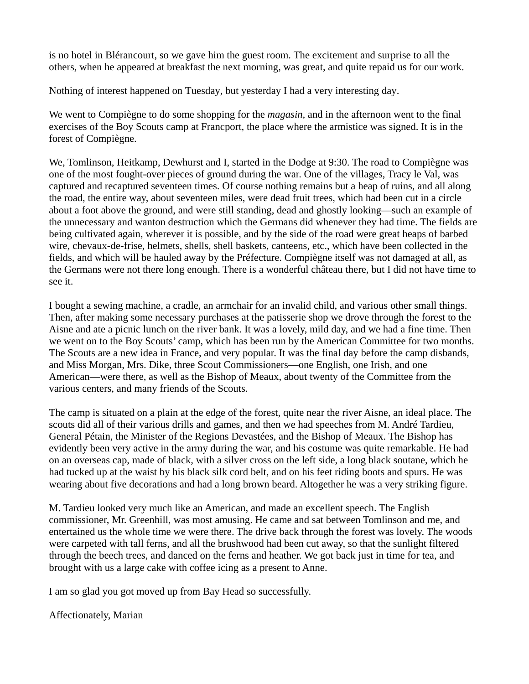is no hotel in Blérancourt, so we gave him the guest room. The excitement and surprise to all the others, when he appeared at breakfast the next morning, was great, and quite repaid us for our work.

Nothing of interest happened on Tuesday, but yesterday I had a very interesting day.

We went to Compiègne to do some shopping for the *magasin,* and in the afternoon went to the final exercises of the Boy Scouts camp at Francport, the place where the armistice was signed. It is in the forest of Compiègne.

We, Tomlinson, Heitkamp, Dewhurst and I, started in the Dodge at 9:30. The road to Compiègne was one of the most fought-over pieces of ground during the war. One of the villages, Tracy le Val, was captured and recaptured seventeen times. Of course nothing remains but a heap of ruins, and all along the road, the entire way, about seventeen miles, were dead fruit trees, which had been cut in a circle about a foot above the ground, and were still standing, dead and ghostly looking—such an example of the unnecessary and wanton destruction which the Germans did whenever they had time. The fields are being cultivated again, wherever it is possible, and by the side of the road were great heaps of barbed wire, chevaux-de-frise, helmets, shells, shell baskets, canteens, etc., which have been collected in the fields, and which will be hauled away by the Préfecture. Compiègne itself was not damaged at all, as the Germans were not there long enough. There is a wonderful château there, but I did not have time to see it.

I bought a sewing machine, a cradle, an armchair for an invalid child, and various other small things. Then, after making some necessary purchases at the patisserie shop we drove through the forest to the Aisne and ate a picnic lunch on the river bank. It was a lovely, mild day, and we had a fine time. Then we went on to the Boy Scouts' camp, which has been run by the American Committee for two months. The Scouts are a new idea in France, and very popular. It was the final day before the camp disbands, and Miss Morgan, Mrs. Dike, three Scout Commissioners—one English, one Irish, and one American—were there, as well as the Bishop of Meaux, about twenty of the Committee from the various centers, and many friends of the Scouts.

The camp is situated on a plain at the edge of the forest, quite near the river Aisne, an ideal place. The scouts did all of their various drills and games, and then we had speeches from M. André Tardieu, General Pétain, the Minister of the Regions Devastées, and the Bishop of Meaux. The Bishop has evidently been very active in the army during the war, and his costume was quite remarkable. He had on an overseas cap, made of black, with a silver cross on the left side, a long black soutane, which he had tucked up at the waist by his black silk cord belt, and on his feet riding boots and spurs. He was wearing about five decorations and had a long brown beard. Altogether he was a very striking figure.

M. Tardieu looked very much like an American, and made an excellent speech. The English commissioner, Mr. Greenhill, was most amusing. He came and sat between Tomlinson and me, and entertained us the whole time we were there. The drive back through the forest was lovely. The woods were carpeted with tall ferns, and all the brushwood had been cut away, so that the sunlight filtered through the beech trees, and danced on the ferns and heather. We got back just in time for tea, and brought with us a large cake with coffee icing as a present to Anne.

I am so glad you got moved up from Bay Head so successfully.

Affectionately, Marian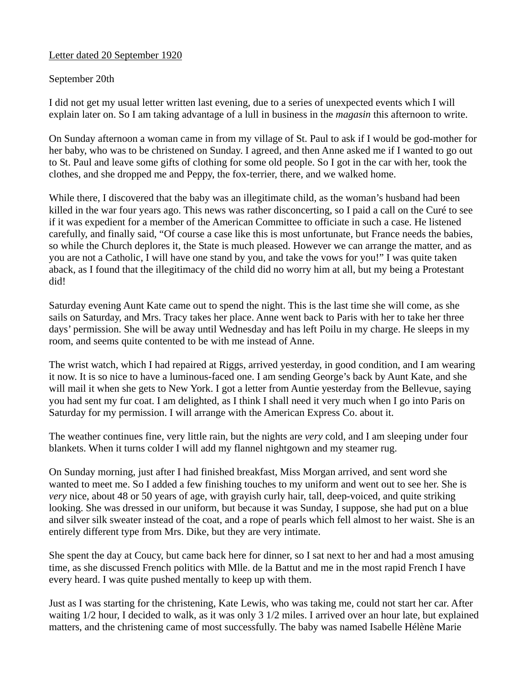# Letter dated 20 September 1920

# September 20th

I did not get my usual letter written last evening, due to a series of unexpected events which I will explain later on. So I am taking advantage of a lull in business in the *magasin* this afternoon to write.

On Sunday afternoon a woman came in from my village of St. Paul to ask if I would be god-mother for her baby, who was to be christened on Sunday. I agreed, and then Anne asked me if I wanted to go out to St. Paul and leave some gifts of clothing for some old people. So I got in the car with her, took the clothes, and she dropped me and Peppy, the fox-terrier, there, and we walked home.

While there, I discovered that the baby was an illegitimate child, as the woman's husband had been killed in the war four years ago. This news was rather disconcerting, so I paid a call on the Curé to see if it was expedient for a member of the American Committee to officiate in such a case. He listened carefully, and finally said, "Of course a case like this is most unfortunate, but France needs the babies, so while the Church deplores it, the State is much pleased. However we can arrange the matter, and as you are not a Catholic, I will have one stand by you, and take the vows for you!" I was quite taken aback, as I found that the illegitimacy of the child did no worry him at all, but my being a Protestant did!

Saturday evening Aunt Kate came out to spend the night. This is the last time she will come, as she sails on Saturday, and Mrs. Tracy takes her place. Anne went back to Paris with her to take her three days' permission. She will be away until Wednesday and has left Poilu in my charge. He sleeps in my room, and seems quite contented to be with me instead of Anne.

The wrist watch, which I had repaired at Riggs, arrived yesterday, in good condition, and I am wearing it now. It is so nice to have a luminous-faced one. I am sending George's back by Aunt Kate, and she will mail it when she gets to New York. I got a letter from Auntie yesterday from the Bellevue, saying you had sent my fur coat. I am delighted, as I think I shall need it very much when I go into Paris on Saturday for my permission. I will arrange with the American Express Co. about it.

The weather continues fine, very little rain, but the nights are *very* cold, and I am sleeping under four blankets. When it turns colder I will add my flannel nightgown and my steamer rug.

On Sunday morning, just after I had finished breakfast, Miss Morgan arrived, and sent word she wanted to meet me. So I added a few finishing touches to my uniform and went out to see her. She is *very* nice, about 48 or 50 years of age, with grayish curly hair, tall, deep-voiced, and quite striking looking. She was dressed in our uniform, but because it was Sunday, I suppose, she had put on a blue and silver silk sweater instead of the coat, and a rope of pearls which fell almost to her waist. She is an entirely different type from Mrs. Dike, but they are very intimate.

She spent the day at Coucy, but came back here for dinner, so I sat next to her and had a most amusing time, as she discussed French politics with Mlle. de la Battut and me in the most rapid French I have every heard. I was quite pushed mentally to keep up with them.

Just as I was starting for the christening, Kate Lewis, who was taking me, could not start her car. After waiting 1/2 hour, I decided to walk, as it was only 3 1/2 miles. I arrived over an hour late, but explained matters, and the christening came of most successfully. The baby was named Isabelle Hélène Marie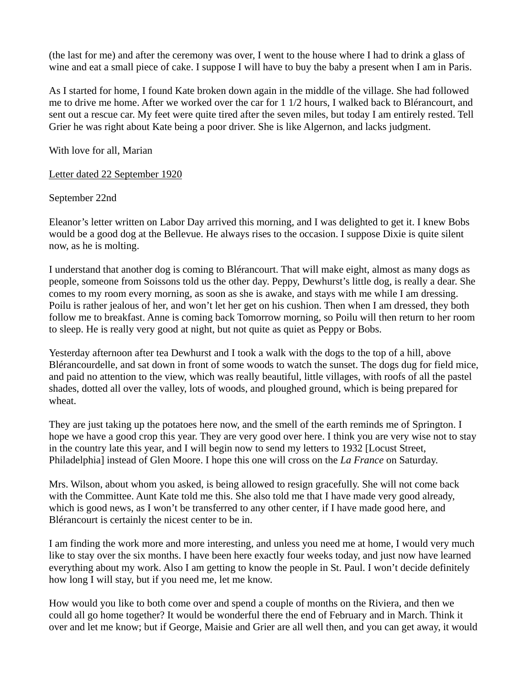(the last for me) and after the ceremony was over, I went to the house where I had to drink a glass of wine and eat a small piece of cake. I suppose I will have to buy the baby a present when I am in Paris.

As I started for home, I found Kate broken down again in the middle of the village. She had followed me to drive me home. After we worked over the car for 1 1/2 hours, I walked back to Blérancourt, and sent out a rescue car. My feet were quite tired after the seven miles, but today I am entirely rested. Tell Grier he was right about Kate being a poor driver. She is like Algernon, and lacks judgment.

With love for all, Marian

Letter dated 22 September 1920

September 22nd

Eleanor's letter written on Labor Day arrived this morning, and I was delighted to get it. I knew Bobs would be a good dog at the Bellevue. He always rises to the occasion. I suppose Dixie is quite silent now, as he is molting.

I understand that another dog is coming to Blérancourt. That will make eight, almost as many dogs as people, someone from Soissons told us the other day. Peppy, Dewhurst's little dog, is really a dear. She comes to my room every morning, as soon as she is awake, and stays with me while I am dressing. Poilu is rather jealous of her, and won't let her get on his cushion. Then when I am dressed, they both follow me to breakfast. Anne is coming back Tomorrow morning, so Poilu will then return to her room to sleep. He is really very good at night, but not quite as quiet as Peppy or Bobs.

Yesterday afternoon after tea Dewhurst and I took a walk with the dogs to the top of a hill, above Blérancourdelle, and sat down in front of some woods to watch the sunset. The dogs dug for field mice, and paid no attention to the view, which was really beautiful, little villages, with roofs of all the pastel shades, dotted all over the valley, lots of woods, and ploughed ground, which is being prepared for wheat.

They are just taking up the potatoes here now, and the smell of the earth reminds me of Springton. I hope we have a good crop this year. They are very good over here. I think you are very wise not to stay in the country late this year, and I will begin now to send my letters to 1932 [Locust Street, Philadelphia] instead of Glen Moore. I hope this one will cross on the *La France* on Saturday.

Mrs. Wilson, about whom you asked, is being allowed to resign gracefully. She will not come back with the Committee. Aunt Kate told me this. She also told me that I have made very good already, which is good news, as I won't be transferred to any other center, if I have made good here, and Blérancourt is certainly the nicest center to be in.

I am finding the work more and more interesting, and unless you need me at home, I would very much like to stay over the six months. I have been here exactly four weeks today, and just now have learned everything about my work. Also I am getting to know the people in St. Paul. I won't decide definitely how long I will stay, but if you need me, let me know.

How would you like to both come over and spend a couple of months on the Riviera, and then we could all go home together? It would be wonderful there the end of February and in March. Think it over and let me know; but if George, Maisie and Grier are all well then, and you can get away, it would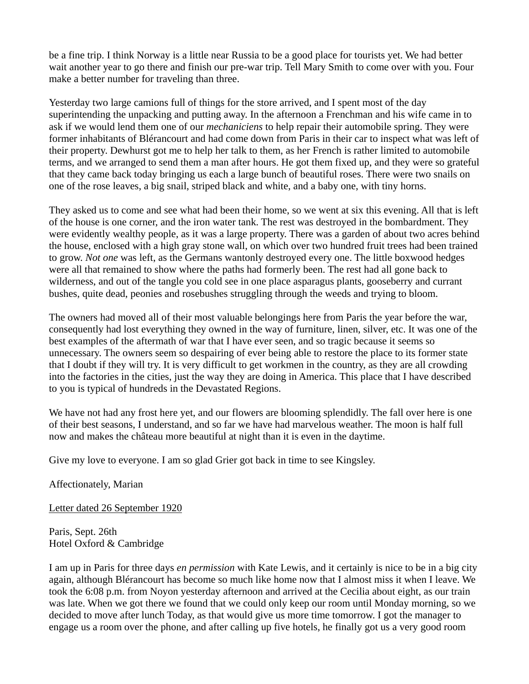be a fine trip. I think Norway is a little near Russia to be a good place for tourists yet. We had better wait another year to go there and finish our pre-war trip. Tell Mary Smith to come over with you. Four make a better number for traveling than three.

Yesterday two large camions full of things for the store arrived, and I spent most of the day superintending the unpacking and putting away. In the afternoon a Frenchman and his wife came in to ask if we would lend them one of our *mechaniciens* to help repair their automobile spring. They were former inhabitants of Blérancourt and had come down from Paris in their car to inspect what was left of their property. Dewhurst got me to help her talk to them, as her French is rather limited to automobile terms, and we arranged to send them a man after hours. He got them fixed up, and they were so grateful that they came back today bringing us each a large bunch of beautiful roses. There were two snails on one of the rose leaves, a big snail, striped black and white, and a baby one, with tiny horns.

They asked us to come and see what had been their home, so we went at six this evening. All that is left of the house is one corner, and the iron water tank. The rest was destroyed in the bombardment. They were evidently wealthy people, as it was a large property. There was a garden of about two acres behind the house, enclosed with a high gray stone wall, on which over two hundred fruit trees had been trained to grow. *Not one* was left, as the Germans wantonly destroyed every one. The little boxwood hedges were all that remained to show where the paths had formerly been. The rest had all gone back to wilderness, and out of the tangle you cold see in one place asparagus plants, gooseberry and currant bushes, quite dead, peonies and rosebushes struggling through the weeds and trying to bloom.

The owners had moved all of their most valuable belongings here from Paris the year before the war, consequently had lost everything they owned in the way of furniture, linen, silver, etc. It was one of the best examples of the aftermath of war that I have ever seen, and so tragic because it seems so unnecessary. The owners seem so despairing of ever being able to restore the place to its former state that I doubt if they will try. It is very difficult to get workmen in the country, as they are all crowding into the factories in the cities, just the way they are doing in America. This place that I have described to you is typical of hundreds in the Devastated Regions.

We have not had any frost here yet, and our flowers are blooming splendidly. The fall over here is one of their best seasons, I understand, and so far we have had marvelous weather. The moon is half full now and makes the château more beautiful at night than it is even in the daytime.

Give my love to everyone. I am so glad Grier got back in time to see Kingsley.

Affectionately, Marian

Letter dated 26 September 1920

Paris, Sept. 26th Hotel Oxford & Cambridge

I am up in Paris for three days *en permission* with Kate Lewis, and it certainly is nice to be in a big city again, although Blérancourt has become so much like home now that I almost miss it when I leave. We took the 6:08 p.m. from Noyon yesterday afternoon and arrived at the Cecilia about eight, as our train was late. When we got there we found that we could only keep our room until Monday morning, so we decided to move after lunch Today, as that would give us more time tomorrow. I got the manager to engage us a room over the phone, and after calling up five hotels, he finally got us a very good room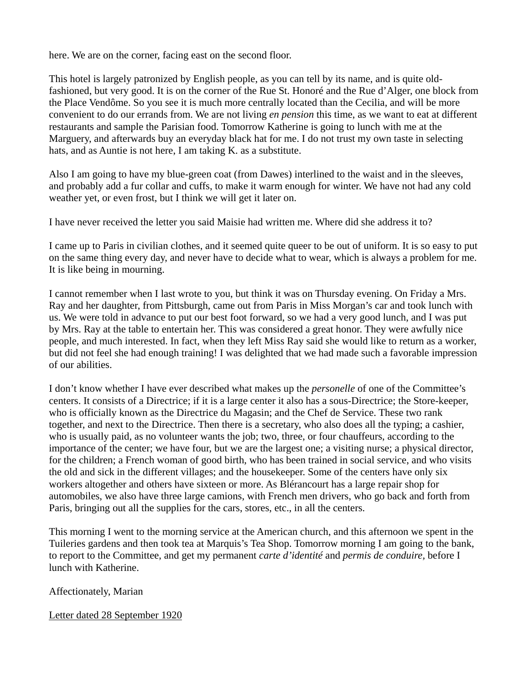here. We are on the corner, facing east on the second floor.

This hotel is largely patronized by English people, as you can tell by its name, and is quite oldfashioned, but very good. It is on the corner of the Rue St. Honoré and the Rue d'Alger, one block from the Place Vendôme. So you see it is much more centrally located than the Cecilia, and will be more convenient to do our errands from. We are not living *en pension* this time, as we want to eat at different restaurants and sample the Parisian food. Tomorrow Katherine is going to lunch with me at the Marguery, and afterwards buy an everyday black hat for me. I do not trust my own taste in selecting hats, and as Auntie is not here, I am taking K. as a substitute.

Also I am going to have my blue-green coat (from Dawes) interlined to the waist and in the sleeves, and probably add a fur collar and cuffs, to make it warm enough for winter. We have not had any cold weather yet, or even frost, but I think we will get it later on.

I have never received the letter you said Maisie had written me. Where did she address it to?

I came up to Paris in civilian clothes, and it seemed quite queer to be out of uniform. It is so easy to put on the same thing every day, and never have to decide what to wear, which is always a problem for me. It is like being in mourning.

I cannot remember when I last wrote to you, but think it was on Thursday evening. On Friday a Mrs. Ray and her daughter, from Pittsburgh, came out from Paris in Miss Morgan's car and took lunch with us. We were told in advance to put our best foot forward, so we had a very good lunch, and I was put by Mrs. Ray at the table to entertain her. This was considered a great honor. They were awfully nice people, and much interested. In fact, when they left Miss Ray said she would like to return as a worker, but did not feel she had enough training! I was delighted that we had made such a favorable impression of our abilities.

I don't know whether I have ever described what makes up the *personelle* of one of the Committee's centers. It consists of a Directrice; if it is a large center it also has a sous-Directrice; the Store-keeper, who is officially known as the Directrice du Magasin; and the Chef de Service. These two rank together, and next to the Directrice. Then there is a secretary, who also does all the typing; a cashier, who is usually paid, as no volunteer wants the job; two, three, or four chauffeurs, according to the importance of the center; we have four, but we are the largest one; a visiting nurse; a physical director, for the children; a French woman of good birth, who has been trained in social service, and who visits the old and sick in the different villages; and the housekeeper. Some of the centers have only six workers altogether and others have sixteen or more. As Blérancourt has a large repair shop for automobiles, we also have three large camions, with French men drivers, who go back and forth from Paris, bringing out all the supplies for the cars, stores, etc., in all the centers.

This morning I went to the morning service at the American church, and this afternoon we spent in the Tuileries gardens and then took tea at Marquis's Tea Shop. Tomorrow morning I am going to the bank, to report to the Committee, and get my permanent *carte d'identité* and *permis de conduire,* before I lunch with Katherine.

Affectionately, Marian

Letter dated 28 September 1920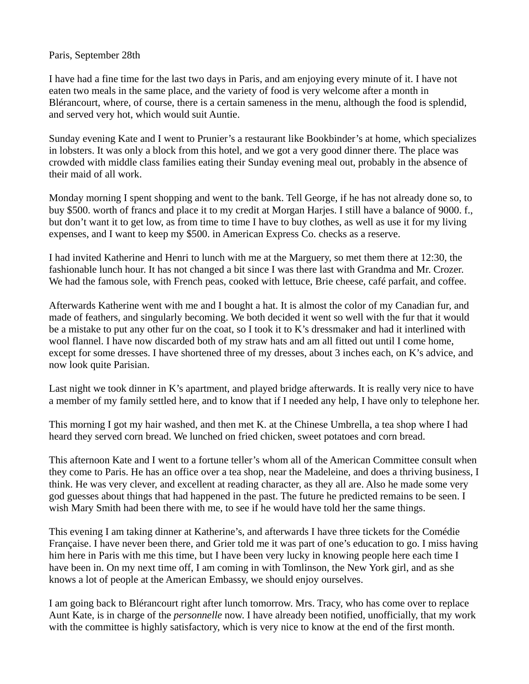#### Paris, September 28th

I have had a fine time for the last two days in Paris, and am enjoying every minute of it. I have not eaten two meals in the same place, and the variety of food is very welcome after a month in Blérancourt, where, of course, there is a certain sameness in the menu, although the food is splendid, and served very hot, which would suit Auntie.

Sunday evening Kate and I went to Prunier's a restaurant like Bookbinder's at home, which specializes in lobsters. It was only a block from this hotel, and we got a very good dinner there. The place was crowded with middle class families eating their Sunday evening meal out, probably in the absence of their maid of all work.

Monday morning I spent shopping and went to the bank. Tell George, if he has not already done so, to buy \$500. worth of francs and place it to my credit at Morgan Harjes. I still have a balance of 9000. f., but don't want it to get low, as from time to time I have to buy clothes, as well as use it for my living expenses, and I want to keep my \$500. in American Express Co. checks as a reserve.

I had invited Katherine and Henri to lunch with me at the Marguery, so met them there at 12:30, the fashionable lunch hour. It has not changed a bit since I was there last with Grandma and Mr. Crozer. We had the famous sole, with French peas, cooked with lettuce, Brie cheese, café parfait, and coffee.

Afterwards Katherine went with me and I bought a hat. It is almost the color of my Canadian fur, and made of feathers, and singularly becoming. We both decided it went so well with the fur that it would be a mistake to put any other fur on the coat, so I took it to K's dressmaker and had it interlined with wool flannel. I have now discarded both of my straw hats and am all fitted out until I come home, except for some dresses. I have shortened three of my dresses, about 3 inches each, on K's advice, and now look quite Parisian.

Last night we took dinner in K's apartment, and played bridge afterwards. It is really very nice to have a member of my family settled here, and to know that if I needed any help, I have only to telephone her.

This morning I got my hair washed, and then met K. at the Chinese Umbrella, a tea shop where I had heard they served corn bread. We lunched on fried chicken, sweet potatoes and corn bread.

This afternoon Kate and I went to a fortune teller's whom all of the American Committee consult when they come to Paris. He has an office over a tea shop, near the Madeleine, and does a thriving business, I think. He was very clever, and excellent at reading character, as they all are. Also he made some very god guesses about things that had happened in the past. The future he predicted remains to be seen. I wish Mary Smith had been there with me, to see if he would have told her the same things.

This evening I am taking dinner at Katherine's, and afterwards I have three tickets for the Comédie Française. I have never been there, and Grier told me it was part of one's education to go. I miss having him here in Paris with me this time, but I have been very lucky in knowing people here each time I have been in. On my next time off, I am coming in with Tomlinson, the New York girl, and as she knows a lot of people at the American Embassy, we should enjoy ourselves.

I am going back to Blérancourt right after lunch tomorrow. Mrs. Tracy, who has come over to replace Aunt Kate, is in charge of the *personnelle* now. I have already been notified, unofficially, that my work with the committee is highly satisfactory, which is very nice to know at the end of the first month.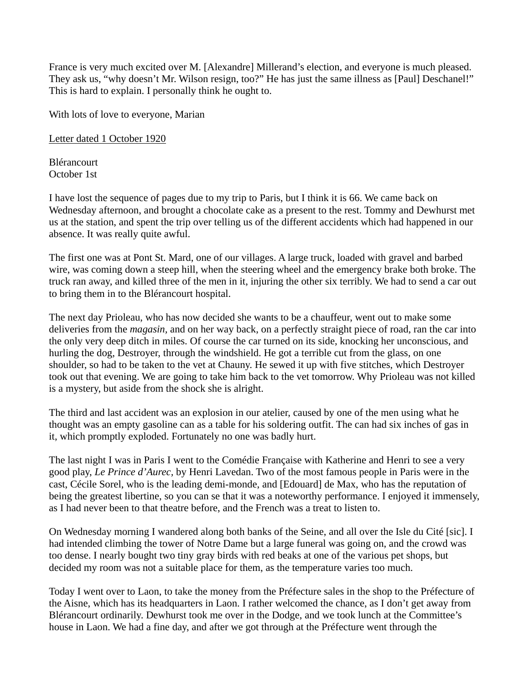France is very much excited over M. [Alexandre] Millerand's election, and everyone is much pleased. They ask us, "why doesn't Mr. Wilson resign, too?" He has just the same illness as [Paul] Deschanel!" This is hard to explain. I personally think he ought to.

With lots of love to everyone, Marian

Letter dated 1 October 1920

Blérancourt October 1st

I have lost the sequence of pages due to my trip to Paris, but I think it is 66. We came back on Wednesday afternoon, and brought a chocolate cake as a present to the rest. Tommy and Dewhurst met us at the station, and spent the trip over telling us of the different accidents which had happened in our absence. It was really quite awful.

The first one was at Pont St. Mard, one of our villages. A large truck, loaded with gravel and barbed wire, was coming down a steep hill, when the steering wheel and the emergency brake both broke. The truck ran away, and killed three of the men in it, injuring the other six terribly. We had to send a car out to bring them in to the Blérancourt hospital.

The next day Prioleau, who has now decided she wants to be a chauffeur, went out to make some deliveries from the *magasin,* and on her way back, on a perfectly straight piece of road, ran the car into the only very deep ditch in miles. Of course the car turned on its side, knocking her unconscious, and hurling the dog, Destroyer, through the windshield. He got a terrible cut from the glass, on one shoulder, so had to be taken to the vet at Chauny. He sewed it up with five stitches, which Destroyer took out that evening. We are going to take him back to the vet tomorrow. Why Prioleau was not killed is a mystery, but aside from the shock she is alright.

The third and last accident was an explosion in our atelier, caused by one of the men using what he thought was an empty gasoline can as a table for his soldering outfit. The can had six inches of gas in it, which promptly exploded. Fortunately no one was badly hurt.

The last night I was in Paris I went to the Comédie Française with Katherine and Henri to see a very good play, *Le Prince d'Aurec,* by Henri Lavedan. Two of the most famous people in Paris were in the cast, Cécile Sorel, who is the leading demi-monde, and [Edouard] de Max, who has the reputation of being the greatest libertine, so you can se that it was a noteworthy performance. I enjoyed it immensely, as I had never been to that theatre before, and the French was a treat to listen to.

On Wednesday morning I wandered along both banks of the Seine, and all over the Isle du Cité [sic]. I had intended climbing the tower of Notre Dame but a large funeral was going on, and the crowd was too dense. I nearly bought two tiny gray birds with red beaks at one of the various pet shops, but decided my room was not a suitable place for them, as the temperature varies too much.

Today I went over to Laon, to take the money from the Préfecture sales in the shop to the Préfecture of the Aisne, which has its headquarters in Laon. I rather welcomed the chance, as I don't get away from Blérancourt ordinarily. Dewhurst took me over in the Dodge, and we took lunch at the Committee's house in Laon. We had a fine day, and after we got through at the Préfecture went through the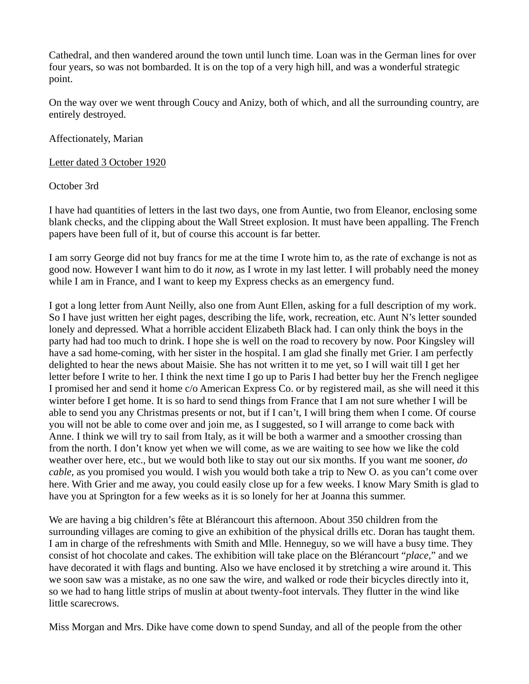Cathedral, and then wandered around the town until lunch time. Loan was in the German lines for over four years, so was not bombarded. It is on the top of a very high hill, and was a wonderful strategic point.

On the way over we went through Coucy and Anizy, both of which, and all the surrounding country, are entirely destroyed.

Affectionately, Marian

Letter dated 3 October 1920

October 3rd

I have had quantities of letters in the last two days, one from Auntie, two from Eleanor, enclosing some blank checks, and the clipping about the Wall Street explosion. It must have been appalling. The French papers have been full of it, but of course this account is far better.

I am sorry George did not buy francs for me at the time I wrote him to, as the rate of exchange is not as good now. However I want him to do it *now,* as I wrote in my last letter. I will probably need the money while I am in France, and I want to keep my Express checks as an emergency fund.

I got a long letter from Aunt Neilly, also one from Aunt Ellen, asking for a full description of my work. So I have just written her eight pages, describing the life, work, recreation, etc. Aunt N's letter sounded lonely and depressed. What a horrible accident Elizabeth Black had. I can only think the boys in the party had had too much to drink. I hope she is well on the road to recovery by now. Poor Kingsley will have a sad home-coming, with her sister in the hospital. I am glad she finally met Grier. I am perfectly delighted to hear the news about Maisie. She has not written it to me yet, so I will wait till I get her letter before I write to her. I think the next time I go up to Paris I had better buy her the French negligee I promised her and send it home c/o American Express Co. or by registered mail, as she will need it this winter before I get home. It is so hard to send things from France that I am not sure whether I will be able to send you any Christmas presents or not, but if I can't, I will bring them when I come. Of course you will not be able to come over and join me, as I suggested, so I will arrange to come back with Anne. I think we will try to sail from Italy, as it will be both a warmer and a smoother crossing than from the north. I don't know yet when we will come, as we are waiting to see how we like the cold weather over here, etc., but we would both like to stay out our six months. If you want me sooner, *do cable,* as you promised you would. I wish you would both take a trip to New O. as you can't come over here. With Grier and me away, you could easily close up for a few weeks. I know Mary Smith is glad to have you at Springton for a few weeks as it is so lonely for her at Joanna this summer.

We are having a big children's fête at Blérancourt this afternoon. About 350 children from the surrounding villages are coming to give an exhibition of the physical drills etc. Doran has taught them. I am in charge of the refreshments with Smith and Mlle. Henneguy, so we will have a busy time. They consist of hot chocolate and cakes. The exhibition will take place on the Blérancourt "*place,*" and we have decorated it with flags and bunting. Also we have enclosed it by stretching a wire around it. This we soon saw was a mistake, as no one saw the wire, and walked or rode their bicycles directly into it, so we had to hang little strips of muslin at about twenty-foot intervals. They flutter in the wind like little scarecrows.

Miss Morgan and Mrs. Dike have come down to spend Sunday, and all of the people from the other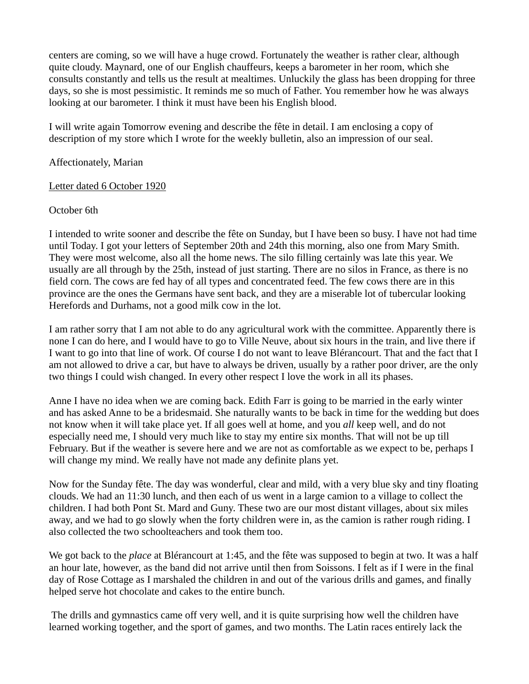centers are coming, so we will have a huge crowd. Fortunately the weather is rather clear, although quite cloudy. Maynard, one of our English chauffeurs, keeps a barometer in her room, which she consults constantly and tells us the result at mealtimes. Unluckily the glass has been dropping for three days, so she is most pessimistic. It reminds me so much of Father. You remember how he was always looking at our barometer. I think it must have been his English blood.

I will write again Tomorrow evening and describe the fête in detail. I am enclosing a copy of description of my store which I wrote for the weekly bulletin, also an impression of our seal.

### Affectionately, Marian

### Letter dated 6 October 1920

### October 6th

I intended to write sooner and describe the fête on Sunday, but I have been so busy. I have not had time until Today. I got your letters of September 20th and 24th this morning, also one from Mary Smith. They were most welcome, also all the home news. The silo filling certainly was late this year. We usually are all through by the 25th, instead of just starting. There are no silos in France, as there is no field corn. The cows are fed hay of all types and concentrated feed. The few cows there are in this province are the ones the Germans have sent back, and they are a miserable lot of tubercular looking Herefords and Durhams, not a good milk cow in the lot.

I am rather sorry that I am not able to do any agricultural work with the committee. Apparently there is none I can do here, and I would have to go to Ville Neuve, about six hours in the train, and live there if I want to go into that line of work. Of course I do not want to leave Blérancourt. That and the fact that I am not allowed to drive a car, but have to always be driven, usually by a rather poor driver, are the only two things I could wish changed. In every other respect I love the work in all its phases.

Anne I have no idea when we are coming back. Edith Farr is going to be married in the early winter and has asked Anne to be a bridesmaid. She naturally wants to be back in time for the wedding but does not know when it will take place yet. If all goes well at home, and you *all* keep well, and do not especially need me, I should very much like to stay my entire six months. That will not be up till February. But if the weather is severe here and we are not as comfortable as we expect to be, perhaps I will change my mind. We really have not made any definite plans yet.

Now for the Sunday fête. The day was wonderful, clear and mild, with a very blue sky and tiny floating clouds. We had an 11:30 lunch, and then each of us went in a large camion to a village to collect the children. I had both Pont St. Mard and Guny. These two are our most distant villages, about six miles away, and we had to go slowly when the forty children were in, as the camion is rather rough riding. I also collected the two schoolteachers and took them too.

We got back to the *place* at Blérancourt at 1:45, and the fête was supposed to begin at two. It was a half an hour late, however, as the band did not arrive until then from Soissons. I felt as if I were in the final day of Rose Cottage as I marshaled the children in and out of the various drills and games, and finally helped serve hot chocolate and cakes to the entire bunch.

 The drills and gymnastics came off very well, and it is quite surprising how well the children have learned working together, and the sport of games, and two months. The Latin races entirely lack the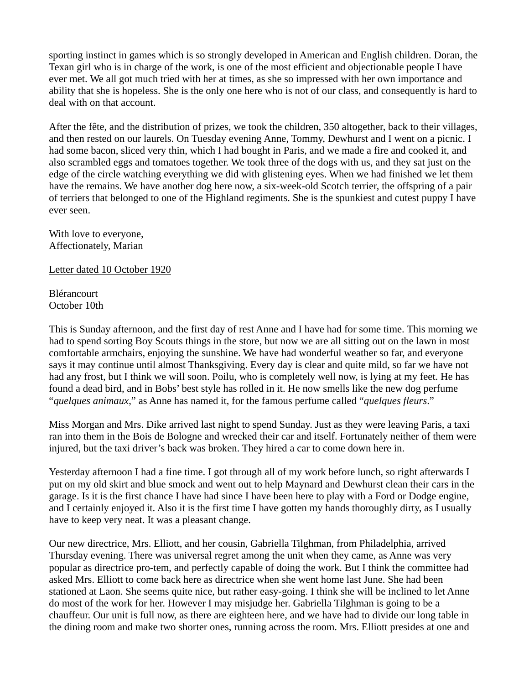sporting instinct in games which is so strongly developed in American and English children. Doran, the Texan girl who is in charge of the work, is one of the most efficient and objectionable people I have ever met. We all got much tried with her at times, as she so impressed with her own importance and ability that she is hopeless. She is the only one here who is not of our class, and consequently is hard to deal with on that account.

After the fête, and the distribution of prizes, we took the children, 350 altogether, back to their villages, and then rested on our laurels. On Tuesday evening Anne, Tommy, Dewhurst and I went on a picnic. I had some bacon, sliced very thin, which I had bought in Paris, and we made a fire and cooked it, and also scrambled eggs and tomatoes together. We took three of the dogs with us, and they sat just on the edge of the circle watching everything we did with glistening eyes. When we had finished we let them have the remains. We have another dog here now, a six-week-old Scotch terrier, the offspring of a pair of terriers that belonged to one of the Highland regiments. She is the spunkiest and cutest puppy I have ever seen.

With love to everyone, Affectionately, Marian

Letter dated 10 October 1920

**Blérancourt** October 10th

This is Sunday afternoon, and the first day of rest Anne and I have had for some time. This morning we had to spend sorting Boy Scouts things in the store, but now we are all sitting out on the lawn in most comfortable armchairs, enjoying the sunshine. We have had wonderful weather so far, and everyone says it may continue until almost Thanksgiving. Every day is clear and quite mild, so far we have not had any frost, but I think we will soon. Poilu, who is completely well now, is lying at my feet. He has found a dead bird, and in Bobs' best style has rolled in it. He now smells like the new dog perfume "*quelques animaux*," as Anne has named it, for the famous perfume called "*quelques fleurs*."

Miss Morgan and Mrs. Dike arrived last night to spend Sunday. Just as they were leaving Paris, a taxi ran into them in the Bois de Bologne and wrecked their car and itself. Fortunately neither of them were injured, but the taxi driver's back was broken. They hired a car to come down here in.

Yesterday afternoon I had a fine time. I got through all of my work before lunch, so right afterwards I put on my old skirt and blue smock and went out to help Maynard and Dewhurst clean their cars in the garage. Is it is the first chance I have had since I have been here to play with a Ford or Dodge engine, and I certainly enjoyed it. Also it is the first time I have gotten my hands thoroughly dirty, as I usually have to keep very neat. It was a pleasant change.

Our new directrice, Mrs. Elliott, and her cousin, Gabriella Tilghman, from Philadelphia, arrived Thursday evening. There was universal regret among the unit when they came, as Anne was very popular as directrice pro-tem, and perfectly capable of doing the work. But I think the committee had asked Mrs. Elliott to come back here as directrice when she went home last June. She had been stationed at Laon. She seems quite nice, but rather easy-going. I think she will be inclined to let Anne do most of the work for her. However I may misjudge her. Gabriella Tilghman is going to be a chauffeur. Our unit is full now, as there are eighteen here, and we have had to divide our long table in the dining room and make two shorter ones, running across the room. Mrs. Elliott presides at one and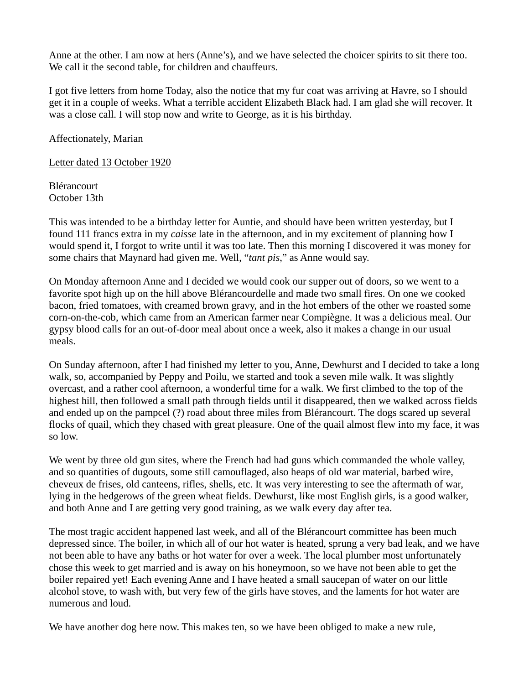Anne at the other. I am now at hers (Anne's), and we have selected the choicer spirits to sit there too. We call it the second table, for children and chauffeurs.

I got five letters from home Today, also the notice that my fur coat was arriving at Havre, so I should get it in a couple of weeks. What a terrible accident Elizabeth Black had. I am glad she will recover. It was a close call. I will stop now and write to George, as it is his birthday.

Affectionately, Marian

Letter dated 13 October 1920

Blérancourt October 13th

This was intended to be a birthday letter for Auntie, and should have been written yesterday, but I found 111 francs extra in my *caisse* late in the afternoon, and in my excitement of planning how I would spend it, I forgot to write until it was too late. Then this morning I discovered it was money for some chairs that Maynard had given me. Well, "*tant pis*," as Anne would say.

On Monday afternoon Anne and I decided we would cook our supper out of doors, so we went to a favorite spot high up on the hill above Blérancourdelle and made two small fires. On one we cooked bacon, fried tomatoes, with creamed brown gravy, and in the hot embers of the other we roasted some corn-on-the-cob, which came from an American farmer near Compiègne. It was a delicious meal. Our gypsy blood calls for an out-of-door meal about once a week, also it makes a change in our usual meals.

On Sunday afternoon, after I had finished my letter to you, Anne, Dewhurst and I decided to take a long walk, so, accompanied by Peppy and Poilu, we started and took a seven mile walk. It was slightly overcast, and a rather cool afternoon, a wonderful time for a walk. We first climbed to the top of the highest hill, then followed a small path through fields until it disappeared, then we walked across fields and ended up on the pampcel (?) road about three miles from Blérancourt. The dogs scared up several flocks of quail, which they chased with great pleasure. One of the quail almost flew into my face, it was so low.

We went by three old gun sites, where the French had had guns which commanded the whole valley, and so quantities of dugouts, some still camouflaged, also heaps of old war material, barbed wire, cheveux de frises, old canteens, rifles, shells, etc. It was very interesting to see the aftermath of war, lying in the hedgerows of the green wheat fields. Dewhurst, like most English girls, is a good walker, and both Anne and I are getting very good training, as we walk every day after tea.

The most tragic accident happened last week, and all of the Blérancourt committee has been much depressed since. The boiler, in which all of our hot water is heated, sprung a very bad leak, and we have not been able to have any baths or hot water for over a week. The local plumber most unfortunately chose this week to get married and is away on his honeymoon, so we have not been able to get the boiler repaired yet! Each evening Anne and I have heated a small saucepan of water on our little alcohol stove, to wash with, but very few of the girls have stoves, and the laments for hot water are numerous and loud.

We have another dog here now. This makes ten, so we have been obliged to make a new rule,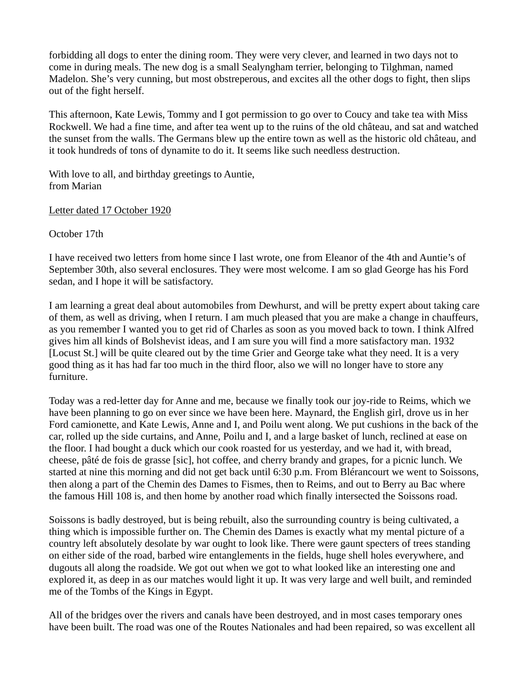forbidding all dogs to enter the dining room. They were very clever, and learned in two days not to come in during meals. The new dog is a small Sealyngham terrier, belonging to Tilghman, named Madelon. She's very cunning, but most obstreperous, and excites all the other dogs to fight, then slips out of the fight herself.

This afternoon, Kate Lewis, Tommy and I got permission to go over to Coucy and take tea with Miss Rockwell. We had a fine time, and after tea went up to the ruins of the old château, and sat and watched the sunset from the walls. The Germans blew up the entire town as well as the historic old château, and it took hundreds of tons of dynamite to do it. It seems like such needless destruction.

With love to all, and birthday greetings to Auntie, from Marian

Letter dated 17 October 1920

October 17th

I have received two letters from home since I last wrote, one from Eleanor of the 4th and Auntie's of September 30th, also several enclosures. They were most welcome. I am so glad George has his Ford sedan, and I hope it will be satisfactory.

I am learning a great deal about automobiles from Dewhurst, and will be pretty expert about taking care of them, as well as driving, when I return. I am much pleased that you are make a change in chauffeurs, as you remember I wanted you to get rid of Charles as soon as you moved back to town. I think Alfred gives him all kinds of Bolshevist ideas, and I am sure you will find a more satisfactory man. 1932 [Locust St.] will be quite cleared out by the time Grier and George take what they need. It is a very good thing as it has had far too much in the third floor, also we will no longer have to store any furniture.

Today was a red-letter day for Anne and me, because we finally took our joy-ride to Reims, which we have been planning to go on ever since we have been here. Maynard, the English girl, drove us in her Ford camionette, and Kate Lewis, Anne and I, and Poilu went along. We put cushions in the back of the car, rolled up the side curtains, and Anne, Poilu and I, and a large basket of lunch, reclined at ease on the floor. I had bought a duck which our cook roasted for us yesterday, and we had it, with bread, cheese, pâté de fois de grasse [sic], hot coffee, and cherry brandy and grapes, for a picnic lunch. We started at nine this morning and did not get back until 6:30 p.m. From Blérancourt we went to Soissons, then along a part of the Chemin des Dames to Fismes, then to Reims, and out to Berry au Bac where the famous Hill 108 is, and then home by another road which finally intersected the Soissons road.

Soissons is badly destroyed, but is being rebuilt, also the surrounding country is being cultivated, a thing which is impossible further on. The Chemin des Dames is exactly what my mental picture of a country left absolutely desolate by war ought to look like. There were gaunt specters of trees standing on either side of the road, barbed wire entanglements in the fields, huge shell holes everywhere, and dugouts all along the roadside. We got out when we got to what looked like an interesting one and explored it, as deep in as our matches would light it up. It was very large and well built, and reminded me of the Tombs of the Kings in Egypt.

All of the bridges over the rivers and canals have been destroyed, and in most cases temporary ones have been built. The road was one of the Routes Nationales and had been repaired, so was excellent all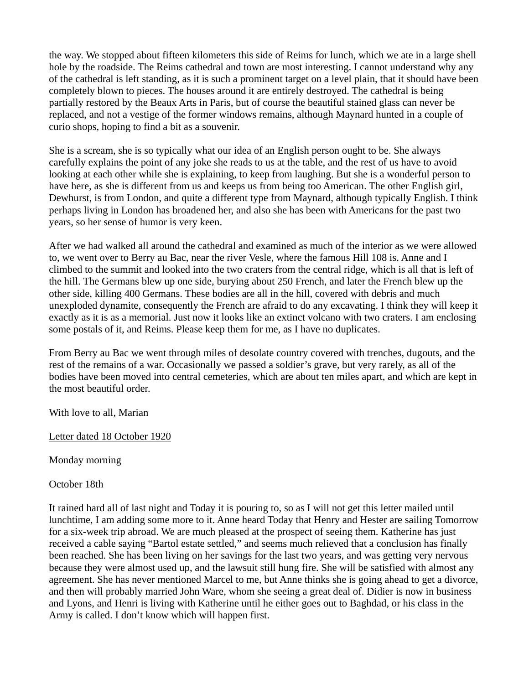the way. We stopped about fifteen kilometers this side of Reims for lunch, which we ate in a large shell hole by the roadside. The Reims cathedral and town are most interesting. I cannot understand why any of the cathedral is left standing, as it is such a prominent target on a level plain, that it should have been completely blown to pieces. The houses around it are entirely destroyed. The cathedral is being partially restored by the Beaux Arts in Paris, but of course the beautiful stained glass can never be replaced, and not a vestige of the former windows remains, although Maynard hunted in a couple of curio shops, hoping to find a bit as a souvenir.

She is a scream, she is so typically what our idea of an English person ought to be. She always carefully explains the point of any joke she reads to us at the table, and the rest of us have to avoid looking at each other while she is explaining, to keep from laughing. But she is a wonderful person to have here, as she is different from us and keeps us from being too American. The other English girl, Dewhurst, is from London, and quite a different type from Maynard, although typically English. I think perhaps living in London has broadened her, and also she has been with Americans for the past two years, so her sense of humor is very keen.

After we had walked all around the cathedral and examined as much of the interior as we were allowed to, we went over to Berry au Bac, near the river Vesle, where the famous Hill 108 is. Anne and I climbed to the summit and looked into the two craters from the central ridge, which is all that is left of the hill. The Germans blew up one side, burying about 250 French, and later the French blew up the other side, killing 400 Germans. These bodies are all in the hill, covered with debris and much unexploded dynamite, consequently the French are afraid to do any excavating. I think they will keep it exactly as it is as a memorial. Just now it looks like an extinct volcano with two craters. I am enclosing some postals of it, and Reims. Please keep them for me, as I have no duplicates.

From Berry au Bac we went through miles of desolate country covered with trenches, dugouts, and the rest of the remains of a war. Occasionally we passed a soldier's grave, but very rarely, as all of the bodies have been moved into central cemeteries, which are about ten miles apart, and which are kept in the most beautiful order.

With love to all, Marian

# Letter dated 18 October 1920

Monday morning

October 18th

It rained hard all of last night and Today it is pouring to, so as I will not get this letter mailed until lunchtime, I am adding some more to it. Anne heard Today that Henry and Hester are sailing Tomorrow for a six-week trip abroad. We are much pleased at the prospect of seeing them. Katherine has just received a cable saying "Bartol estate settled," and seems much relieved that a conclusion has finally been reached. She has been living on her savings for the last two years, and was getting very nervous because they were almost used up, and the lawsuit still hung fire. She will be satisfied with almost any agreement. She has never mentioned Marcel to me, but Anne thinks she is going ahead to get a divorce, and then will probably married John Ware, whom she seeing a great deal of. Didier is now in business and Lyons, and Henri is living with Katherine until he either goes out to Baghdad, or his class in the Army is called. I don't know which will happen first.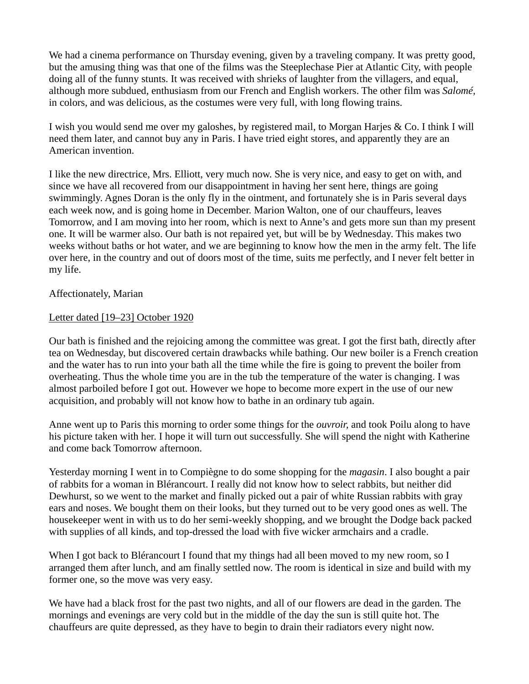We had a cinema performance on Thursday evening, given by a traveling company. It was pretty good, but the amusing thing was that one of the films was the Steeplechase Pier at Atlantic City, with people doing all of the funny stunts. It was received with shrieks of laughter from the villagers, and equal, although more subdued, enthusiasm from our French and English workers. The other film was *Salomé,* in colors, and was delicious, as the costumes were very full, with long flowing trains.

I wish you would send me over my galoshes, by registered mail, to Morgan Harjes & Co. I think I will need them later, and cannot buy any in Paris. I have tried eight stores, and apparently they are an American invention.

I like the new directrice, Mrs. Elliott, very much now. She is very nice, and easy to get on with, and since we have all recovered from our disappointment in having her sent here, things are going swimmingly. Agnes Doran is the only fly in the ointment, and fortunately she is in Paris several days each week now, and is going home in December. Marion Walton, one of our chauffeurs, leaves Tomorrow, and I am moving into her room, which is next to Anne's and gets more sun than my present one. It will be warmer also. Our bath is not repaired yet, but will be by Wednesday. This makes two weeks without baths or hot water, and we are beginning to know how the men in the army felt. The life over here, in the country and out of doors most of the time, suits me perfectly, and I never felt better in my life.

## Affectionately, Marian

#### Letter dated [19–23] October 1920

Our bath is finished and the rejoicing among the committee was great. I got the first bath, directly after tea on Wednesday, but discovered certain drawbacks while bathing. Our new boiler is a French creation and the water has to run into your bath all the time while the fire is going to prevent the boiler from overheating. Thus the whole time you are in the tub the temperature of the water is changing. I was almost parboiled before I got out. However we hope to become more expert in the use of our new acquisition, and probably will not know how to bathe in an ordinary tub again.

Anne went up to Paris this morning to order some things for the *ouvroir,* and took Poilu along to have his picture taken with her. I hope it will turn out successfully. She will spend the night with Katherine and come back Tomorrow afternoon.

Yesterday morning I went in to Compiègne to do some shopping for the *magasin*. I also bought a pair of rabbits for a woman in Blérancourt. I really did not know how to select rabbits, but neither did Dewhurst, so we went to the market and finally picked out a pair of white Russian rabbits with gray ears and noses. We bought them on their looks, but they turned out to be very good ones as well. The housekeeper went in with us to do her semi-weekly shopping, and we brought the Dodge back packed with supplies of all kinds, and top-dressed the load with five wicker armchairs and a cradle.

When I got back to Blérancourt I found that my things had all been moved to my new room, so I arranged them after lunch, and am finally settled now. The room is identical in size and build with my former one, so the move was very easy.

We have had a black frost for the past two nights, and all of our flowers are dead in the garden. The mornings and evenings are very cold but in the middle of the day the sun is still quite hot. The chauffeurs are quite depressed, as they have to begin to drain their radiators every night now.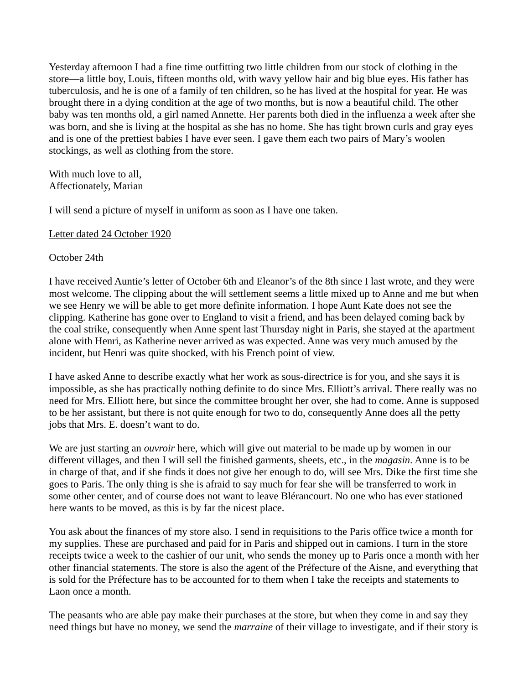Yesterday afternoon I had a fine time outfitting two little children from our stock of clothing in the store—a little boy, Louis, fifteen months old, with wavy yellow hair and big blue eyes. His father has tuberculosis, and he is one of a family of ten children, so he has lived at the hospital for year. He was brought there in a dying condition at the age of two months, but is now a beautiful child. The other baby was ten months old, a girl named Annette. Her parents both died in the influenza a week after she was born, and she is living at the hospital as she has no home. She has tight brown curls and gray eyes and is one of the prettiest babies I have ever seen. I gave them each two pairs of Mary's woolen stockings, as well as clothing from the store.

With much love to all, Affectionately, Marian

I will send a picture of myself in uniform as soon as I have one taken.

Letter dated 24 October 1920

October 24th

I have received Auntie's letter of October 6th and Eleanor's of the 8th since I last wrote, and they were most welcome. The clipping about the will settlement seems a little mixed up to Anne and me but when we see Henry we will be able to get more definite information. I hope Aunt Kate does not see the clipping. Katherine has gone over to England to visit a friend, and has been delayed coming back by the coal strike, consequently when Anne spent last Thursday night in Paris, she stayed at the apartment alone with Henri, as Katherine never arrived as was expected. Anne was very much amused by the incident, but Henri was quite shocked, with his French point of view.

I have asked Anne to describe exactly what her work as sous-directrice is for you, and she says it is impossible, as she has practically nothing definite to do since Mrs. Elliott's arrival. There really was no need for Mrs. Elliott here, but since the committee brought her over, she had to come. Anne is supposed to be her assistant, but there is not quite enough for two to do, consequently Anne does all the petty jobs that Mrs. E. doesn't want to do.

We are just starting an *ouvroir* here, which will give out material to be made up by women in our different villages, and then I will sell the finished garments, sheets, etc., in the *magasin*. Anne is to be in charge of that, and if she finds it does not give her enough to do, will see Mrs. Dike the first time she goes to Paris. The only thing is she is afraid to say much for fear she will be transferred to work in some other center, and of course does not want to leave Blérancourt. No one who has ever stationed here wants to be moved, as this is by far the nicest place.

You ask about the finances of my store also. I send in requisitions to the Paris office twice a month for my supplies. These are purchased and paid for in Paris and shipped out in camions. I turn in the store receipts twice a week to the cashier of our unit, who sends the money up to Paris once a month with her other financial statements. The store is also the agent of the Préfecture of the Aisne, and everything that is sold for the Préfecture has to be accounted for to them when I take the receipts and statements to Laon once a month.

The peasants who are able pay make their purchases at the store, but when they come in and say they need things but have no money, we send the *marraine* of their village to investigate, and if their story is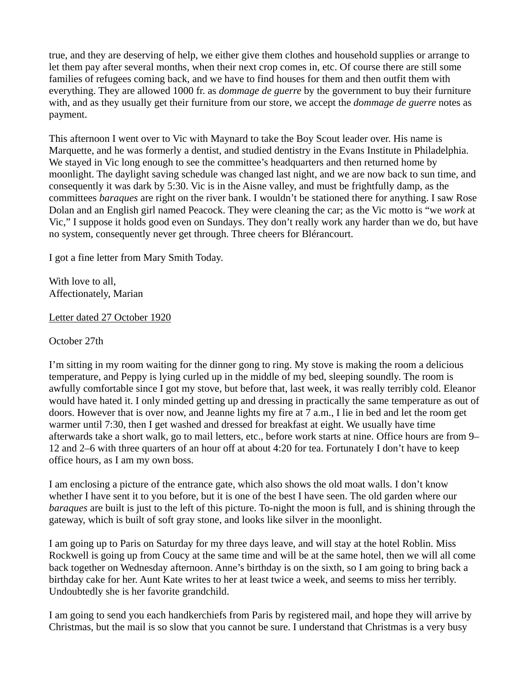true, and they are deserving of help, we either give them clothes and household supplies or arrange to let them pay after several months, when their next crop comes in, etc. Of course there are still some families of refugees coming back, and we have to find houses for them and then outfit them with everything. They are allowed 1000 fr. as *dommage de guerre* by the government to buy their furniture with, and as they usually get their furniture from our store, we accept the *dommage de guerre* notes as payment.

This afternoon I went over to Vic with Maynard to take the Boy Scout leader over. His name is Marquette, and he was formerly a dentist, and studied dentistry in the Evans Institute in Philadelphia. We stayed in Vic long enough to see the committee's headquarters and then returned home by moonlight. The daylight saving schedule was changed last night, and we are now back to sun time, and consequently it was dark by 5:30. Vic is in the Aisne valley, and must be frightfully damp, as the committees *baraques* are right on the river bank. I wouldn't be stationed there for anything. I saw Rose Dolan and an English girl named Peacock. They were cleaning the car; as the Vic motto is "we *work* at Vic," I suppose it holds good even on Sundays. They don't really work any harder than we do, but have no system, consequently never get through. Three cheers for Blérancourt.

I got a fine letter from Mary Smith Today.

With love to all. Affectionately, Marian

Letter dated 27 October 1920

October 27th

I'm sitting in my room waiting for the dinner gong to ring. My stove is making the room a delicious temperature, and Peppy is lying curled up in the middle of my bed, sleeping soundly. The room is awfully comfortable since I got my stove, but before that, last week, it was really terribly cold. Eleanor would have hated it. I only minded getting up and dressing in practically the same temperature as out of doors. However that is over now, and Jeanne lights my fire at 7 a.m., I lie in bed and let the room get warmer until 7:30, then I get washed and dressed for breakfast at eight. We usually have time afterwards take a short walk, go to mail letters, etc., before work starts at nine. Office hours are from 9– 12 and 2–6 with three quarters of an hour off at about 4:20 for tea. Fortunately I don't have to keep office hours, as I am my own boss.

I am enclosing a picture of the entrance gate, which also shows the old moat walls. I don't know whether I have sent it to you before, but it is one of the best I have seen. The old garden where our *baraques* are built is just to the left of this picture. To-night the moon is full, and is shining through the gateway, which is built of soft gray stone, and looks like silver in the moonlight.

I am going up to Paris on Saturday for my three days leave, and will stay at the hotel Roblin. Miss Rockwell is going up from Coucy at the same time and will be at the same hotel, then we will all come back together on Wednesday afternoon. Anne's birthday is on the sixth, so I am going to bring back a birthday cake for her. Aunt Kate writes to her at least twice a week, and seems to miss her terribly. Undoubtedly she is her favorite grandchild.

I am going to send you each handkerchiefs from Paris by registered mail, and hope they will arrive by Christmas, but the mail is so slow that you cannot be sure. I understand that Christmas is a very busy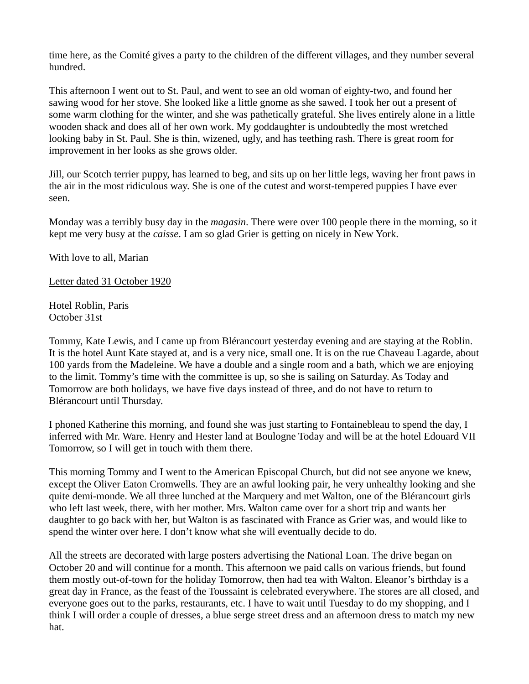time here, as the Comité gives a party to the children of the different villages, and they number several hundred.

This afternoon I went out to St. Paul, and went to see an old woman of eighty-two, and found her sawing wood for her stove. She looked like a little gnome as she sawed. I took her out a present of some warm clothing for the winter, and she was pathetically grateful. She lives entirely alone in a little wooden shack and does all of her own work. My goddaughter is undoubtedly the most wretched looking baby in St. Paul. She is thin, wizened, ugly, and has teething rash. There is great room for improvement in her looks as she grows older.

Jill, our Scotch terrier puppy, has learned to beg, and sits up on her little legs, waving her front paws in the air in the most ridiculous way. She is one of the cutest and worst-tempered puppies I have ever seen.

Monday was a terribly busy day in the *magasin*. There were over 100 people there in the morning, so it kept me very busy at the *caisse*. I am so glad Grier is getting on nicely in New York.

With love to all, Marian

Letter dated 31 October 1920

Hotel Roblin, Paris October 31st

Tommy, Kate Lewis, and I came up from Blérancourt yesterday evening and are staying at the Roblin. It is the hotel Aunt Kate stayed at, and is a very nice, small one. It is on the rue Chaveau Lagarde, about 100 yards from the Madeleine. We have a double and a single room and a bath, which we are enjoying to the limit. Tommy's time with the committee is up, so she is sailing on Saturday. As Today and Tomorrow are both holidays, we have five days instead of three, and do not have to return to Blérancourt until Thursday.

I phoned Katherine this morning, and found she was just starting to Fontainebleau to spend the day, I inferred with Mr. Ware. Henry and Hester land at Boulogne Today and will be at the hotel Edouard VII Tomorrow, so I will get in touch with them there.

This morning Tommy and I went to the American Episcopal Church, but did not see anyone we knew, except the Oliver Eaton Cromwells. They are an awful looking pair, he very unhealthy looking and she quite demi-monde. We all three lunched at the Marquery and met Walton, one of the Blérancourt girls who left last week, there, with her mother. Mrs. Walton came over for a short trip and wants her daughter to go back with her, but Walton is as fascinated with France as Grier was, and would like to spend the winter over here. I don't know what she will eventually decide to do.

All the streets are decorated with large posters advertising the National Loan. The drive began on October 20 and will continue for a month. This afternoon we paid calls on various friends, but found them mostly out-of-town for the holiday Tomorrow, then had tea with Walton. Eleanor's birthday is a great day in France, as the feast of the Toussaint is celebrated everywhere. The stores are all closed, and everyone goes out to the parks, restaurants, etc. I have to wait until Tuesday to do my shopping, and I think I will order a couple of dresses, a blue serge street dress and an afternoon dress to match my new hat.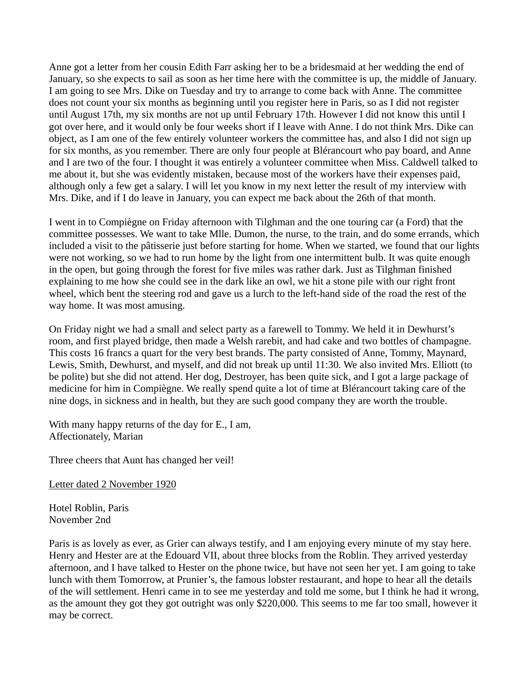Anne got a letter from her cousin Edith Farr asking her to be a bridesmaid at her wedding the end of January, so she expects to sail as soon as her time here with the committee is up, the middle of January. I am going to see Mrs. Dike on Tuesday and try to arrange to come back with Anne. The committee does not count your six months as beginning until you register here in Paris, so as I did not register until August 17th, my six months are not up until February 17th. However I did not know this until I got over here, and it would only be four weeks short if I leave with Anne. I do not think Mrs. Dike can object, as I am one of the few entirely volunteer workers the committee has, and also I did not sign up for six months, as you remember. There are only four people at Blérancourt who pay board, and Anne and I are two of the four. I thought it was entirely a volunteer committee when Miss. Caldwell talked to me about it, but she was evidently mistaken, because most of the workers have their expenses paid, although only a few get a salary. I will let you know in my next letter the result of my interview with Mrs. Dike, and if I do leave in January, you can expect me back about the 26th of that month.

I went in to Compiègne on Friday afternoon with Tilghman and the one touring car (a Ford) that the committee possesses. We want to take Mlle. Dumon, the nurse, to the train, and do some errands, which included a visit to the pâtisserie just before starting for home. When we started, we found that our lights were not working, so we had to run home by the light from one intermittent bulb. It was quite enough in the open, but going through the forest for five miles was rather dark. Just as Tilghman finished explaining to me how she could see in the dark like an owl, we hit a stone pile with our right front wheel, which bent the steering rod and gave us a lurch to the left-hand side of the road the rest of the way home. It was most amusing.

On Friday night we had a small and select party as a farewell to Tommy. We held it in Dewhurst's room, and first played bridge, then made a Welsh rarebit, and had cake and two bottles of champagne. This costs 16 francs a quart for the very best brands. The party consisted of Anne, Tommy, Maynard, Lewis, Smith, Dewhurst, and myself, and did not break up until 11:30. We also invited Mrs. Elliott (to be polite) but she did not attend. Her dog, Destroyer, has been quite sick, and I got a large package of medicine for him in Compiègne. We really spend quite a lot of time at Blérancourt taking care of the nine dogs, in sickness and in health, but they are such good company they are worth the trouble.

With many happy returns of the day for E., I am, Affectionately, Marian

Three cheers that Aunt has changed her veil!

Letter dated 2 November 1920

Hotel Roblin, Paris November 2nd

Paris is as lovely as ever, as Grier can always testify, and I am enjoying every minute of my stay here. Henry and Hester are at the Edouard VII, about three blocks from the Roblin. They arrived yesterday afternoon, and I have talked to Hester on the phone twice, but have not seen her yet. I am going to take lunch with them Tomorrow, at Prunier's, the famous lobster restaurant, and hope to hear all the details of the will settlement. Henri came in to see me yesterday and told me some, but I think he had it wrong, as the amount they got they got outright was only \$220,000. This seems to me far too small, however it may be correct.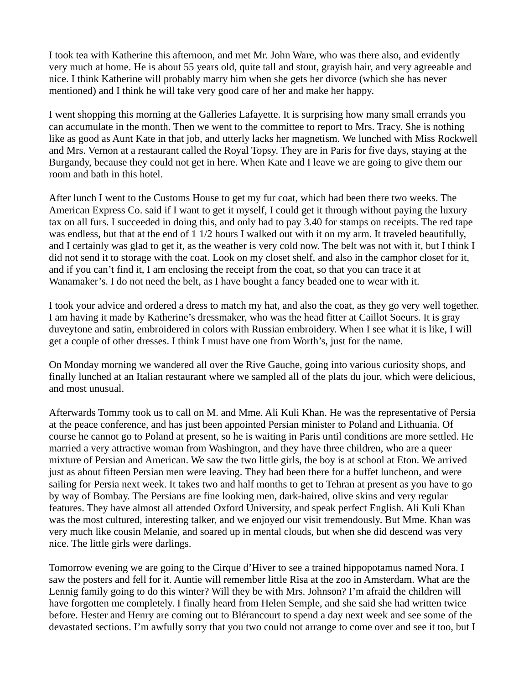I took tea with Katherine this afternoon, and met Mr. John Ware, who was there also, and evidently very much at home. He is about 55 years old, quite tall and stout, grayish hair, and very agreeable and nice. I think Katherine will probably marry him when she gets her divorce (which she has never mentioned) and I think he will take very good care of her and make her happy.

I went shopping this morning at the Galleries Lafayette. It is surprising how many small errands you can accumulate in the month. Then we went to the committee to report to Mrs. Tracy. She is nothing like as good as Aunt Kate in that job, and utterly lacks her magnetism. We lunched with Miss Rockwell and Mrs. Vernon at a restaurant called the Royal Topsy. They are in Paris for five days, staying at the Burgandy, because they could not get in here. When Kate and I leave we are going to give them our room and bath in this hotel.

After lunch I went to the Customs House to get my fur coat, which had been there two weeks. The American Express Co. said if I want to get it myself, I could get it through without paying the luxury tax on all furs. I succeeded in doing this, and only had to pay 3.40 for stamps on receipts. The red tape was endless, but that at the end of 1 1/2 hours I walked out with it on my arm. It traveled beautifully, and I certainly was glad to get it, as the weather is very cold now. The belt was not with it, but I think I did not send it to storage with the coat. Look on my closet shelf, and also in the camphor closet for it, and if you can't find it, I am enclosing the receipt from the coat, so that you can trace it at Wanamaker's. I do not need the belt, as I have bought a fancy beaded one to wear with it.

I took your advice and ordered a dress to match my hat, and also the coat, as they go very well together. I am having it made by Katherine's dressmaker, who was the head fitter at Caillot Soeurs. It is gray duveytone and satin, embroidered in colors with Russian embroidery. When I see what it is like, I will get a couple of other dresses. I think I must have one from Worth's, just for the name.

On Monday morning we wandered all over the Rive Gauche, going into various curiosity shops, and finally lunched at an Italian restaurant where we sampled all of the plats du jour, which were delicious, and most unusual.

Afterwards Tommy took us to call on M. and Mme. Ali Kuli Khan. He was the representative of Persia at the peace conference, and has just been appointed Persian minister to Poland and Lithuania. Of course he cannot go to Poland at present, so he is waiting in Paris until conditions are more settled. He married a very attractive woman from Washington, and they have three children, who are a queer mixture of Persian and American. We saw the two little girls, the boy is at school at Eton. We arrived just as about fifteen Persian men were leaving. They had been there for a buffet luncheon, and were sailing for Persia next week. It takes two and half months to get to Tehran at present as you have to go by way of Bombay. The Persians are fine looking men, dark-haired, olive skins and very regular features. They have almost all attended Oxford University, and speak perfect English. Ali Kuli Khan was the most cultured, interesting talker, and we enjoyed our visit tremendously. But Mme. Khan was very much like cousin Melanie, and soared up in mental clouds, but when she did descend was very nice. The little girls were darlings.

Tomorrow evening we are going to the Cirque d'Hiver to see a trained hippopotamus named Nora. I saw the posters and fell for it. Auntie will remember little Risa at the zoo in Amsterdam. What are the Lennig family going to do this winter? Will they be with Mrs. Johnson? I'm afraid the children will have forgotten me completely. I finally heard from Helen Semple, and she said she had written twice before. Hester and Henry are coming out to Blérancourt to spend a day next week and see some of the devastated sections. I'm awfully sorry that you two could not arrange to come over and see it too, but I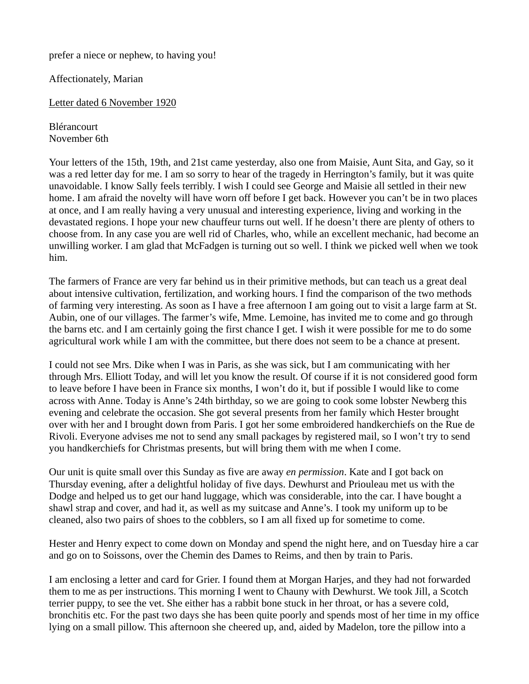prefer a niece or nephew, to having you!

Affectionately, Marian

Letter dated 6 November 1920

Blérancourt November 6th

Your letters of the 15th, 19th, and 21st came yesterday, also one from Maisie, Aunt Sita, and Gay, so it was a red letter day for me. I am so sorry to hear of the tragedy in Herrington's family, but it was quite unavoidable. I know Sally feels terribly. I wish I could see George and Maisie all settled in their new home. I am afraid the novelty will have worn off before I get back. However you can't be in two places at once, and I am really having a very unusual and interesting experience, living and working in the devastated regions. I hope your new chauffeur turns out well. If he doesn't there are plenty of others to choose from. In any case you are well rid of Charles, who, while an excellent mechanic, had become an unwilling worker. I am glad that McFadgen is turning out so well. I think we picked well when we took him.

The farmers of France are very far behind us in their primitive methods, but can teach us a great deal about intensive cultivation, fertilization, and working hours. I find the comparison of the two methods of farming very interesting. As soon as I have a free afternoon I am going out to visit a large farm at St. Aubin, one of our villages. The farmer's wife, Mme. Lemoine, has invited me to come and go through the barns etc. and I am certainly going the first chance I get. I wish it were possible for me to do some agricultural work while I am with the committee, but there does not seem to be a chance at present.

I could not see Mrs. Dike when I was in Paris, as she was sick, but I am communicating with her through Mrs. Elliott Today, and will let you know the result. Of course if it is not considered good form to leave before I have been in France six months, I won't do it, but if possible I would like to come across with Anne. Today is Anne's 24th birthday, so we are going to cook some lobster Newberg this evening and celebrate the occasion. She got several presents from her family which Hester brought over with her and I brought down from Paris. I got her some embroidered handkerchiefs on the Rue de Rivoli. Everyone advises me not to send any small packages by registered mail, so I won't try to send you handkerchiefs for Christmas presents, but will bring them with me when I come.

Our unit is quite small over this Sunday as five are away *en permission*. Kate and I got back on Thursday evening, after a delightful holiday of five days. Dewhurst and Priouleau met us with the Dodge and helped us to get our hand luggage, which was considerable, into the car. I have bought a shawl strap and cover, and had it, as well as my suitcase and Anne's. I took my uniform up to be cleaned, also two pairs of shoes to the cobblers, so I am all fixed up for sometime to come.

Hester and Henry expect to come down on Monday and spend the night here, and on Tuesday hire a car and go on to Soissons, over the Chemin des Dames to Reims, and then by train to Paris.

I am enclosing a letter and card for Grier. I found them at Morgan Harjes, and they had not forwarded them to me as per instructions. This morning I went to Chauny with Dewhurst. We took Jill, a Scotch terrier puppy, to see the vet. She either has a rabbit bone stuck in her throat, or has a severe cold, bronchitis etc. For the past two days she has been quite poorly and spends most of her time in my office lying on a small pillow. This afternoon she cheered up, and, aided by Madelon, tore the pillow into a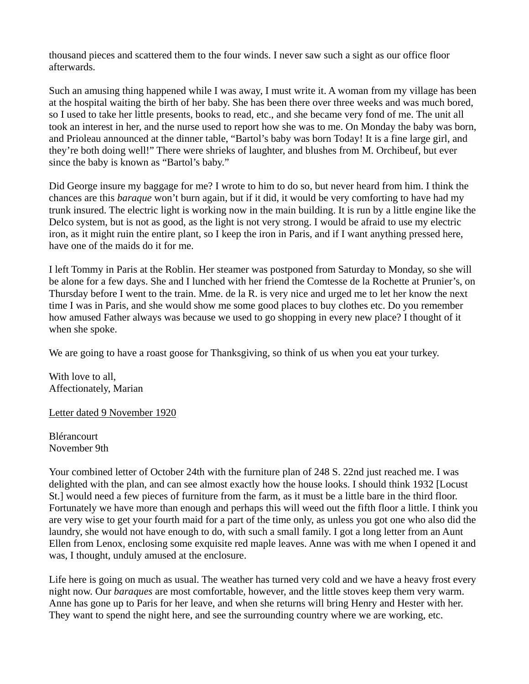thousand pieces and scattered them to the four winds. I never saw such a sight as our office floor afterwards.

Such an amusing thing happened while I was away, I must write it. A woman from my village has been at the hospital waiting the birth of her baby. She has been there over three weeks and was much bored, so I used to take her little presents, books to read, etc., and she became very fond of me. The unit all took an interest in her, and the nurse used to report how she was to me. On Monday the baby was born, and Prioleau announced at the dinner table, "Bartol's baby was born Today! It is a fine large girl, and they're both doing well!" There were shrieks of laughter, and blushes from M. Orchibeuf, but ever since the baby is known as "Bartol's baby."

Did George insure my baggage for me? I wrote to him to do so, but never heard from him. I think the chances are this *baraque* won't burn again, but if it did, it would be very comforting to have had my trunk insured. The electric light is working now in the main building. It is run by a little engine like the Delco system, but is not as good, as the light is not very strong. I would be afraid to use my electric iron, as it might ruin the entire plant, so I keep the iron in Paris, and if I want anything pressed here, have one of the maids do it for me.

I left Tommy in Paris at the Roblin. Her steamer was postponed from Saturday to Monday, so she will be alone for a few days. She and I lunched with her friend the Comtesse de la Rochette at Prunier's, on Thursday before I went to the train. Mme. de la R. is very nice and urged me to let her know the next time I was in Paris, and she would show me some good places to buy clothes etc. Do you remember how amused Father always was because we used to go shopping in every new place? I thought of it when she spoke.

We are going to have a roast goose for Thanksgiving, so think of us when you eat your turkey.

With love to all. Affectionately, Marian

Letter dated 9 November 1920

Blérancourt November 9th

Your combined letter of October 24th with the furniture plan of 248 S. 22nd just reached me. I was delighted with the plan, and can see almost exactly how the house looks. I should think 1932 [Locust St.] would need a few pieces of furniture from the farm, as it must be a little bare in the third floor. Fortunately we have more than enough and perhaps this will weed out the fifth floor a little. I think you are very wise to get your fourth maid for a part of the time only, as unless you got one who also did the laundry, she would not have enough to do, with such a small family. I got a long letter from an Aunt Ellen from Lenox, enclosing some exquisite red maple leaves. Anne was with me when I opened it and was, I thought, unduly amused at the enclosure.

Life here is going on much as usual. The weather has turned very cold and we have a heavy frost every night now. Our *baraques* are most comfortable, however, and the little stoves keep them very warm. Anne has gone up to Paris for her leave, and when she returns will bring Henry and Hester with her. They want to spend the night here, and see the surrounding country where we are working, etc.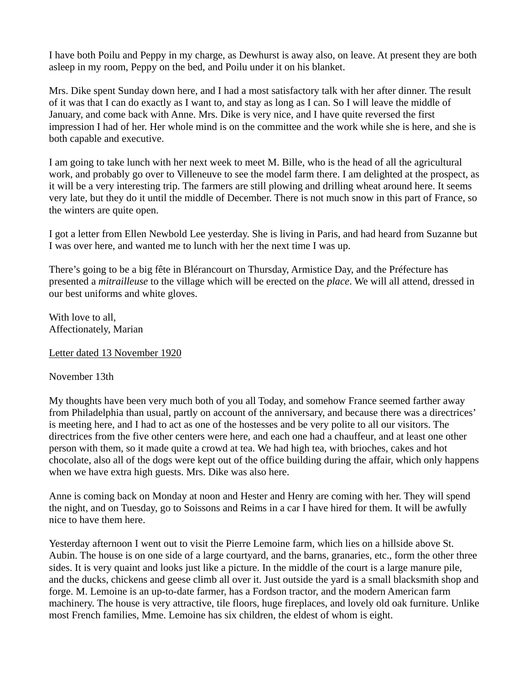I have both Poilu and Peppy in my charge, as Dewhurst is away also, on leave. At present they are both asleep in my room, Peppy on the bed, and Poilu under it on his blanket.

Mrs. Dike spent Sunday down here, and I had a most satisfactory talk with her after dinner. The result of it was that I can do exactly as I want to, and stay as long as I can. So I will leave the middle of January, and come back with Anne. Mrs. Dike is very nice, and I have quite reversed the first impression I had of her. Her whole mind is on the committee and the work while she is here, and she is both capable and executive.

I am going to take lunch with her next week to meet M. Bille, who is the head of all the agricultural work, and probably go over to Villeneuve to see the model farm there. I am delighted at the prospect, as it will be a very interesting trip. The farmers are still plowing and drilling wheat around here. It seems very late, but they do it until the middle of December. There is not much snow in this part of France, so the winters are quite open.

I got a letter from Ellen Newbold Lee yesterday. She is living in Paris, and had heard from Suzanne but I was over here, and wanted me to lunch with her the next time I was up.

There's going to be a big fête in Blérancourt on Thursday, Armistice Day, and the Préfecture has presented a *mitrailleuse* to the village which will be erected on the *place*. We will all attend, dressed in our best uniforms and white gloves.

With love to all, Affectionately, Marian

Letter dated 13 November 1920

November 13th

My thoughts have been very much both of you all Today, and somehow France seemed farther away from Philadelphia than usual, partly on account of the anniversary, and because there was a directrices' is meeting here, and I had to act as one of the hostesses and be very polite to all our visitors. The directrices from the five other centers were here, and each one had a chauffeur, and at least one other person with them, so it made quite a crowd at tea. We had high tea, with brioches, cakes and hot chocolate, also all of the dogs were kept out of the office building during the affair, which only happens when we have extra high guests. Mrs. Dike was also here.

Anne is coming back on Monday at noon and Hester and Henry are coming with her. They will spend the night, and on Tuesday, go to Soissons and Reims in a car I have hired for them. It will be awfully nice to have them here.

Yesterday afternoon I went out to visit the Pierre Lemoine farm, which lies on a hillside above St. Aubin. The house is on one side of a large courtyard, and the barns, granaries, etc., form the other three sides. It is very quaint and looks just like a picture. In the middle of the court is a large manure pile, and the ducks, chickens and geese climb all over it. Just outside the yard is a small blacksmith shop and forge. M. Lemoine is an up-to-date farmer, has a Fordson tractor, and the modern American farm machinery. The house is very attractive, tile floors, huge fireplaces, and lovely old oak furniture. Unlike most French families, Mme. Lemoine has six children, the eldest of whom is eight.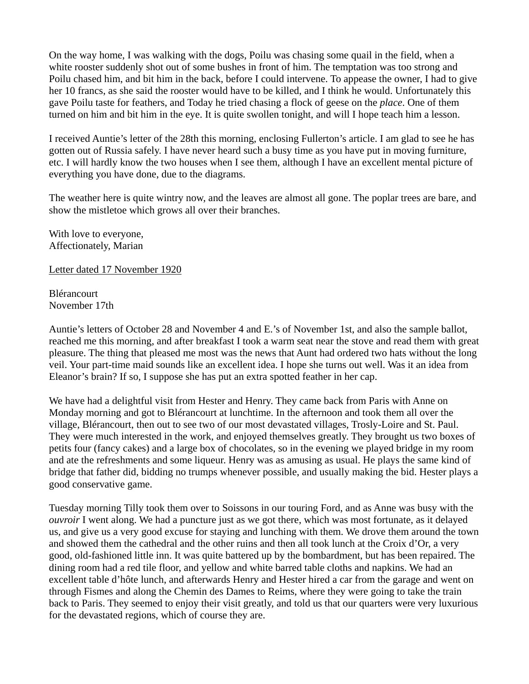On the way home, I was walking with the dogs, Poilu was chasing some quail in the field, when a white rooster suddenly shot out of some bushes in front of him. The temptation was too strong and Poilu chased him, and bit him in the back, before I could intervene. To appease the owner, I had to give her 10 francs, as she said the rooster would have to be killed, and I think he would. Unfortunately this gave Poilu taste for feathers, and Today he tried chasing a flock of geese on the *place*. One of them turned on him and bit him in the eye. It is quite swollen tonight, and will I hope teach him a lesson.

I received Auntie's letter of the 28th this morning, enclosing Fullerton's article. I am glad to see he has gotten out of Russia safely. I have never heard such a busy time as you have put in moving furniture, etc. I will hardly know the two houses when I see them, although I have an excellent mental picture of everything you have done, due to the diagrams.

The weather here is quite wintry now, and the leaves are almost all gone. The poplar trees are bare, and show the mistletoe which grows all over their branches.

With love to everyone, Affectionately, Marian

Letter dated 17 November 1920

Blérancourt November 17th

Auntie's letters of October 28 and November 4 and E.'s of November 1st, and also the sample ballot, reached me this morning, and after breakfast I took a warm seat near the stove and read them with great pleasure. The thing that pleased me most was the news that Aunt had ordered two hats without the long veil. Your part-time maid sounds like an excellent idea. I hope she turns out well. Was it an idea from Eleanor's brain? If so, I suppose she has put an extra spotted feather in her cap.

We have had a delightful visit from Hester and Henry. They came back from Paris with Anne on Monday morning and got to Blérancourt at lunchtime. In the afternoon and took them all over the village, Blérancourt, then out to see two of our most devastated villages, Trosly-Loire and St. Paul. They were much interested in the work, and enjoyed themselves greatly. They brought us two boxes of petits four (fancy cakes) and a large box of chocolates, so in the evening we played bridge in my room and ate the refreshments and some liqueur. Henry was as amusing as usual. He plays the same kind of bridge that father did, bidding no trumps whenever possible, and usually making the bid. Hester plays a good conservative game.

Tuesday morning Tilly took them over to Soissons in our touring Ford, and as Anne was busy with the *ouvroir* I went along. We had a puncture just as we got there, which was most fortunate, as it delayed us, and give us a very good excuse for staying and lunching with them. We drove them around the town and showed them the cathedral and the other ruins and then all took lunch at the Croix d'Or, a very good, old-fashioned little inn. It was quite battered up by the bombardment, but has been repaired. The dining room had a red tile floor, and yellow and white barred table cloths and napkins. We had an excellent table d'hôte lunch, and afterwards Henry and Hester hired a car from the garage and went on through Fismes and along the Chemin des Dames to Reims, where they were going to take the train back to Paris. They seemed to enjoy their visit greatly, and told us that our quarters were very luxurious for the devastated regions, which of course they are.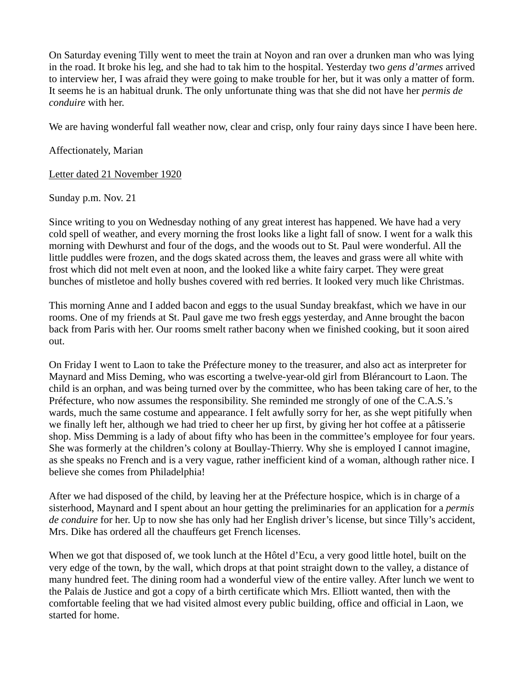On Saturday evening Tilly went to meet the train at Noyon and ran over a drunken man who was lying in the road. It broke his leg, and she had to tak him to the hospital. Yesterday two *gens d'armes* arrived to interview her, I was afraid they were going to make trouble for her, but it was only a matter of form. It seems he is an habitual drunk. The only unfortunate thing was that she did not have her *permis de conduire* with her.

We are having wonderful fall weather now, clear and crisp, only four rainy days since I have been here.

# Affectionately, Marian

Letter dated 21 November 1920

## Sunday p.m. Nov. 21

Since writing to you on Wednesday nothing of any great interest has happened. We have had a very cold spell of weather, and every morning the frost looks like a light fall of snow. I went for a walk this morning with Dewhurst and four of the dogs, and the woods out to St. Paul were wonderful. All the little puddles were frozen, and the dogs skated across them, the leaves and grass were all white with frost which did not melt even at noon, and the looked like a white fairy carpet. They were great bunches of mistletoe and holly bushes covered with red berries. It looked very much like Christmas.

This morning Anne and I added bacon and eggs to the usual Sunday breakfast, which we have in our rooms. One of my friends at St. Paul gave me two fresh eggs yesterday, and Anne brought the bacon back from Paris with her. Our rooms smelt rather bacony when we finished cooking, but it soon aired out.

On Friday I went to Laon to take the Préfecture money to the treasurer, and also act as interpreter for Maynard and Miss Deming, who was escorting a twelve-year-old girl from Blérancourt to Laon. The child is an orphan, and was being turned over by the committee, who has been taking care of her, to the Préfecture, who now assumes the responsibility. She reminded me strongly of one of the C.A.S.'s wards, much the same costume and appearance. I felt awfully sorry for her, as she wept pitifully when we finally left her, although we had tried to cheer her up first, by giving her hot coffee at a pâtisserie shop. Miss Demming is a lady of about fifty who has been in the committee's employee for four years. She was formerly at the children's colony at Boullay-Thierry. Why she is employed I cannot imagine, as she speaks no French and is a very vague, rather inefficient kind of a woman, although rather nice. I believe she comes from Philadelphia!

After we had disposed of the child, by leaving her at the Préfecture hospice, which is in charge of a sisterhood, Maynard and I spent about an hour getting the preliminaries for an application for a *permis de conduire* for her. Up to now she has only had her English driver's license, but since Tilly's accident, Mrs. Dike has ordered all the chauffeurs get French licenses.

When we got that disposed of, we took lunch at the Hôtel d'Ecu, a very good little hotel, built on the very edge of the town, by the wall, which drops at that point straight down to the valley, a distance of many hundred feet. The dining room had a wonderful view of the entire valley. After lunch we went to the Palais de Justice and got a copy of a birth certificate which Mrs. Elliott wanted, then with the comfortable feeling that we had visited almost every public building, office and official in Laon, we started for home.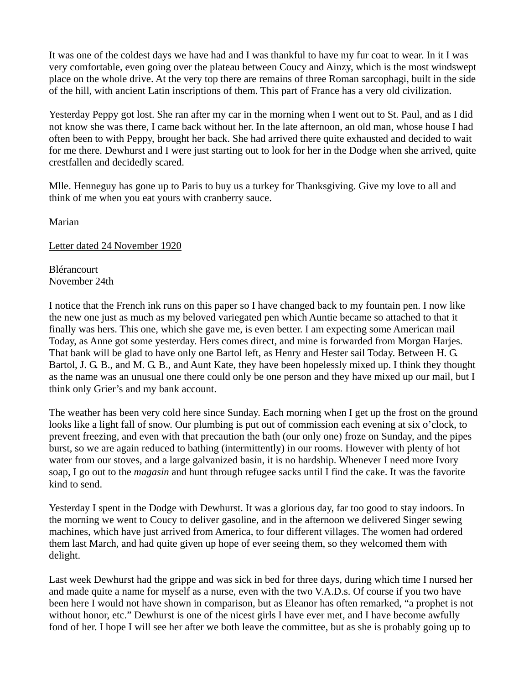It was one of the coldest days we have had and I was thankful to have my fur coat to wear. In it I was very comfortable, even going over the plateau between Coucy and Ainzy, which is the most windswept place on the whole drive. At the very top there are remains of three Roman sarcophagi, built in the side of the hill, with ancient Latin inscriptions of them. This part of France has a very old civilization.

Yesterday Peppy got lost. She ran after my car in the morning when I went out to St. Paul, and as I did not know she was there, I came back without her. In the late afternoon, an old man, whose house I had often been to with Peppy, brought her back. She had arrived there quite exhausted and decided to wait for me there. Dewhurst and I were just starting out to look for her in the Dodge when she arrived, quite crestfallen and decidedly scared.

Mlle. Henneguy has gone up to Paris to buy us a turkey for Thanksgiving. Give my love to all and think of me when you eat yours with cranberry sauce.

Marian

Letter dated 24 November 1920

Blérancourt November 24th

I notice that the French ink runs on this paper so I have changed back to my fountain pen. I now like the new one just as much as my beloved variegated pen which Auntie became so attached to that it finally was hers. This one, which she gave me, is even better. I am expecting some American mail Today, as Anne got some yesterday. Hers comes direct, and mine is forwarded from Morgan Harjes. That bank will be glad to have only one Bartol left, as Henry and Hester sail Today. Between H. G. Bartol, J. G. B., and M. G. B., and Aunt Kate, they have been hopelessly mixed up. I think they thought as the name was an unusual one there could only be one person and they have mixed up our mail, but I think only Grier's and my bank account.

The weather has been very cold here since Sunday. Each morning when I get up the frost on the ground looks like a light fall of snow. Our plumbing is put out of commission each evening at six o'clock, to prevent freezing, and even with that precaution the bath (our only one) froze on Sunday, and the pipes burst, so we are again reduced to bathing (intermittently) in our rooms. However with plenty of hot water from our stoves, and a large galvanized basin, it is no hardship. Whenever I need more Ivory soap, I go out to the *magasin* and hunt through refugee sacks until I find the cake. It was the favorite kind to send.

Yesterday I spent in the Dodge with Dewhurst. It was a glorious day, far too good to stay indoors. In the morning we went to Coucy to deliver gasoline, and in the afternoon we delivered Singer sewing machines, which have just arrived from America, to four different villages. The women had ordered them last March, and had quite given up hope of ever seeing them, so they welcomed them with delight.

Last week Dewhurst had the grippe and was sick in bed for three days, during which time I nursed her and made quite a name for myself as a nurse, even with the two V.A.D.s. Of course if you two have been here I would not have shown in comparison, but as Eleanor has often remarked, "a prophet is not without honor, etc." Dewhurst is one of the nicest girls I have ever met, and I have become awfully fond of her. I hope I will see her after we both leave the committee, but as she is probably going up to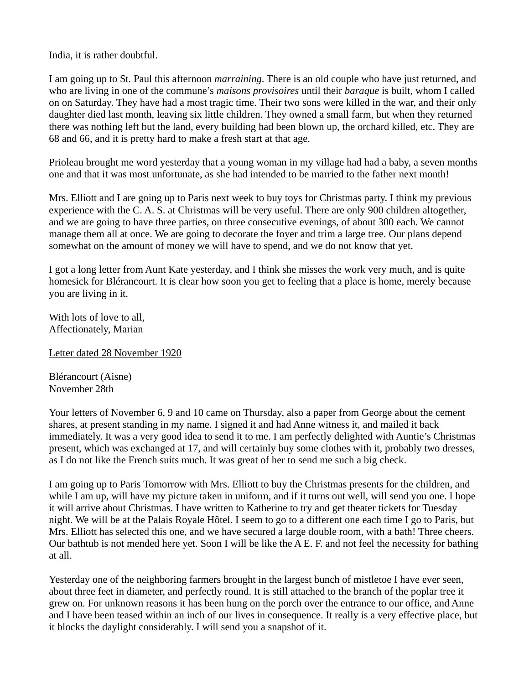India, it is rather doubtful.

I am going up to St. Paul this afternoon *marraining*. There is an old couple who have just returned, and who are living in one of the commune's *maisons provisoires* until their *baraque* is built, whom I called on on Saturday. They have had a most tragic time. Their two sons were killed in the war, and their only daughter died last month, leaving six little children. They owned a small farm, but when they returned there was nothing left but the land, every building had been blown up, the orchard killed, etc. They are 68 and 66, and it is pretty hard to make a fresh start at that age.

Prioleau brought me word yesterday that a young woman in my village had had a baby, a seven months one and that it was most unfortunate, as she had intended to be married to the father next month!

Mrs. Elliott and I are going up to Paris next week to buy toys for Christmas party. I think my previous experience with the C. A. S. at Christmas will be very useful. There are only 900 children altogether, and we are going to have three parties, on three consecutive evenings, of about 300 each. We cannot manage them all at once. We are going to decorate the foyer and trim a large tree. Our plans depend somewhat on the amount of money we will have to spend, and we do not know that yet.

I got a long letter from Aunt Kate yesterday, and I think she misses the work very much, and is quite homesick for Blérancourt. It is clear how soon you get to feeling that a place is home, merely because you are living in it.

With lots of love to all, Affectionately, Marian

Letter dated 28 November 1920

Blérancourt (Aisne) November 28th

Your letters of November 6, 9 and 10 came on Thursday, also a paper from George about the cement shares, at present standing in my name. I signed it and had Anne witness it, and mailed it back immediately. It was a very good idea to send it to me. I am perfectly delighted with Auntie's Christmas present, which was exchanged at 17, and will certainly buy some clothes with it, probably two dresses, as I do not like the French suits much. It was great of her to send me such a big check.

I am going up to Paris Tomorrow with Mrs. Elliott to buy the Christmas presents for the children, and while I am up, will have my picture taken in uniform, and if it turns out well, will send you one. I hope it will arrive about Christmas. I have written to Katherine to try and get theater tickets for Tuesday night. We will be at the Palais Royale Hôtel. I seem to go to a different one each time I go to Paris, but Mrs. Elliott has selected this one, and we have secured a large double room, with a bath! Three cheers. Our bathtub is not mended here yet. Soon I will be like the A E. F. and not feel the necessity for bathing at all.

Yesterday one of the neighboring farmers brought in the largest bunch of mistletoe I have ever seen, about three feet in diameter, and perfectly round. It is still attached to the branch of the poplar tree it grew on. For unknown reasons it has been hung on the porch over the entrance to our office, and Anne and I have been teased within an inch of our lives in consequence. It really is a very effective place, but it blocks the daylight considerably. I will send you a snapshot of it.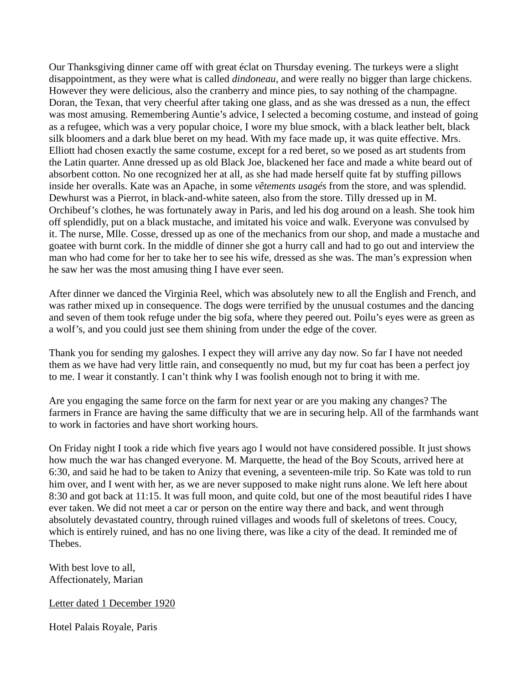Our Thanksgiving dinner came off with great éclat on Thursday evening. The turkeys were a slight disappointment, as they were what is called *dindoneau,* and were really no bigger than large chickens. However they were delicious, also the cranberry and mince pies, to say nothing of the champagne. Doran, the Texan, that very cheerful after taking one glass, and as she was dressed as a nun, the effect was most amusing. Remembering Auntie's advice, I selected a becoming costume, and instead of going as a refugee, which was a very popular choice, I wore my blue smock, with a black leather belt, black silk bloomers and a dark blue beret on my head. With my face made up, it was quite effective. Mrs. Elliott had chosen exactly the same costume, except for a red beret, so we posed as art students from the Latin quarter. Anne dressed up as old Black Joe, blackened her face and made a white beard out of absorbent cotton. No one recognized her at all, as she had made herself quite fat by stuffing pillows inside her overalls. Kate was an Apache, in some *vêtements usagés* from the store, and was splendid. Dewhurst was a Pierrot, in black-and-white sateen, also from the store. Tilly dressed up in M. Orchibeuf's clothes, he was fortunately away in Paris, and led his dog around on a leash. She took him off splendidly, put on a black mustache, and imitated his voice and walk. Everyone was convulsed by it. The nurse, Mlle. Cosse, dressed up as one of the mechanics from our shop, and made a mustache and goatee with burnt cork. In the middle of dinner she got a hurry call and had to go out and interview the man who had come for her to take her to see his wife, dressed as she was. The man's expression when he saw her was the most amusing thing I have ever seen.

After dinner we danced the Virginia Reel, which was absolutely new to all the English and French, and was rather mixed up in consequence. The dogs were terrified by the unusual costumes and the dancing and seven of them took refuge under the big sofa, where they peered out. Poilu's eyes were as green as a wolf's, and you could just see them shining from under the edge of the cover.

Thank you for sending my galoshes. I expect they will arrive any day now. So far I have not needed them as we have had very little rain, and consequently no mud, but my fur coat has been a perfect joy to me. I wear it constantly. I can't think why I was foolish enough not to bring it with me.

Are you engaging the same force on the farm for next year or are you making any changes? The farmers in France are having the same difficulty that we are in securing help. All of the farmhands want to work in factories and have short working hours.

On Friday night I took a ride which five years ago I would not have considered possible. It just shows how much the war has changed everyone. M. Marquette, the head of the Boy Scouts, arrived here at 6:30, and said he had to be taken to Anizy that evening, a seventeen-mile trip. So Kate was told to run him over, and I went with her, as we are never supposed to make night runs alone. We left here about 8:30 and got back at 11:15. It was full moon, and quite cold, but one of the most beautiful rides I have ever taken. We did not meet a car or person on the entire way there and back, and went through absolutely devastated country, through ruined villages and woods full of skeletons of trees. Coucy, which is entirely ruined, and has no one living there, was like a city of the dead. It reminded me of Thebes.

With best love to all, Affectionately, Marian

Letter dated 1 December 1920

Hotel Palais Royale, Paris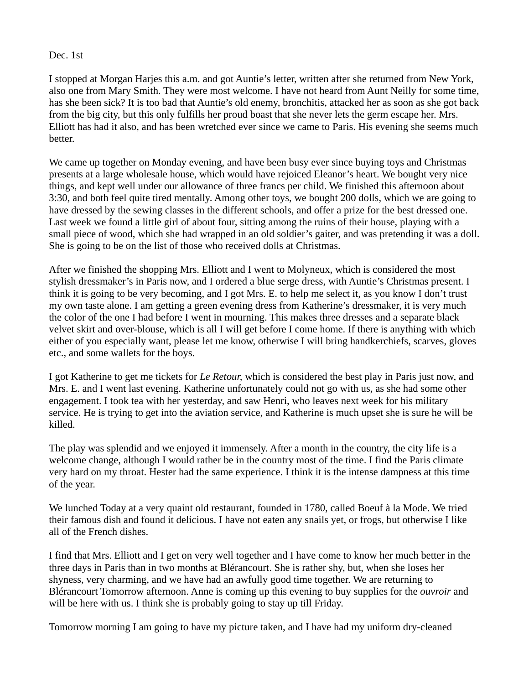Dec. 1st

I stopped at Morgan Harjes this a.m. and got Auntie's letter, written after she returned from New York, also one from Mary Smith. They were most welcome. I have not heard from Aunt Neilly for some time, has she been sick? It is too bad that Auntie's old enemy, bronchitis, attacked her as soon as she got back from the big city, but this only fulfills her proud boast that she never lets the germ escape her. Mrs. Elliott has had it also, and has been wretched ever since we came to Paris. His evening she seems much better.

We came up together on Monday evening, and have been busy ever since buying toys and Christmas presents at a large wholesale house, which would have rejoiced Eleanor's heart. We bought very nice things, and kept well under our allowance of three francs per child. We finished this afternoon about 3:30, and both feel quite tired mentally. Among other toys, we bought 200 dolls, which we are going to have dressed by the sewing classes in the different schools, and offer a prize for the best dressed one. Last week we found a little girl of about four, sitting among the ruins of their house, playing with a small piece of wood, which she had wrapped in an old soldier's gaiter, and was pretending it was a doll. She is going to be on the list of those who received dolls at Christmas.

After we finished the shopping Mrs. Elliott and I went to Molyneux, which is considered the most stylish dressmaker's in Paris now, and I ordered a blue serge dress, with Auntie's Christmas present. I think it is going to be very becoming, and I got Mrs. E. to help me select it, as you know I don't trust my own taste alone. I am getting a green evening dress from Katherine's dressmaker, it is very much the color of the one I had before I went in mourning. This makes three dresses and a separate black velvet skirt and over-blouse, which is all I will get before I come home. If there is anything with which either of you especially want, please let me know, otherwise I will bring handkerchiefs, scarves, gloves etc., and some wallets for the boys.

I got Katherine to get me tickets for *Le Retour,* which is considered the best play in Paris just now, and Mrs. E. and I went last evening. Katherine unfortunately could not go with us, as she had some other engagement. I took tea with her yesterday, and saw Henri, who leaves next week for his military service. He is trying to get into the aviation service, and Katherine is much upset she is sure he will be killed.

The play was splendid and we enjoyed it immensely. After a month in the country, the city life is a welcome change, although I would rather be in the country most of the time. I find the Paris climate very hard on my throat. Hester had the same experience. I think it is the intense dampness at this time of the year.

We lunched Today at a very quaint old restaurant, founded in 1780, called Boeuf à la Mode. We tried their famous dish and found it delicious. I have not eaten any snails yet, or frogs, but otherwise I like all of the French dishes.

I find that Mrs. Elliott and I get on very well together and I have come to know her much better in the three days in Paris than in two months at Blérancourt. She is rather shy, but, when she loses her shyness, very charming, and we have had an awfully good time together. We are returning to Blérancourt Tomorrow afternoon. Anne is coming up this evening to buy supplies for the *ouvroir* and will be here with us. I think she is probably going to stay up till Friday.

Tomorrow morning I am going to have my picture taken, and I have had my uniform dry-cleaned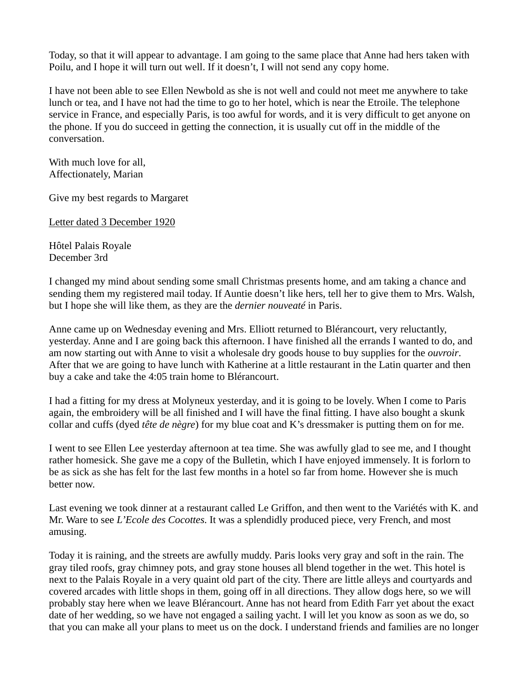Today, so that it will appear to advantage. I am going to the same place that Anne had hers taken with Poilu, and I hope it will turn out well. If it doesn't, I will not send any copy home.

I have not been able to see Ellen Newbold as she is not well and could not meet me anywhere to take lunch or tea, and I have not had the time to go to her hotel, which is near the Etroile. The telephone service in France, and especially Paris, is too awful for words, and it is very difficult to get anyone on the phone. If you do succeed in getting the connection, it is usually cut off in the middle of the conversation.

With much love for all, Affectionately, Marian

Give my best regards to Margaret

Letter dated 3 December 1920

Hôtel Palais Royale December 3rd

I changed my mind about sending some small Christmas presents home, and am taking a chance and sending them my registered mail today. If Auntie doesn't like hers, tell her to give them to Mrs. Walsh, but I hope she will like them, as they are the *dernier nouveaté* in Paris.

Anne came up on Wednesday evening and Mrs. Elliott returned to Blérancourt, very reluctantly, yesterday. Anne and I are going back this afternoon. I have finished all the errands I wanted to do, and am now starting out with Anne to visit a wholesale dry goods house to buy supplies for the *ouvroir*. After that we are going to have lunch with Katherine at a little restaurant in the Latin quarter and then buy a cake and take the 4:05 train home to Blérancourt.

I had a fitting for my dress at Molyneux yesterday, and it is going to be lovely. When I come to Paris again, the embroidery will be all finished and I will have the final fitting. I have also bought a skunk collar and cuffs (dyed *tête de nègre*) for my blue coat and K's dressmaker is putting them on for me.

I went to see Ellen Lee yesterday afternoon at tea time. She was awfully glad to see me, and I thought rather homesick. She gave me a copy of the Bulletin, which I have enjoyed immensely. It is forlorn to be as sick as she has felt for the last few months in a hotel so far from home. However she is much better now.

Last evening we took dinner at a restaurant called Le Griffon, and then went to the Variétés with K. and Mr. Ware to see *L'Ecole des Cocottes*. It was a splendidly produced piece, very French, and most amusing.

Today it is raining, and the streets are awfully muddy. Paris looks very gray and soft in the rain. The gray tiled roofs, gray chimney pots, and gray stone houses all blend together in the wet. This hotel is next to the Palais Royale in a very quaint old part of the city. There are little alleys and courtyards and covered arcades with little shops in them, going off in all directions. They allow dogs here, so we will probably stay here when we leave Blérancourt. Anne has not heard from Edith Farr yet about the exact date of her wedding, so we have not engaged a sailing yacht. I will let you know as soon as we do, so that you can make all your plans to meet us on the dock. I understand friends and families are no longer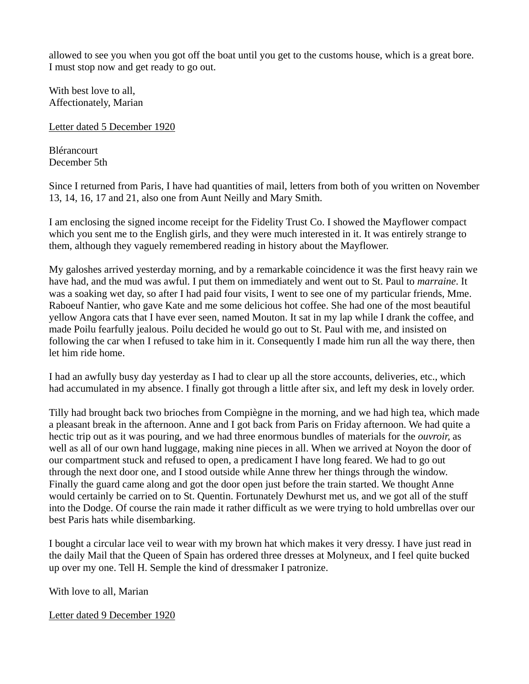allowed to see you when you got off the boat until you get to the customs house, which is a great bore. I must stop now and get ready to go out.

With best love to all, Affectionately, Marian

Letter dated 5 December 1920

Blérancourt December 5th

Since I returned from Paris, I have had quantities of mail, letters from both of you written on November 13, 14, 16, 17 and 21, also one from Aunt Neilly and Mary Smith.

I am enclosing the signed income receipt for the Fidelity Trust Co. I showed the Mayflower compact which you sent me to the English girls, and they were much interested in it. It was entirely strange to them, although they vaguely remembered reading in history about the Mayflower.

My galoshes arrived yesterday morning, and by a remarkable coincidence it was the first heavy rain we have had, and the mud was awful. I put them on immediately and went out to St. Paul to *marraine*. It was a soaking wet day, so after I had paid four visits, I went to see one of my particular friends, Mme. Raboeuf Nantier, who gave Kate and me some delicious hot coffee. She had one of the most beautiful yellow Angora cats that I have ever seen, named Mouton. It sat in my lap while I drank the coffee, and made Poilu fearfully jealous. Poilu decided he would go out to St. Paul with me, and insisted on following the car when I refused to take him in it. Consequently I made him run all the way there, then let him ride home.

I had an awfully busy day yesterday as I had to clear up all the store accounts, deliveries, etc., which had accumulated in my absence. I finally got through a little after six, and left my desk in lovely order.

Tilly had brought back two brioches from Compiègne in the morning, and we had high tea, which made a pleasant break in the afternoon. Anne and I got back from Paris on Friday afternoon. We had quite a hectic trip out as it was pouring, and we had three enormous bundles of materials for the *ouvroir,* as well as all of our own hand luggage, making nine pieces in all. When we arrived at Noyon the door of our compartment stuck and refused to open, a predicament I have long feared. We had to go out through the next door one, and I stood outside while Anne threw her things through the window. Finally the guard came along and got the door open just before the train started. We thought Anne would certainly be carried on to St. Quentin. Fortunately Dewhurst met us, and we got all of the stuff into the Dodge. Of course the rain made it rather difficult as we were trying to hold umbrellas over our best Paris hats while disembarking.

I bought a circular lace veil to wear with my brown hat which makes it very dressy. I have just read in the daily Mail that the Queen of Spain has ordered three dresses at Molyneux, and I feel quite bucked up over my one. Tell H. Semple the kind of dressmaker I patronize.

With love to all, Marian

Letter dated 9 December 1920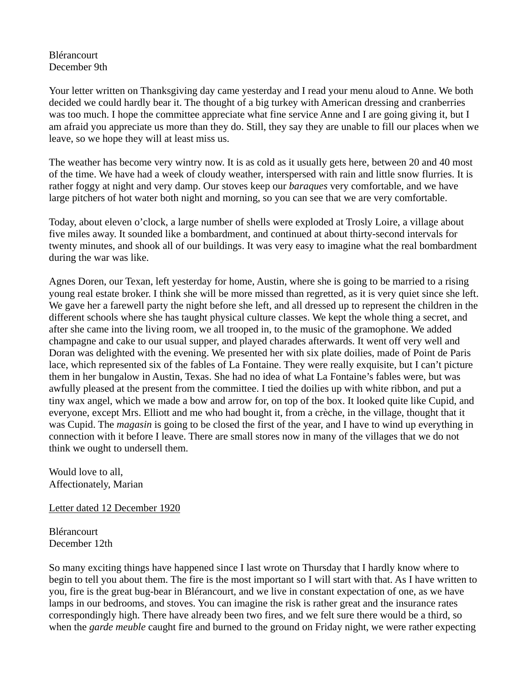## Blérancourt December 9th

Your letter written on Thanksgiving day came yesterday and I read your menu aloud to Anne. We both decided we could hardly bear it. The thought of a big turkey with American dressing and cranberries was too much. I hope the committee appreciate what fine service Anne and I are going giving it, but I am afraid you appreciate us more than they do. Still, they say they are unable to fill our places when we leave, so we hope they will at least miss us.

The weather has become very wintry now. It is as cold as it usually gets here, between 20 and 40 most of the time. We have had a week of cloudy weather, interspersed with rain and little snow flurries. It is rather foggy at night and very damp. Our stoves keep our *baraques* very comfortable, and we have large pitchers of hot water both night and morning, so you can see that we are very comfortable.

Today, about eleven o'clock, a large number of shells were exploded at Trosly Loire, a village about five miles away. It sounded like a bombardment, and continued at about thirty-second intervals for twenty minutes, and shook all of our buildings. It was very easy to imagine what the real bombardment during the war was like.

Agnes Doren, our Texan, left yesterday for home, Austin, where she is going to be married to a rising young real estate broker. I think she will be more missed than regretted, as it is very quiet since she left. We gave her a farewell party the night before she left, and all dressed up to represent the children in the different schools where she has taught physical culture classes. We kept the whole thing a secret, and after she came into the living room, we all trooped in, to the music of the gramophone. We added champagne and cake to our usual supper, and played charades afterwards. It went off very well and Doran was delighted with the evening. We presented her with six plate doilies, made of Point de Paris lace, which represented six of the fables of La Fontaine. They were really exquisite, but I can't picture them in her bungalow in Austin, Texas. She had no idea of what La Fontaine's fables were, but was awfully pleased at the present from the committee. I tied the doilies up with white ribbon, and put a tiny wax angel, which we made a bow and arrow for, on top of the box. It looked quite like Cupid, and everyone, except Mrs. Elliott and me who had bought it, from a crèche, in the village, thought that it was Cupid. The *magasin* is going to be closed the first of the year, and I have to wind up everything in connection with it before I leave. There are small stores now in many of the villages that we do not think we ought to undersell them.

Would love to all, Affectionately, Marian

Letter dated 12 December 1920

**Blérancourt** December 12th

So many exciting things have happened since I last wrote on Thursday that I hardly know where to begin to tell you about them. The fire is the most important so I will start with that. As I have written to you, fire is the great bug-bear in Blérancourt, and we live in constant expectation of one, as we have lamps in our bedrooms, and stoves. You can imagine the risk is rather great and the insurance rates correspondingly high. There have already been two fires, and we felt sure there would be a third, so when the *garde meuble* caught fire and burned to the ground on Friday night, we were rather expecting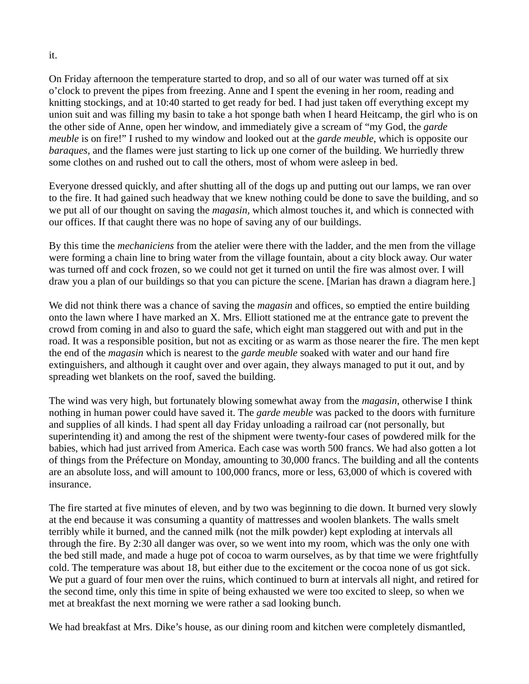On Friday afternoon the temperature started to drop, and so all of our water was turned off at six o'clock to prevent the pipes from freezing. Anne and I spent the evening in her room, reading and knitting stockings, and at 10:40 started to get ready for bed. I had just taken off everything except my union suit and was filling my basin to take a hot sponge bath when I heard Heitcamp, the girl who is on the other side of Anne, open her window, and immediately give a scream of "my God, the *garde meuble* is on fire!" I rushed to my window and looked out at the *garde meuble*, which is opposite our *baraques,* and the flames were just starting to lick up one corner of the building. We hurriedly threw some clothes on and rushed out to call the others, most of whom were asleep in bed.

Everyone dressed quickly, and after shutting all of the dogs up and putting out our lamps, we ran over to the fire. It had gained such headway that we knew nothing could be done to save the building, and so we put all of our thought on saving the *magasin,* which almost touches it, and which is connected with our offices. If that caught there was no hope of saving any of our buildings.

By this time the *mechaniciens* from the atelier were there with the ladder, and the men from the village were forming a chain line to bring water from the village fountain, about a city block away. Our water was turned off and cock frozen, so we could not get it turned on until the fire was almost over. I will draw you a plan of our buildings so that you can picture the scene. [Marian has drawn a diagram here.]

We did not think there was a chance of saving the *magasin* and offices, so emptied the entire building onto the lawn where I have marked an X. Mrs. Elliott stationed me at the entrance gate to prevent the crowd from coming in and also to guard the safe, which eight man staggered out with and put in the road. It was a responsible position, but not as exciting or as warm as those nearer the fire. The men kept the end of the *magasin* which is nearest to the *garde meuble* soaked with water and our hand fire extinguishers, and although it caught over and over again, they always managed to put it out, and by spreading wet blankets on the roof, saved the building.

The wind was very high, but fortunately blowing somewhat away from the *magasin*, otherwise I think nothing in human power could have saved it. The *garde meuble* was packed to the doors with furniture and supplies of all kinds. I had spent all day Friday unloading a railroad car (not personally, but superintending it) and among the rest of the shipment were twenty-four cases of powdered milk for the babies, which had just arrived from America. Each case was worth 500 francs. We had also gotten a lot of things from the Préfecture on Monday, amounting to 30,000 francs. The building and all the contents are an absolute loss, and will amount to 100,000 francs, more or less, 63,000 of which is covered with insurance.

The fire started at five minutes of eleven, and by two was beginning to die down. It burned very slowly at the end because it was consuming a quantity of mattresses and woolen blankets. The walls smelt terribly while it burned, and the canned milk (not the milk powder) kept exploding at intervals all through the fire. By 2:30 all danger was over, so we went into my room, which was the only one with the bed still made, and made a huge pot of cocoa to warm ourselves, as by that time we were frightfully cold. The temperature was about 18, but either due to the excitement or the cocoa none of us got sick. We put a guard of four men over the ruins, which continued to burn at intervals all night, and retired for the second time, only this time in spite of being exhausted we were too excited to sleep, so when we met at breakfast the next morning we were rather a sad looking bunch.

We had breakfast at Mrs. Dike's house, as our dining room and kitchen were completely dismantled,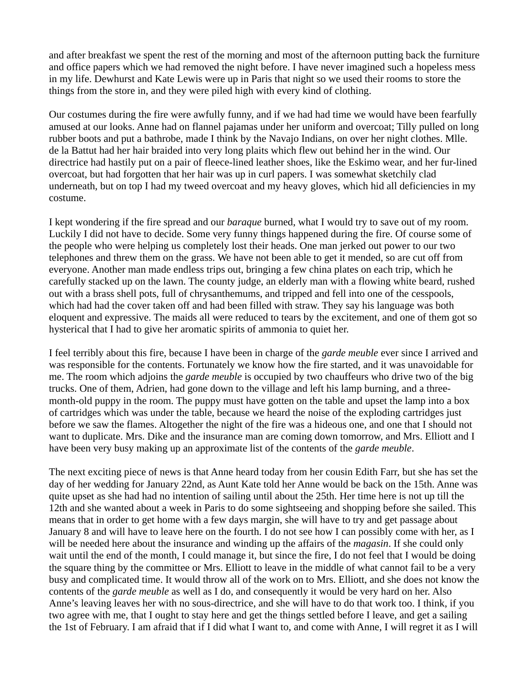and after breakfast we spent the rest of the morning and most of the afternoon putting back the furniture and office papers which we had removed the night before. I have never imagined such a hopeless mess in my life. Dewhurst and Kate Lewis were up in Paris that night so we used their rooms to store the things from the store in, and they were piled high with every kind of clothing.

Our costumes during the fire were awfully funny, and if we had had time we would have been fearfully amused at our looks. Anne had on flannel pajamas under her uniform and overcoat; Tilly pulled on long rubber boots and put a bathrobe, made I think by the Navajo Indians, on over her night clothes. Mlle. de la Battut had her hair braided into very long plaits which flew out behind her in the wind. Our directrice had hastily put on a pair of fleece-lined leather shoes, like the Eskimo wear, and her fur-lined overcoat, but had forgotten that her hair was up in curl papers. I was somewhat sketchily clad underneath, but on top I had my tweed overcoat and my heavy gloves, which hid all deficiencies in my costume.

I kept wondering if the fire spread and our *baraque* burned, what I would try to save out of my room. Luckily I did not have to decide. Some very funny things happened during the fire. Of course some of the people who were helping us completely lost their heads. One man jerked out power to our two telephones and threw them on the grass. We have not been able to get it mended, so are cut off from everyone. Another man made endless trips out, bringing a few china plates on each trip, which he carefully stacked up on the lawn. The county judge, an elderly man with a flowing white beard, rushed out with a brass shell pots, full of chrysanthemums, and tripped and fell into one of the cesspools, which had had the cover taken off and had been filled with straw. They say his language was both eloquent and expressive. The maids all were reduced to tears by the excitement, and one of them got so hysterical that I had to give her aromatic spirits of ammonia to quiet her.

I feel terribly about this fire, because I have been in charge of the *garde meuble* ever since I arrived and was responsible for the contents. Fortunately we know how the fire started, and it was unavoidable for me. The room which adjoins the *garde meuble* is occupied by two chauffeurs who drive two of the big trucks. One of them, Adrien, had gone down to the village and left his lamp burning, and a threemonth-old puppy in the room. The puppy must have gotten on the table and upset the lamp into a box of cartridges which was under the table, because we heard the noise of the exploding cartridges just before we saw the flames. Altogether the night of the fire was a hideous one, and one that I should not want to duplicate. Mrs. Dike and the insurance man are coming down tomorrow, and Mrs. Elliott and I have been very busy making up an approximate list of the contents of the *garde meuble*.

The next exciting piece of news is that Anne heard today from her cousin Edith Farr, but she has set the day of her wedding for January 22nd, as Aunt Kate told her Anne would be back on the 15th. Anne was quite upset as she had had no intention of sailing until about the 25th. Her time here is not up till the 12th and she wanted about a week in Paris to do some sightseeing and shopping before she sailed. This means that in order to get home with a few days margin, she will have to try and get passage about January 8 and will have to leave here on the fourth. I do not see how I can possibly come with her, as I will be needed here about the insurance and winding up the affairs of the *magasin*. If she could only wait until the end of the month, I could manage it, but since the fire, I do not feel that I would be doing the square thing by the committee or Mrs. Elliott to leave in the middle of what cannot fail to be a very busy and complicated time. It would throw all of the work on to Mrs. Elliott, and she does not know the contents of the *garde meuble* as well as I do, and consequently it would be very hard on her. Also Anne's leaving leaves her with no sous-directrice, and she will have to do that work too. I think, if you two agree with me, that I ought to stay here and get the things settled before I leave, and get a sailing the 1st of February. I am afraid that if I did what I want to, and come with Anne, I will regret it as I will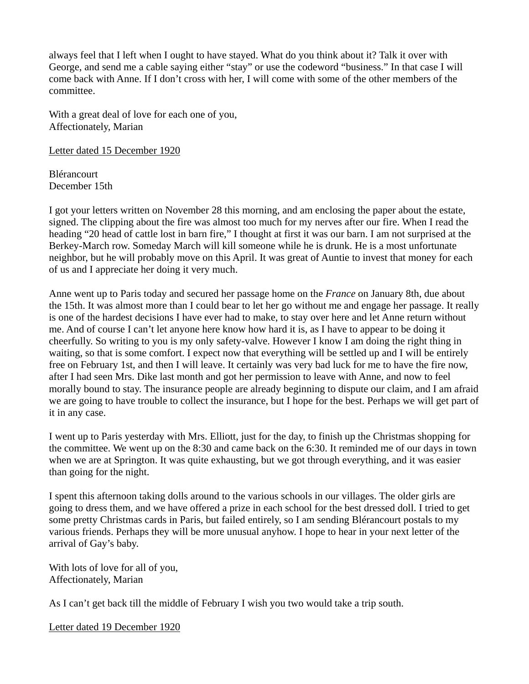always feel that I left when I ought to have stayed. What do you think about it? Talk it over with George, and send me a cable saying either "stay" or use the codeword "business." In that case I will come back with Anne. If I don't cross with her, I will come with some of the other members of the committee.

With a great deal of love for each one of you, Affectionately, Marian

Letter dated 15 December 1920

Blérancourt December 15th

I got your letters written on November 28 this morning, and am enclosing the paper about the estate, signed. The clipping about the fire was almost too much for my nerves after our fire. When I read the heading "20 head of cattle lost in barn fire," I thought at first it was our barn. I am not surprised at the Berkey-March row. Someday March will kill someone while he is drunk. He is a most unfortunate neighbor, but he will probably move on this April. It was great of Auntie to invest that money for each of us and I appreciate her doing it very much.

Anne went up to Paris today and secured her passage home on the *France* on January 8th, due about the 15th. It was almost more than I could bear to let her go without me and engage her passage. It really is one of the hardest decisions I have ever had to make, to stay over here and let Anne return without me. And of course I can't let anyone here know how hard it is, as I have to appear to be doing it cheerfully. So writing to you is my only safety-valve. However I know I am doing the right thing in waiting, so that is some comfort. I expect now that everything will be settled up and I will be entirely free on February 1st, and then I will leave. It certainly was very bad luck for me to have the fire now, after I had seen Mrs. Dike last month and got her permission to leave with Anne, and now to feel morally bound to stay. The insurance people are already beginning to dispute our claim, and I am afraid we are going to have trouble to collect the insurance, but I hope for the best. Perhaps we will get part of it in any case.

I went up to Paris yesterday with Mrs. Elliott, just for the day, to finish up the Christmas shopping for the committee. We went up on the 8:30 and came back on the 6:30. It reminded me of our days in town when we are at Springton. It was quite exhausting, but we got through everything, and it was easier than going for the night.

I spent this afternoon taking dolls around to the various schools in our villages. The older girls are going to dress them, and we have offered a prize in each school for the best dressed doll. I tried to get some pretty Christmas cards in Paris, but failed entirely, so I am sending Blérancourt postals to my various friends. Perhaps they will be more unusual anyhow. I hope to hear in your next letter of the arrival of Gay's baby.

With lots of love for all of you, Affectionately, Marian

As I can't get back till the middle of February I wish you two would take a trip south.

Letter dated 19 December 1920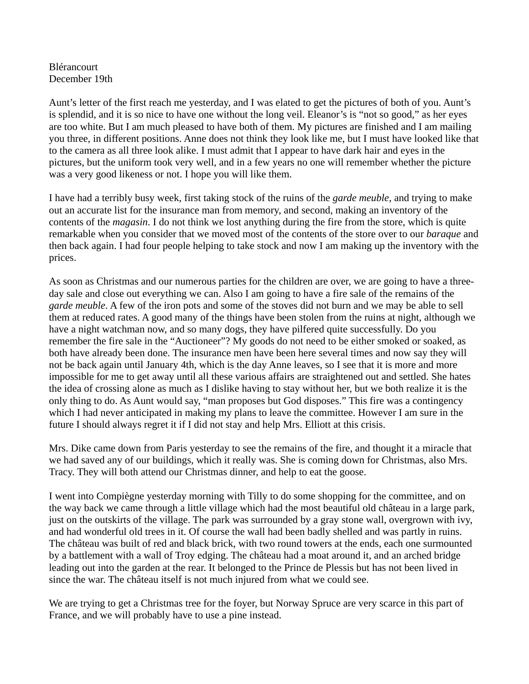#### Blérancourt December 19th

Aunt's letter of the first reach me yesterday, and I was elated to get the pictures of both of you. Aunt's is splendid, and it is so nice to have one without the long veil. Eleanor's is "not so good," as her eyes are too white. But I am much pleased to have both of them. My pictures are finished and I am mailing you three, in different positions. Anne does not think they look like me, but I must have looked like that to the camera as all three look alike. I must admit that I appear to have dark hair and eyes in the pictures, but the uniform took very well, and in a few years no one will remember whether the picture was a very good likeness or not. I hope you will like them.

I have had a terribly busy week, first taking stock of the ruins of the *garde meuble*, and trying to make out an accurate list for the insurance man from memory, and second, making an inventory of the contents of the *magasin*. I do not think we lost anything during the fire from the store, which is quite remarkable when you consider that we moved most of the contents of the store over to our *baraque* and then back again. I had four people helping to take stock and now I am making up the inventory with the prices.

As soon as Christmas and our numerous parties for the children are over, we are going to have a threeday sale and close out everything we can. Also I am going to have a fire sale of the remains of the *garde meuble*. A few of the iron pots and some of the stoves did not burn and we may be able to sell them at reduced rates. A good many of the things have been stolen from the ruins at night, although we have a night watchman now, and so many dogs, they have pilfered quite successfully. Do you remember the fire sale in the "Auctioneer"? My goods do not need to be either smoked or soaked, as both have already been done. The insurance men have been here several times and now say they will not be back again until January 4th, which is the day Anne leaves, so I see that it is more and more impossible for me to get away until all these various affairs are straightened out and settled. She hates the idea of crossing alone as much as I dislike having to stay without her, but we both realize it is the only thing to do. As Aunt would say, "man proposes but God disposes." This fire was a contingency which I had never anticipated in making my plans to leave the committee. However I am sure in the future I should always regret it if I did not stay and help Mrs. Elliott at this crisis.

Mrs. Dike came down from Paris yesterday to see the remains of the fire, and thought it a miracle that we had saved any of our buildings, which it really was. She is coming down for Christmas, also Mrs. Tracy. They will both attend our Christmas dinner, and help to eat the goose.

I went into Compiègne yesterday morning with Tilly to do some shopping for the committee, and on the way back we came through a little village which had the most beautiful old château in a large park, just on the outskirts of the village. The park was surrounded by a gray stone wall, overgrown with ivy, and had wonderful old trees in it. Of course the wall had been badly shelled and was partly in ruins. The château was built of red and black brick, with two round towers at the ends, each one surmounted by a battlement with a wall of Troy edging. The château had a moat around it, and an arched bridge leading out into the garden at the rear. It belonged to the Prince de Plessis but has not been lived in since the war. The château itself is not much injured from what we could see.

We are trying to get a Christmas tree for the foyer, but Norway Spruce are very scarce in this part of France, and we will probably have to use a pine instead.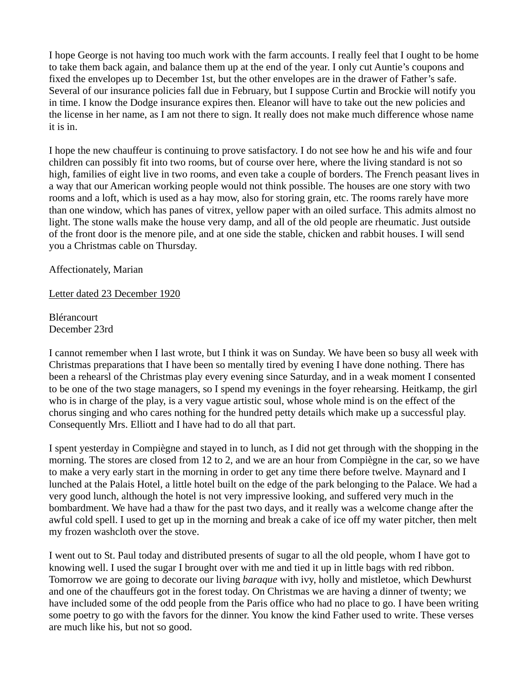I hope George is not having too much work with the farm accounts. I really feel that I ought to be home to take them back again, and balance them up at the end of the year. I only cut Auntie's coupons and fixed the envelopes up to December 1st, but the other envelopes are in the drawer of Father's safe. Several of our insurance policies fall due in February, but I suppose Curtin and Brockie will notify you in time. I know the Dodge insurance expires then. Eleanor will have to take out the new policies and the license in her name, as I am not there to sign. It really does not make much difference whose name it is in.

I hope the new chauffeur is continuing to prove satisfactory. I do not see how he and his wife and four children can possibly fit into two rooms, but of course over here, where the living standard is not so high, families of eight live in two rooms, and even take a couple of borders. The French peasant lives in a way that our American working people would not think possible. The houses are one story with two rooms and a loft, which is used as a hay mow, also for storing grain, etc. The rooms rarely have more than one window, which has panes of vitrex, yellow paper with an oiled surface. This admits almost no light. The stone walls make the house very damp, and all of the old people are rheumatic. Just outside of the front door is the menore pile, and at one side the stable, chicken and rabbit houses. I will send you a Christmas cable on Thursday.

Affectionately, Marian

Letter dated 23 December 1920

Blérancourt December 23rd

I cannot remember when I last wrote, but I think it was on Sunday. We have been so busy all week with Christmas preparations that I have been so mentally tired by evening I have done nothing. There has been a rehearsl of the Christmas play every evening since Saturday, and in a weak moment I consented to be one of the two stage managers, so I spend my evenings in the foyer rehearsing. Heitkamp, the girl who is in charge of the play, is a very vague artistic soul, whose whole mind is on the effect of the chorus singing and who cares nothing for the hundred petty details which make up a successful play. Consequently Mrs. Elliott and I have had to do all that part.

I spent yesterday in Compiègne and stayed in to lunch, as I did not get through with the shopping in the morning. The stores are closed from 12 to 2, and we are an hour from Compiègne in the car, so we have to make a very early start in the morning in order to get any time there before twelve. Maynard and I lunched at the Palais Hotel, a little hotel built on the edge of the park belonging to the Palace. We had a very good lunch, although the hotel is not very impressive looking, and suffered very much in the bombardment. We have had a thaw for the past two days, and it really was a welcome change after the awful cold spell. I used to get up in the morning and break a cake of ice off my water pitcher, then melt my frozen washcloth over the stove.

I went out to St. Paul today and distributed presents of sugar to all the old people, whom I have got to knowing well. I used the sugar I brought over with me and tied it up in little bags with red ribbon. Tomorrow we are going to decorate our living *baraque* with ivy, holly and mistletoe, which Dewhurst and one of the chauffeurs got in the forest today. On Christmas we are having a dinner of twenty; we have included some of the odd people from the Paris office who had no place to go. I have been writing some poetry to go with the favors for the dinner. You know the kind Father used to write. These verses are much like his, but not so good.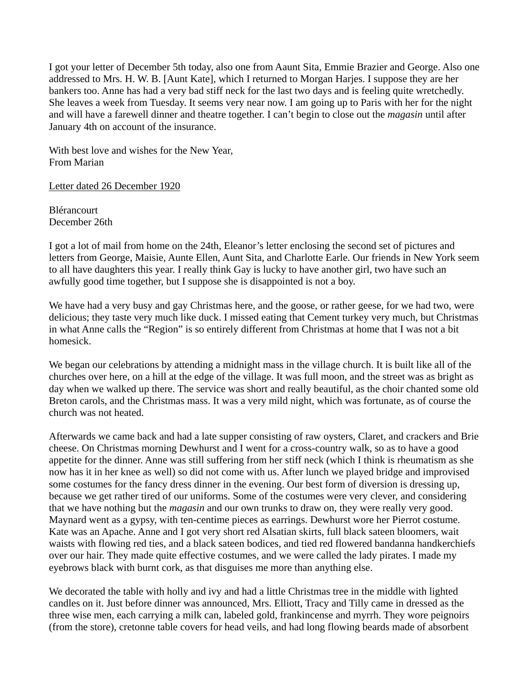I got your letter of December 5th today, also one from Aaunt Sita, Emmie Brazier and George. Also one addressed to Mrs. H. W. B. [Aunt Kate], which I returned to Morgan Harjes. I suppose they are her bankers too. Anne has had a very bad stiff neck for the last two days and is feeling quite wretchedly. She leaves a week from Tuesday. It seems very near now. I am going up to Paris with her for the night and will have a farewell dinner and theatre together. I can't begin to close out the *magasin* until after January 4th on account of the insurance.

With best love and wishes for the New Year, From Marian

Letter dated 26 December 1920

Blérancourt December 26th

I got a lot of mail from home on the 24th, Eleanor's letter enclosing the second set of pictures and letters from George, Maisie, Aunte Ellen, Aunt Sita, and Charlotte Earle. Our friends in New York seem to all have daughters this year. I really think Gay is lucky to have another girl, two have such an awfully good time together, but I suppose she is disappointed is not a boy.

We have had a very busy and gay Christmas here, and the goose, or rather geese, for we had two, were delicious; they taste very much like duck. I missed eating that Cement turkey very much, but Christmas in what Anne calls the "Region" is so entirely different from Christmas at home that I was not a bit homesick.

We began our celebrations by attending a midnight mass in the village church. It is built like all of the churches over here, on a hill at the edge of the village. It was full moon, and the street was as bright as day when we walked up there. The service was short and really beautiful, as the choir chanted some old Breton carols, and the Christmas mass. It was a very mild night, which was fortunate, as of course the church was not heated.

Afterwards we came back and had a late supper consisting of raw oysters, Claret, and crackers and Brie cheese. On Christmas morning Dewhurst and I went for a cross-country walk, so as to have a good appetite for the dinner. Anne was still suffering from her stiff neck (which I think is rheumatism as she now has it in her knee as well) so did not come with us. After lunch we played bridge and improvised some costumes for the fancy dress dinner in the evening. Our best form of diversion is dressing up, because we get rather tired of our uniforms. Some of the costumes were very clever, and considering that we have nothing but the *magasin* and our own trunks to draw on, they were really very good. Maynard went as a gypsy, with ten-centime pieces as earrings. Dewhurst wore her Pierrot costume. Kate was an Apache. Anne and I got very short red Alsatian skirts, full black sateen bloomers, wait waists with flowing red ties, and a black sateen bodices, and tied red flowered bandanna handkerchiefs over our hair. They made quite effective costumes, and we were called the lady pirates. I made my eyebrows black with burnt cork, as that disguises me more than anything else.

We decorated the table with holly and ivy and had a little Christmas tree in the middle with lighted candles on it. Just before dinner was announced, Mrs. Elliott, Tracy and Tilly came in dressed as the three wise men, each carrying a milk can, labeled gold, frankincense and myrrh. They wore peignoirs (from the store), cretonne table covers for head veils, and had long flowing beards made of absorbent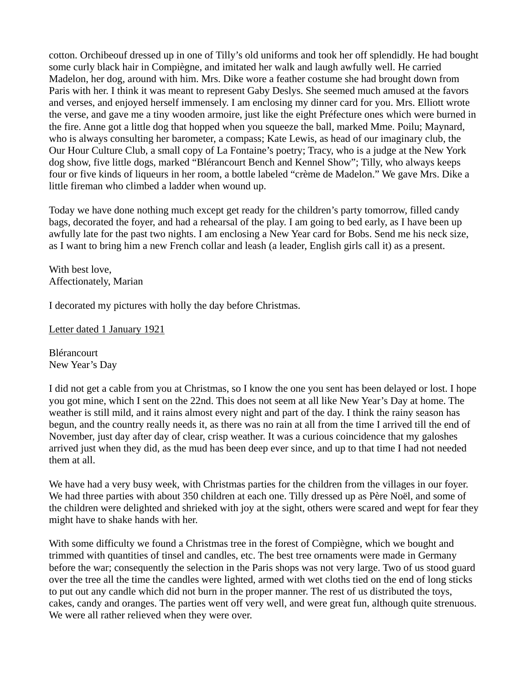cotton. Orchibeouf dressed up in one of Tilly's old uniforms and took her off splendidly. He had bought some curly black hair in Compiègne, and imitated her walk and laugh awfully well. He carried Madelon, her dog, around with him. Mrs. Dike wore a feather costume she had brought down from Paris with her. I think it was meant to represent Gaby Deslys. She seemed much amused at the favors and verses, and enjoyed herself immensely. I am enclosing my dinner card for you. Mrs. Elliott wrote the verse, and gave me a tiny wooden armoire, just like the eight Préfecture ones which were burned in the fire. Anne got a little dog that hopped when you squeeze the ball, marked Mme. Poilu; Maynard, who is always consulting her barometer, a compass; Kate Lewis, as head of our imaginary club, the Our Hour Culture Club, a small copy of La Fontaine's poetry; Tracy, who is a judge at the New York dog show, five little dogs, marked "Blérancourt Bench and Kennel Show"; Tilly, who always keeps four or five kinds of liqueurs in her room, a bottle labeled "crème de Madelon." We gave Mrs. Dike a little fireman who climbed a ladder when wound up.

Today we have done nothing much except get ready for the children's party tomorrow, filled candy bags, decorated the foyer, and had a rehearsal of the play. I am going to bed early, as I have been up awfully late for the past two nights. I am enclosing a New Year card for Bobs. Send me his neck size, as I want to bring him a new French collar and leash (a leader, English girls call it) as a present.

With best love, Affectionately, Marian

I decorated my pictures with holly the day before Christmas.

Letter dated 1 January 1921

Blérancourt New Year's Day

I did not get a cable from you at Christmas, so I know the one you sent has been delayed or lost. I hope you got mine, which I sent on the 22nd. This does not seem at all like New Year's Day at home. The weather is still mild, and it rains almost every night and part of the day. I think the rainy season has begun, and the country really needs it, as there was no rain at all from the time I arrived till the end of November, just day after day of clear, crisp weather. It was a curious coincidence that my galoshes arrived just when they did, as the mud has been deep ever since, and up to that time I had not needed them at all.

We have had a very busy week, with Christmas parties for the children from the villages in our foyer. We had three parties with about 350 children at each one. Tilly dressed up as Père Noël, and some of the children were delighted and shrieked with joy at the sight, others were scared and wept for fear they might have to shake hands with her.

With some difficulty we found a Christmas tree in the forest of Compiègne, which we bought and trimmed with quantities of tinsel and candles, etc. The best tree ornaments were made in Germany before the war; consequently the selection in the Paris shops was not very large. Two of us stood guard over the tree all the time the candles were lighted, armed with wet cloths tied on the end of long sticks to put out any candle which did not burn in the proper manner. The rest of us distributed the toys, cakes, candy and oranges. The parties went off very well, and were great fun, although quite strenuous. We were all rather relieved when they were over.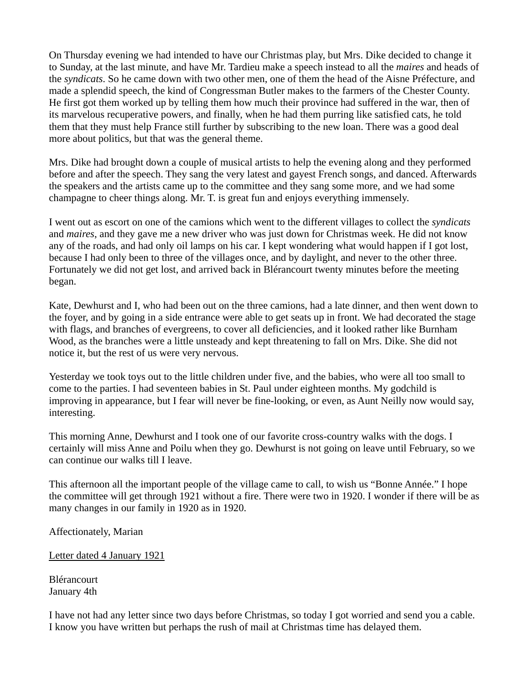On Thursday evening we had intended to have our Christmas play, but Mrs. Dike decided to change it to Sunday, at the last minute, and have Mr. Tardieu make a speech instead to all the *maires* and heads of the *syndicats*. So he came down with two other men, one of them the head of the Aisne Préfecture, and made a splendid speech, the kind of Congressman Butler makes to the farmers of the Chester County. He first got them worked up by telling them how much their province had suffered in the war, then of its marvelous recuperative powers, and finally, when he had them purring like satisfied cats, he told them that they must help France still further by subscribing to the new loan. There was a good deal more about politics, but that was the general theme.

Mrs. Dike had brought down a couple of musical artists to help the evening along and they performed before and after the speech. They sang the very latest and gayest French songs, and danced. Afterwards the speakers and the artists came up to the committee and they sang some more, and we had some champagne to cheer things along. Mr. T. is great fun and enjoys everything immensely.

I went out as escort on one of the camions which went to the different villages to collect the *syndicats* and *maires*, and they gave me a new driver who was just down for Christmas week. He did not know any of the roads, and had only oil lamps on his car. I kept wondering what would happen if I got lost, because I had only been to three of the villages once, and by daylight, and never to the other three. Fortunately we did not get lost, and arrived back in Blérancourt twenty minutes before the meeting began.

Kate, Dewhurst and I, who had been out on the three camions, had a late dinner, and then went down to the foyer, and by going in a side entrance were able to get seats up in front. We had decorated the stage with flags, and branches of evergreens, to cover all deficiencies, and it looked rather like Burnham Wood, as the branches were a little unsteady and kept threatening to fall on Mrs. Dike. She did not notice it, but the rest of us were very nervous.

Yesterday we took toys out to the little children under five, and the babies, who were all too small to come to the parties. I had seventeen babies in St. Paul under eighteen months. My godchild is improving in appearance, but I fear will never be fine-looking, or even, as Aunt Neilly now would say, interesting.

This morning Anne, Dewhurst and I took one of our favorite cross-country walks with the dogs. I certainly will miss Anne and Poilu when they go. Dewhurst is not going on leave until February, so we can continue our walks till I leave.

This afternoon all the important people of the village came to call, to wish us "Bonne Année." I hope the committee will get through 1921 without a fire. There were two in 1920. I wonder if there will be as many changes in our family in 1920 as in 1920.

Affectionately, Marian

Letter dated 4 January 1921

Blérancourt January 4th

I have not had any letter since two days before Christmas, so today I got worried and send you a cable. I know you have written but perhaps the rush of mail at Christmas time has delayed them.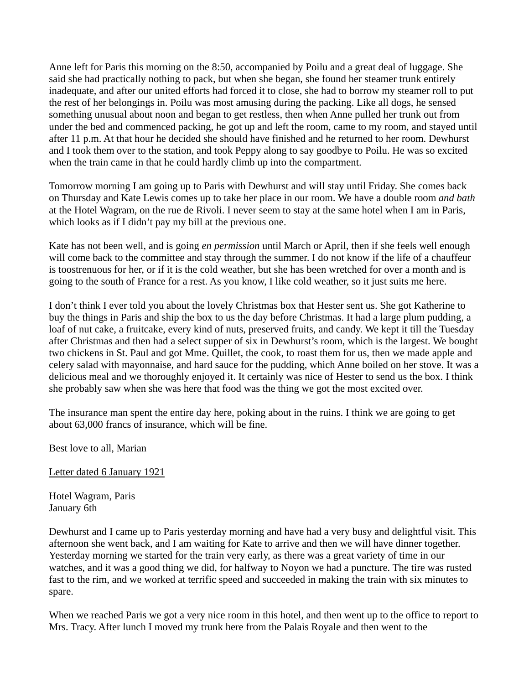Anne left for Paris this morning on the 8:50, accompanied by Poilu and a great deal of luggage. She said she had practically nothing to pack, but when she began, she found her steamer trunk entirely inadequate, and after our united efforts had forced it to close, she had to borrow my steamer roll to put the rest of her belongings in. Poilu was most amusing during the packing. Like all dogs, he sensed something unusual about noon and began to get restless, then when Anne pulled her trunk out from under the bed and commenced packing, he got up and left the room, came to my room, and stayed until after 11 p.m. At that hour he decided she should have finished and he returned to her room. Dewhurst and I took them over to the station, and took Peppy along to say goodbye to Poilu. He was so excited when the train came in that he could hardly climb up into the compartment.

Tomorrow morning I am going up to Paris with Dewhurst and will stay until Friday. She comes back on Thursday and Kate Lewis comes up to take her place in our room. We have a double room *and bath* at the Hotel Wagram, on the rue de Rivoli. I never seem to stay at the same hotel when I am in Paris, which looks as if I didn't pay my bill at the previous one.

Kate has not been well, and is going *en permission* until March or April, then if she feels well enough will come back to the committee and stay through the summer. I do not know if the life of a chauffeur is toostrenuous for her, or if it is the cold weather, but she has been wretched for over a month and is going to the south of France for a rest. As you know, I like cold weather, so it just suits me here.

I don't think I ever told you about the lovely Christmas box that Hester sent us. She got Katherine to buy the things in Paris and ship the box to us the day before Christmas. It had a large plum pudding, a loaf of nut cake, a fruitcake, every kind of nuts, preserved fruits, and candy. We kept it till the Tuesday after Christmas and then had a select supper of six in Dewhurst's room, which is the largest. We bought two chickens in St. Paul and got Mme. Quillet, the cook, to roast them for us, then we made apple and celery salad with mayonnaise, and hard sauce for the pudding, which Anne boiled on her stove. It was a delicious meal and we thoroughly enjoyed it. It certainly was nice of Hester to send us the box. I think she probably saw when she was here that food was the thing we got the most excited over.

The insurance man spent the entire day here, poking about in the ruins. I think we are going to get about 63,000 francs of insurance, which will be fine.

Best love to all, Marian

Letter dated 6 January 1921

Hotel Wagram, Paris January 6th

Dewhurst and I came up to Paris yesterday morning and have had a very busy and delightful visit. This afternoon she went back, and I am waiting for Kate to arrive and then we will have dinner together. Yesterday morning we started for the train very early, as there was a great variety of time in our watches, and it was a good thing we did, for halfway to Noyon we had a puncture. The tire was rusted fast to the rim, and we worked at terrific speed and succeeded in making the train with six minutes to spare.

When we reached Paris we got a very nice room in this hotel, and then went up to the office to report to Mrs. Tracy. After lunch I moved my trunk here from the Palais Royale and then went to the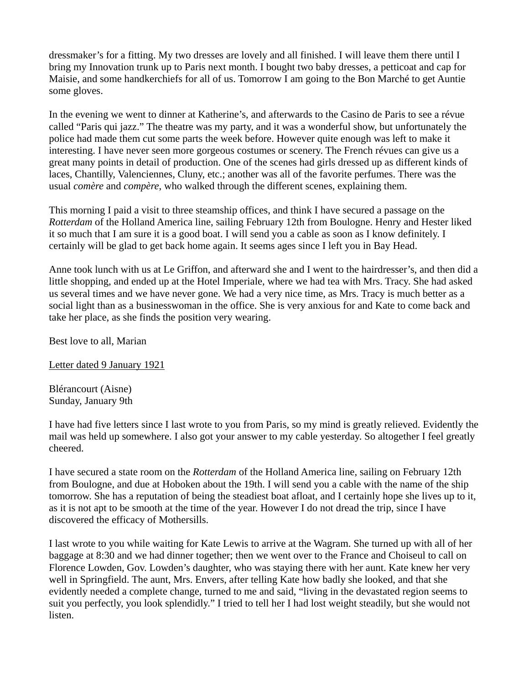dressmaker's for a fitting. My two dresses are lovely and all finished. I will leave them there until I bring my Innovation trunk up to Paris next month. I bought two baby dresses, a petticoat and cap for Maisie, and some handkerchiefs for all of us. Tomorrow I am going to the Bon Marché to get Auntie some gloves.

In the evening we went to dinner at Katherine's, and afterwards to the Casino de Paris to see a révue called "Paris qui jazz." The theatre was my party, and it was a wonderful show, but unfortunately the police had made them cut some parts the week before. However quite enough was left to make it interesting. I have never seen more gorgeous costumes or scenery. The French révues can give us a great many points in detail of production. One of the scenes had girls dressed up as different kinds of laces, Chantilly, Valenciennes, Cluny, etc.; another was all of the favorite perfumes. There was the usual *comère* and *compère*, who walked through the different scenes, explaining them.

This morning I paid a visit to three steamship offices, and think I have secured a passage on the *Rotterdam* of the Holland America line, sailing February 12th from Boulogne. Henry and Hester liked it so much that I am sure it is a good boat. I will send you a cable as soon as I know definitely. I certainly will be glad to get back home again. It seems ages since I left you in Bay Head.

Anne took lunch with us at Le Griffon, and afterward she and I went to the hairdresser's, and then did a little shopping, and ended up at the Hotel Imperiale, where we had tea with Mrs. Tracy. She had asked us several times and we have never gone. We had a very nice time, as Mrs. Tracy is much better as a social light than as a businesswoman in the office. She is very anxious for and Kate to come back and take her place, as she finds the position very wearing.

Best love to all, Marian

Letter dated 9 January 1921

Blérancourt (Aisne) Sunday, January 9th

I have had five letters since I last wrote to you from Paris, so my mind is greatly relieved. Evidently the mail was held up somewhere. I also got your answer to my cable yesterday. So altogether I feel greatly cheered.

I have secured a state room on the *Rotterdam* of the Holland America line, sailing on February 12th from Boulogne, and due at Hoboken about the 19th. I will send you a cable with the name of the ship tomorrow. She has a reputation of being the steadiest boat afloat, and I certainly hope she lives up to it, as it is not apt to be smooth at the time of the year. However I do not dread the trip, since I have discovered the efficacy of Mothersills.

I last wrote to you while waiting for Kate Lewis to arrive at the Wagram. She turned up with all of her baggage at 8:30 and we had dinner together; then we went over to the France and Choiseul to call on Florence Lowden, Gov. Lowden's daughter, who was staying there with her aunt. Kate knew her very well in Springfield. The aunt, Mrs. Envers, after telling Kate how badly she looked, and that she evidently needed a complete change, turned to me and said, "living in the devastated region seems to suit you perfectly, you look splendidly." I tried to tell her I had lost weight steadily, but she would not listen.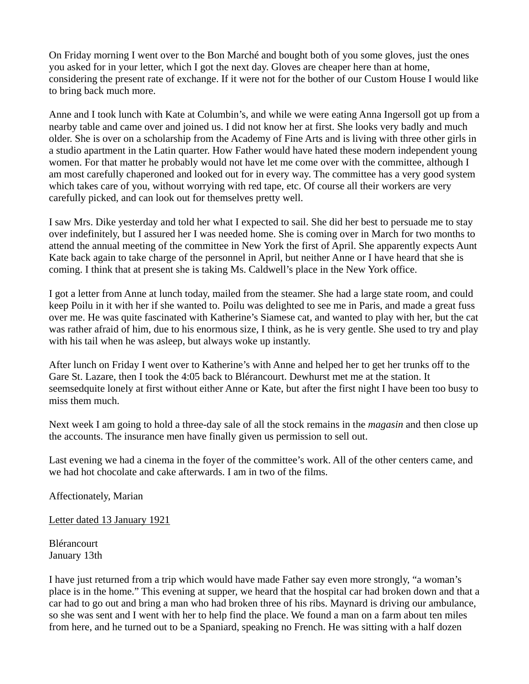On Friday morning I went over to the Bon Marché and bought both of you some gloves, just the ones you asked for in your letter, which I got the next day. Gloves are cheaper here than at home, considering the present rate of exchange. If it were not for the bother of our Custom House I would like to bring back much more.

Anne and I took lunch with Kate at Columbin's, and while we were eating Anna Ingersoll got up from a nearby table and came over and joined us. I did not know her at first. She looks very badly and much older. She is over on a scholarship from the Academy of Fine Arts and is living with three other girls in a studio apartment in the Latin quarter. How Father would have hated these modern independent young women. For that matter he probably would not have let me come over with the committee, although I am most carefully chaperoned and looked out for in every way. The committee has a very good system which takes care of you, without worrying with red tape, etc. Of course all their workers are very carefully picked, and can look out for themselves pretty well.

I saw Mrs. Dike yesterday and told her what I expected to sail. She did her best to persuade me to stay over indefinitely, but I assured her I was needed home. She is coming over in March for two months to attend the annual meeting of the committee in New York the first of April. She apparently expects Aunt Kate back again to take charge of the personnel in April, but neither Anne or I have heard that she is coming. I think that at present she is taking Ms. Caldwell's place in the New York office.

I got a letter from Anne at lunch today, mailed from the steamer. She had a large state room, and could keep Poilu in it with her if she wanted to. Poilu was delighted to see me in Paris, and made a great fuss over me. He was quite fascinated with Katherine's Siamese cat, and wanted to play with her, but the cat was rather afraid of him, due to his enormous size, I think, as he is very gentle. She used to try and play with his tail when he was asleep, but always woke up instantly.

After lunch on Friday I went over to Katherine's with Anne and helped her to get her trunks off to the Gare St. Lazare, then I took the 4:05 back to Blérancourt. Dewhurst met me at the station. It seemsedquite lonely at first without either Anne or Kate, but after the first night I have been too busy to miss them much.

Next week I am going to hold a three-day sale of all the stock remains in the *magasin* and then close up the accounts. The insurance men have finally given us permission to sell out.

Last evening we had a cinema in the foyer of the committee's work. All of the other centers came, and we had hot chocolate and cake afterwards. I am in two of the films.

Affectionately, Marian

Letter dated 13 January 1921

Blérancourt January 13th

I have just returned from a trip which would have made Father say even more strongly, "a woman's place is in the home." This evening at supper, we heard that the hospital car had broken down and that a car had to go out and bring a man who had broken three of his ribs. Maynard is driving our ambulance, so she was sent and I went with her to help find the place. We found a man on a farm about ten miles from here, and he turned out to be a Spaniard, speaking no French. He was sitting with a half dozen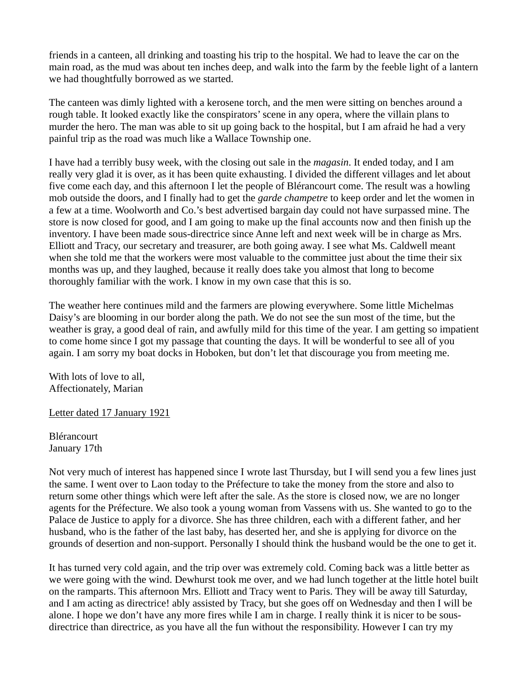friends in a canteen, all drinking and toasting his trip to the hospital. We had to leave the car on the main road, as the mud was about ten inches deep, and walk into the farm by the feeble light of a lantern we had thoughtfully borrowed as we started.

The canteen was dimly lighted with a kerosene torch, and the men were sitting on benches around a rough table. It looked exactly like the conspirators' scene in any opera, where the villain plans to murder the hero. The man was able to sit up going back to the hospital, but I am afraid he had a very painful trip as the road was much like a Wallace Township one.

I have had a terribly busy week, with the closing out sale in the *magasin*. It ended today, and I am really very glad it is over, as it has been quite exhausting. I divided the different villages and let about five come each day, and this afternoon I let the people of Blérancourt come. The result was a howling mob outside the doors, and I finally had to get the *garde champetre* to keep order and let the women in a few at a time. Woolworth and Co.'s best advertised bargain day could not have surpassed mine. The store is now closed for good, and I am going to make up the final accounts now and then finish up the inventory. I have been made sous-directrice since Anne left and next week will be in charge as Mrs. Elliott and Tracy, our secretary and treasurer, are both going away. I see what Ms. Caldwell meant when she told me that the workers were most valuable to the committee just about the time their six months was up, and they laughed, because it really does take you almost that long to become thoroughly familiar with the work. I know in my own case that this is so.

The weather here continues mild and the farmers are plowing everywhere. Some little Michelmas Daisy's are blooming in our border along the path. We do not see the sun most of the time, but the weather is gray, a good deal of rain, and awfully mild for this time of the year. I am getting so impatient to come home since I got my passage that counting the days. It will be wonderful to see all of you again. I am sorry my boat docks in Hoboken, but don't let that discourage you from meeting me.

With lots of love to all, Affectionately, Marian

Letter dated 17 January 1921

Blérancourt January 17th

Not very much of interest has happened since I wrote last Thursday, but I will send you a few lines just the same. I went over to Laon today to the Préfecture to take the money from the store and also to return some other things which were left after the sale. As the store is closed now, we are no longer agents for the Préfecture. We also took a young woman from Vassens with us. She wanted to go to the Palace de Justice to apply for a divorce. She has three children, each with a different father, and her husband, who is the father of the last baby, has deserted her, and she is applying for divorce on the grounds of desertion and non-support. Personally I should think the husband would be the one to get it.

It has turned very cold again, and the trip over was extremely cold. Coming back was a little better as we were going with the wind. Dewhurst took me over, and we had lunch together at the little hotel built on the ramparts. This afternoon Mrs. Elliott and Tracy went to Paris. They will be away till Saturday, and I am acting as directrice! ably assisted by Tracy, but she goes off on Wednesday and then I will be alone. I hope we don't have any more fires while I am in charge. I really think it is nicer to be sousdirectrice than directrice, as you have all the fun without the responsibility. However I can try my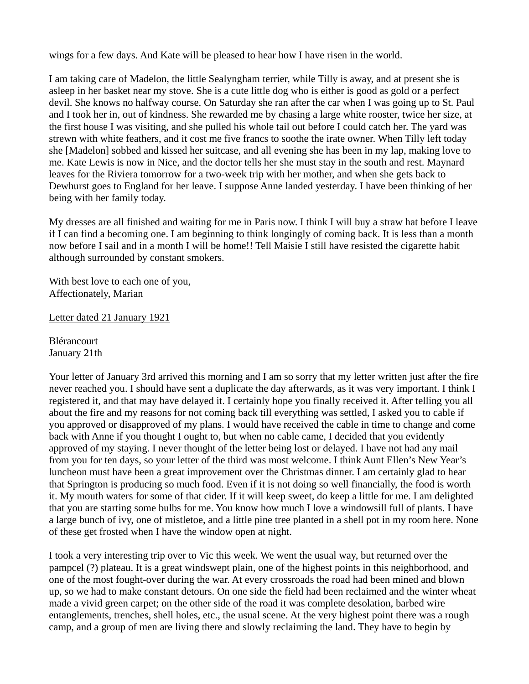wings for a few days. And Kate will be pleased to hear how I have risen in the world.

I am taking care of Madelon, the little Sealyngham terrier, while Tilly is away, and at present she is asleep in her basket near my stove. She is a cute little dog who is either is good as gold or a perfect devil. She knows no halfway course. On Saturday she ran after the car when I was going up to St. Paul and I took her in, out of kindness. She rewarded me by chasing a large white rooster, twice her size, at the first house I was visiting, and she pulled his whole tail out before I could catch her. The yard was strewn with white feathers, and it cost me five francs to soothe the irate owner. When Tilly left today she [Madelon] sobbed and kissed her suitcase, and all evening she has been in my lap, making love to me. Kate Lewis is now in Nice, and the doctor tells her she must stay in the south and rest. Maynard leaves for the Riviera tomorrow for a two-week trip with her mother, and when she gets back to Dewhurst goes to England for her leave. I suppose Anne landed yesterday. I have been thinking of her being with her family today.

My dresses are all finished and waiting for me in Paris now. I think I will buy a straw hat before I leave if I can find a becoming one. I am beginning to think longingly of coming back. It is less than a month now before I sail and in a month I will be home!! Tell Maisie I still have resisted the cigarette habit although surrounded by constant smokers.

With best love to each one of you, Affectionately, Marian

Letter dated 21 January 1921

Blérancourt January 21th

Your letter of January 3rd arrived this morning and I am so sorry that my letter written just after the fire never reached you. I should have sent a duplicate the day afterwards, as it was very important. I think I registered it, and that may have delayed it. I certainly hope you finally received it. After telling you all about the fire and my reasons for not coming back till everything was settled, I asked you to cable if you approved or disapproved of my plans. I would have received the cable in time to change and come back with Anne if you thought I ought to, but when no cable came, I decided that you evidently approved of my staying. I never thought of the letter being lost or delayed. I have not had any mail from you for ten days, so your letter of the third was most welcome. I think Aunt Ellen's New Year's luncheon must have been a great improvement over the Christmas dinner. I am certainly glad to hear that Springton is producing so much food. Even if it is not doing so well financially, the food is worth it. My mouth waters for some of that cider. If it will keep sweet, do keep a little for me. I am delighted that you are starting some bulbs for me. You know how much I love a windowsill full of plants. I have a large bunch of ivy, one of mistletoe, and a little pine tree planted in a shell pot in my room here. None of these get frosted when I have the window open at night.

I took a very interesting trip over to Vic this week. We went the usual way, but returned over the pampcel (?) plateau. It is a great windswept plain, one of the highest points in this neighborhood, and one of the most fought-over during the war. At every crossroads the road had been mined and blown up, so we had to make constant detours. On one side the field had been reclaimed and the winter wheat made a vivid green carpet; on the other side of the road it was complete desolation, barbed wire entanglements, trenches, shell holes, etc., the usual scene. At the very highest point there was a rough camp, and a group of men are living there and slowly reclaiming the land. They have to begin by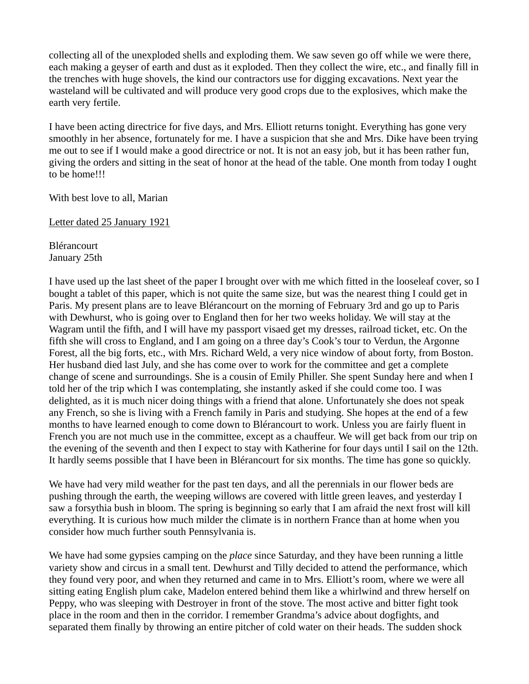collecting all of the unexploded shells and exploding them. We saw seven go off while we were there, each making a geyser of earth and dust as it exploded. Then they collect the wire, etc., and finally fill in the trenches with huge shovels, the kind our contractors use for digging excavations. Next year the wasteland will be cultivated and will produce very good crops due to the explosives, which make the earth very fertile.

I have been acting directrice for five days, and Mrs. Elliott returns tonight. Everything has gone very smoothly in her absence, fortunately for me. I have a suspicion that she and Mrs. Dike have been trying me out to see if I would make a good directrice or not. It is not an easy job, but it has been rather fun, giving the orders and sitting in the seat of honor at the head of the table. One month from today I ought to be home!!!

With best love to all, Marian

Letter dated 25 January 1921

Blérancourt January 25th

I have used up the last sheet of the paper I brought over with me which fitted in the looseleaf cover, so I bought a tablet of this paper, which is not quite the same size, but was the nearest thing I could get in Paris. My present plans are to leave Blérancourt on the morning of February 3rd and go up to Paris with Dewhurst, who is going over to England then for her two weeks holiday. We will stay at the Wagram until the fifth, and I will have my passport visaed get my dresses, railroad ticket, etc. On the fifth she will cross to England, and I am going on a three day's Cook's tour to Verdun, the Argonne Forest, all the big forts, etc., with Mrs. Richard Weld, a very nice window of about forty, from Boston. Her husband died last July, and she has come over to work for the committee and get a complete change of scene and surroundings. She is a cousin of Emily Philler. She spent Sunday here and when I told her of the trip which I was contemplating, she instantly asked if she could come too. I was delighted, as it is much nicer doing things with a friend that alone. Unfortunately she does not speak any French, so she is living with a French family in Paris and studying. She hopes at the end of a few months to have learned enough to come down to Blérancourt to work. Unless you are fairly fluent in French you are not much use in the committee, except as a chauffeur. We will get back from our trip on the evening of the seventh and then I expect to stay with Katherine for four days until I sail on the 12th. It hardly seems possible that I have been in Blérancourt for six months. The time has gone so quickly.

We have had very mild weather for the past ten days, and all the perennials in our flower beds are pushing through the earth, the weeping willows are covered with little green leaves, and yesterday I saw a forsythia bush in bloom. The spring is beginning so early that I am afraid the next frost will kill everything. It is curious how much milder the climate is in northern France than at home when you consider how much further south Pennsylvania is.

We have had some gypsies camping on the *place* since Saturday, and they have been running a little variety show and circus in a small tent. Dewhurst and Tilly decided to attend the performance, which they found very poor, and when they returned and came in to Mrs. Elliott's room, where we were all sitting eating English plum cake, Madelon entered behind them like a whirlwind and threw herself on Peppy, who was sleeping with Destroyer in front of the stove. The most active and bitter fight took place in the room and then in the corridor. I remember Grandma's advice about dogfights, and separated them finally by throwing an entire pitcher of cold water on their heads. The sudden shock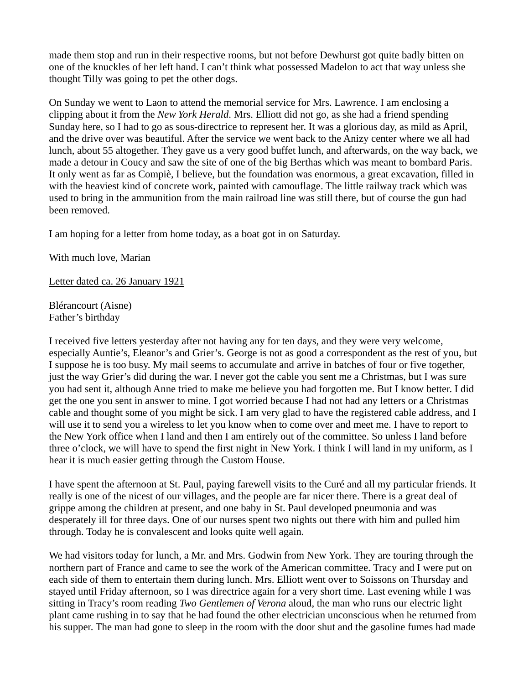made them stop and run in their respective rooms, but not before Dewhurst got quite badly bitten on one of the knuckles of her left hand. I can't think what possessed Madelon to act that way unless she thought Tilly was going to pet the other dogs.

On Sunday we went to Laon to attend the memorial service for Mrs. Lawrence. I am enclosing a clipping about it from the *New York Herald*. Mrs. Elliott did not go, as she had a friend spending Sunday here, so I had to go as sous-directrice to represent her. It was a glorious day, as mild as April, and the drive over was beautiful. After the service we went back to the Anizy center where we all had lunch, about 55 altogether. They gave us a very good buffet lunch, and afterwards, on the way back, we made a detour in Coucy and saw the site of one of the big Berthas which was meant to bombard Paris. It only went as far as Compiè, I believe, but the foundation was enormous, a great excavation, filled in with the heaviest kind of concrete work, painted with camouflage. The little railway track which was used to bring in the ammunition from the main railroad line was still there, but of course the gun had been removed.

I am hoping for a letter from home today, as a boat got in on Saturday.

With much love, Marian

Letter dated ca. 26 January 1921

Blérancourt (Aisne) Father's birthday

I received five letters yesterday after not having any for ten days, and they were very welcome, especially Auntie's, Eleanor's and Grier's. George is not as good a correspondent as the rest of you, but I suppose he is too busy. My mail seems to accumulate and arrive in batches of four or five together, just the way Grier's did during the war. I never got the cable you sent me a Christmas, but I was sure you had sent it, although Anne tried to make me believe you had forgotten me. But I know better. I did get the one you sent in answer to mine. I got worried because I had not had any letters or a Christmas cable and thought some of you might be sick. I am very glad to have the registered cable address, and I will use it to send you a wireless to let you know when to come over and meet me. I have to report to the New York office when I land and then I am entirely out of the committee. So unless I land before three o'clock, we will have to spend the first night in New York. I think I will land in my uniform, as I hear it is much easier getting through the Custom House.

I have spent the afternoon at St. Paul, paying farewell visits to the Curé and all my particular friends. It really is one of the nicest of our villages, and the people are far nicer there. There is a great deal of grippe among the children at present, and one baby in St. Paul developed pneumonia and was desperately ill for three days. One of our nurses spent two nights out there with him and pulled him through. Today he is convalescent and looks quite well again.

We had visitors today for lunch, a Mr. and Mrs. Godwin from New York. They are touring through the northern part of France and came to see the work of the American committee. Tracy and I were put on each side of them to entertain them during lunch. Mrs. Elliott went over to Soissons on Thursday and stayed until Friday afternoon, so I was directrice again for a very short time. Last evening while I was sitting in Tracy's room reading *Two Gentlemen of Verona* aloud, the man who runs our electric light plant came rushing in to say that he had found the other electrician unconscious when he returned from his supper. The man had gone to sleep in the room with the door shut and the gasoline fumes had made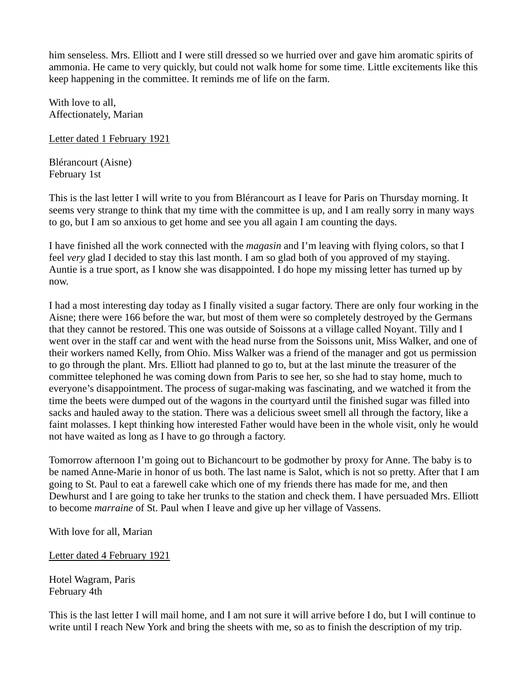him senseless. Mrs. Elliott and I were still dressed so we hurried over and gave him aromatic spirits of ammonia. He came to very quickly, but could not walk home for some time. Little excitements like this keep happening in the committee. It reminds me of life on the farm.

With love to all. Affectionately, Marian

Letter dated 1 February 1921

Blérancourt (Aisne) February 1st

This is the last letter I will write to you from Blérancourt as I leave for Paris on Thursday morning. It seems very strange to think that my time with the committee is up, and I am really sorry in many ways to go, but I am so anxious to get home and see you all again I am counting the days.

I have finished all the work connected with the *magasin* and I'm leaving with flying colors, so that I feel *very* glad I decided to stay this last month. I am so glad both of you approved of my staying. Auntie is a true sport, as I know she was disappointed. I do hope my missing letter has turned up by now.

I had a most interesting day today as I finally visited a sugar factory. There are only four working in the Aisne; there were 166 before the war, but most of them were so completely destroyed by the Germans that they cannot be restored. This one was outside of Soissons at a village called Noyant. Tilly and I went over in the staff car and went with the head nurse from the Soissons unit, Miss Walker, and one of their workers named Kelly, from Ohio. Miss Walker was a friend of the manager and got us permission to go through the plant. Mrs. Elliott had planned to go to, but at the last minute the treasurer of the committee telephoned he was coming down from Paris to see her, so she had to stay home, much to everyone's disappointment. The process of sugar-making was fascinating, and we watched it from the time the beets were dumped out of the wagons in the courtyard until the finished sugar was filled into sacks and hauled away to the station. There was a delicious sweet smell all through the factory, like a faint molasses. I kept thinking how interested Father would have been in the whole visit, only he would not have waited as long as I have to go through a factory.

Tomorrow afternoon I'm going out to Bichancourt to be godmother by proxy for Anne. The baby is to be named Anne-Marie in honor of us both. The last name is Salot, which is not so pretty. After that I am going to St. Paul to eat a farewell cake which one of my friends there has made for me, and then Dewhurst and I are going to take her trunks to the station and check them. I have persuaded Mrs. Elliott to become *marraine* of St. Paul when I leave and give up her village of Vassens.

With love for all, Marian

Letter dated 4 February 1921

Hotel Wagram, Paris February 4th

This is the last letter I will mail home, and I am not sure it will arrive before I do, but I will continue to write until I reach New York and bring the sheets with me, so as to finish the description of my trip.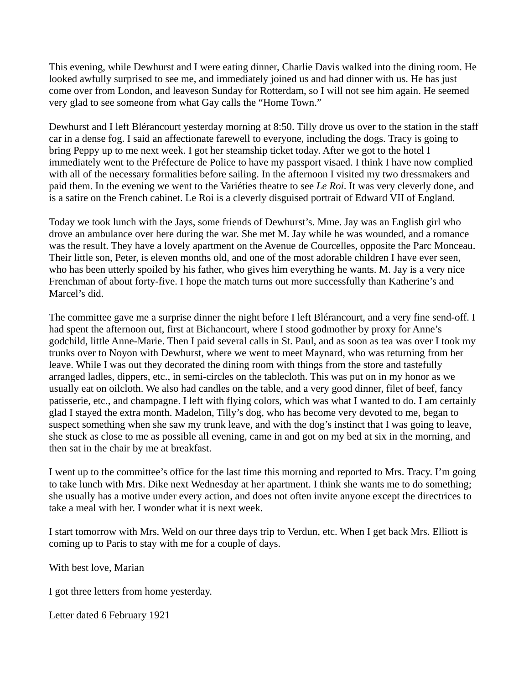This evening, while Dewhurst and I were eating dinner, Charlie Davis walked into the dining room. He looked awfully surprised to see me, and immediately joined us and had dinner with us. He has just come over from London, and leaveson Sunday for Rotterdam, so I will not see him again. He seemed very glad to see someone from what Gay calls the "Home Town."

Dewhurst and I left Blérancourt yesterday morning at 8:50. Tilly drove us over to the station in the staff car in a dense fog. I said an affectionate farewell to everyone, including the dogs. Tracy is going to bring Peppy up to me next week. I got her steamship ticket today. After we got to the hotel I immediately went to the Préfecture de Police to have my passport visaed. I think I have now complied with all of the necessary formalities before sailing. In the afternoon I visited my two dressmakers and paid them. In the evening we went to the Variéties theatre to see *Le Roi*. It was very cleverly done, and is a satire on the French cabinet. Le Roi is a cleverly disguised portrait of Edward VII of England.

Today we took lunch with the Jays, some friends of Dewhurst's. Mme. Jay was an English girl who drove an ambulance over here during the war. She met M. Jay while he was wounded, and a romance was the result. They have a lovely apartment on the Avenue de Courcelles, opposite the Parc Monceau. Their little son, Peter, is eleven months old, and one of the most adorable children I have ever seen, who has been utterly spoiled by his father, who gives him everything he wants. M. Jay is a very nice Frenchman of about forty-five. I hope the match turns out more successfully than Katherine's and Marcel's did.

The committee gave me a surprise dinner the night before I left Blérancourt, and a very fine send-off. I had spent the afternoon out, first at Bichancourt, where I stood godmother by proxy for Anne's godchild, little Anne-Marie. Then I paid several calls in St. Paul, and as soon as tea was over I took my trunks over to Noyon with Dewhurst, where we went to meet Maynard, who was returning from her leave. While I was out they decorated the dining room with things from the store and tastefully arranged ladles, dippers, etc., in semi-circles on the tablecloth. This was put on in my honor as we usually eat on oilcloth. We also had candles on the table, and a very good dinner, filet of beef, fancy patisserie, etc., and champagne. I left with flying colors, which was what I wanted to do. I am certainly glad I stayed the extra month. Madelon, Tilly's dog, who has become very devoted to me, began to suspect something when she saw my trunk leave, and with the dog's instinct that I was going to leave, she stuck as close to me as possible all evening, came in and got on my bed at six in the morning, and then sat in the chair by me at breakfast.

I went up to the committee's office for the last time this morning and reported to Mrs. Tracy. I'm going to take lunch with Mrs. Dike next Wednesday at her apartment. I think she wants me to do something; she usually has a motive under every action, and does not often invite anyone except the directrices to take a meal with her. I wonder what it is next week.

I start tomorrow with Mrs. Weld on our three days trip to Verdun, etc. When I get back Mrs. Elliott is coming up to Paris to stay with me for a couple of days.

With best love, Marian

I got three letters from home yesterday.

Letter dated 6 February 1921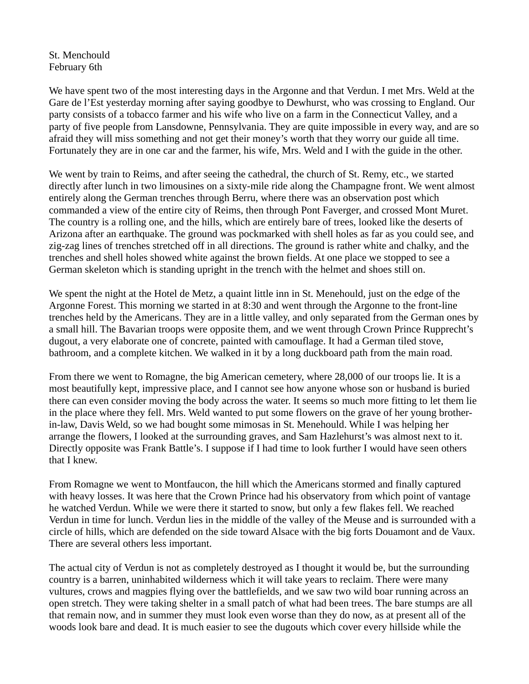St. Menchould February 6th

We have spent two of the most interesting days in the Argonne and that Verdun. I met Mrs. Weld at the Gare de l'Est yesterday morning after saying goodbye to Dewhurst, who was crossing to England. Our party consists of a tobacco farmer and his wife who live on a farm in the Connecticut Valley, and a party of five people from Lansdowne, Pennsylvania. They are quite impossible in every way, and are so afraid they will miss something and not get their money's worth that they worry our guide all time. Fortunately they are in one car and the farmer, his wife, Mrs. Weld and I with the guide in the other.

We went by train to Reims, and after seeing the cathedral, the church of St. Remy, etc., we started directly after lunch in two limousines on a sixty-mile ride along the Champagne front. We went almost entirely along the German trenches through Berru, where there was an observation post which commanded a view of the entire city of Reims, then through Pont Faverger, and crossed Mont Muret. The country is a rolling one, and the hills, which are entirely bare of trees, looked like the deserts of Arizona after an earthquake. The ground was pockmarked with shell holes as far as you could see, and zig-zag lines of trenches stretched off in all directions. The ground is rather white and chalky, and the trenches and shell holes showed white against the brown fields. At one place we stopped to see a German skeleton which is standing upright in the trench with the helmet and shoes still on.

We spent the night at the Hotel de Metz, a quaint little inn in St. Menehould, just on the edge of the Argonne Forest. This morning we started in at 8:30 and went through the Argonne to the front-line trenches held by the Americans. They are in a little valley, and only separated from the German ones by a small hill. The Bavarian troops were opposite them, and we went through Crown Prince Rupprecht's dugout, a very elaborate one of concrete, painted with camouflage. It had a German tiled stove, bathroom, and a complete kitchen. We walked in it by a long duckboard path from the main road.

From there we went to Romagne, the big American cemetery, where 28,000 of our troops lie. It is a most beautifully kept, impressive place, and I cannot see how anyone whose son or husband is buried there can even consider moving the body across the water. It seems so much more fitting to let them lie in the place where they fell. Mrs. Weld wanted to put some flowers on the grave of her young brotherin-law, Davis Weld, so we had bought some mimosas in St. Menehould. While I was helping her arrange the flowers, I looked at the surrounding graves, and Sam Hazlehurst's was almost next to it. Directly opposite was Frank Battle's. I suppose if I had time to look further I would have seen others that I knew.

From Romagne we went to Montfaucon, the hill which the Americans stormed and finally captured with heavy losses. It was here that the Crown Prince had his observatory from which point of vantage he watched Verdun. While we were there it started to snow, but only a few flakes fell. We reached Verdun in time for lunch. Verdun lies in the middle of the valley of the Meuse and is surrounded with a circle of hills, which are defended on the side toward Alsace with the big forts Douamont and de Vaux. There are several others less important.

The actual city of Verdun is not as completely destroyed as I thought it would be, but the surrounding country is a barren, uninhabited wilderness which it will take years to reclaim. There were many vultures, crows and magpies flying over the battlefields, and we saw two wild boar running across an open stretch. They were taking shelter in a small patch of what had been trees. The bare stumps are all that remain now, and in summer they must look even worse than they do now, as at present all of the woods look bare and dead. It is much easier to see the dugouts which cover every hillside while the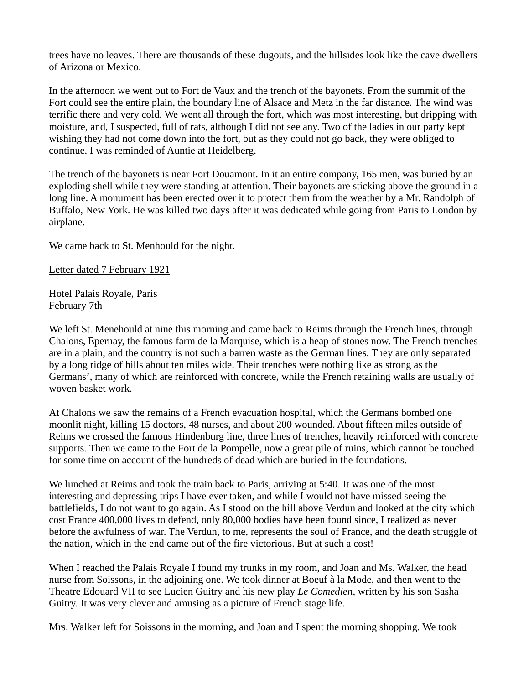trees have no leaves. There are thousands of these dugouts, and the hillsides look like the cave dwellers of Arizona or Mexico.

In the afternoon we went out to Fort de Vaux and the trench of the bayonets. From the summit of the Fort could see the entire plain, the boundary line of Alsace and Metz in the far distance. The wind was terrific there and very cold. We went all through the fort, which was most interesting, but dripping with moisture, and, I suspected, full of rats, although I did not see any. Two of the ladies in our party kept wishing they had not come down into the fort, but as they could not go back, they were obliged to continue. I was reminded of Auntie at Heidelberg.

The trench of the bayonets is near Fort Douamont. In it an entire company, 165 men, was buried by an exploding shell while they were standing at attention. Their bayonets are sticking above the ground in a long line. A monument has been erected over it to protect them from the weather by a Mr. Randolph of Buffalo, New York. He was killed two days after it was dedicated while going from Paris to London by airplane.

We came back to St. Menhould for the night.

Letter dated 7 February 1921

Hotel Palais Royale, Paris February 7th

We left St. Menehould at nine this morning and came back to Reims through the French lines, through Chalons, Epernay, the famous farm de la Marquise, which is a heap of stones now. The French trenches are in a plain, and the country is not such a barren waste as the German lines. They are only separated by a long ridge of hills about ten miles wide. Their trenches were nothing like as strong as the Germans', many of which are reinforced with concrete, while the French retaining walls are usually of woven basket work.

At Chalons we saw the remains of a French evacuation hospital, which the Germans bombed one moonlit night, killing 15 doctors, 48 nurses, and about 200 wounded. About fifteen miles outside of Reims we crossed the famous Hindenburg line, three lines of trenches, heavily reinforced with concrete supports. Then we came to the Fort de la Pompelle, now a great pile of ruins, which cannot be touched for some time on account of the hundreds of dead which are buried in the foundations.

We lunched at Reims and took the train back to Paris, arriving at 5:40. It was one of the most interesting and depressing trips I have ever taken, and while I would not have missed seeing the battlefields, I do not want to go again. As I stood on the hill above Verdun and looked at the city which cost France 400,000 lives to defend, only 80,000 bodies have been found since, I realized as never before the awfulness of war. The Verdun, to me, represents the soul of France, and the death struggle of the nation, which in the end came out of the fire victorious. But at such a cost!

When I reached the Palais Royale I found my trunks in my room, and Joan and Ms. Walker, the head nurse from Soissons, in the adjoining one. We took dinner at Boeuf à la Mode, and then went to the Theatre Edouard VII to see Lucien Guitry and his new play *Le Comedien,* written by his son Sasha Guitry. It was very clever and amusing as a picture of French stage life.

Mrs. Walker left for Soissons in the morning, and Joan and I spent the morning shopping. We took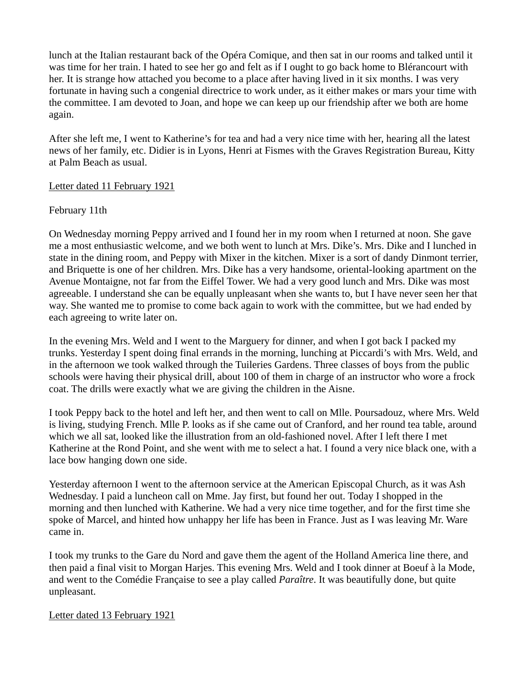lunch at the Italian restaurant back of the Opéra Comique, and then sat in our rooms and talked until it was time for her train. I hated to see her go and felt as if I ought to go back home to Blérancourt with her. It is strange how attached you become to a place after having lived in it six months. I was very fortunate in having such a congenial directrice to work under, as it either makes or mars your time with the committee. I am devoted to Joan, and hope we can keep up our friendship after we both are home again.

After she left me, I went to Katherine's for tea and had a very nice time with her, hearing all the latest news of her family, etc. Didier is in Lyons, Henri at Fismes with the Graves Registration Bureau, Kitty at Palm Beach as usual.

#### Letter dated 11 February 1921

## February 11th

On Wednesday morning Peppy arrived and I found her in my room when I returned at noon. She gave me a most enthusiastic welcome, and we both went to lunch at Mrs. Dike's. Mrs. Dike and I lunched in state in the dining room, and Peppy with Mixer in the kitchen. Mixer is a sort of dandy Dinmont terrier, and Briquette is one of her children. Mrs. Dike has a very handsome, oriental-looking apartment on the Avenue Montaigne, not far from the Eiffel Tower. We had a very good lunch and Mrs. Dike was most agreeable. I understand she can be equally unpleasant when she wants to, but I have never seen her that way. She wanted me to promise to come back again to work with the committee, but we had ended by each agreeing to write later on.

In the evening Mrs. Weld and I went to the Marguery for dinner, and when I got back I packed my trunks. Yesterday I spent doing final errands in the morning, lunching at Piccardi's with Mrs. Weld, and in the afternoon we took walked through the Tuileries Gardens. Three classes of boys from the public schools were having their physical drill, about 100 of them in charge of an instructor who wore a frock coat. The drills were exactly what we are giving the children in the Aisne.

I took Peppy back to the hotel and left her, and then went to call on Mlle. Poursadouz, where Mrs. Weld is living, studying French. Mlle P. looks as if she came out of Cranford, and her round tea table, around which we all sat, looked like the illustration from an old-fashioned novel. After I left there I met Katherine at the Rond Point, and she went with me to select a hat. I found a very nice black one, with a lace bow hanging down one side.

Yesterday afternoon I went to the afternoon service at the American Episcopal Church, as it was Ash Wednesday. I paid a luncheon call on Mme. Jay first, but found her out. Today I shopped in the morning and then lunched with Katherine. We had a very nice time together, and for the first time she spoke of Marcel, and hinted how unhappy her life has been in France. Just as I was leaving Mr. Ware came in.

I took my trunks to the Gare du Nord and gave them the agent of the Holland America line there, and then paid a final visit to Morgan Harjes. This evening Mrs. Weld and I took dinner at Boeuf à la Mode, and went to the Comédie Française to see a play called *Paraître*. It was beautifully done, but quite unpleasant.

#### Letter dated 13 February 1921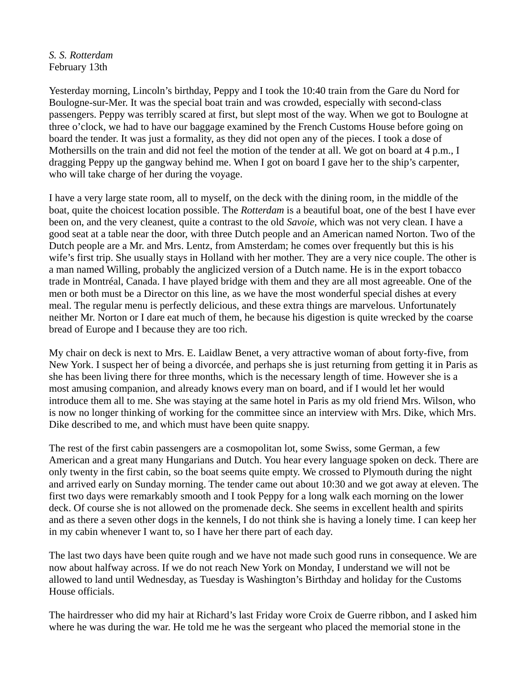*S. S. Rotterdam*  February 13th

Yesterday morning, Lincoln's birthday, Peppy and I took the 10:40 train from the Gare du Nord for Boulogne-sur-Mer. It was the special boat train and was crowded, especially with second-class passengers. Peppy was terribly scared at first, but slept most of the way. When we got to Boulogne at three o'clock, we had to have our baggage examined by the French Customs House before going on board the tender. It was just a formality, as they did not open any of the pieces. I took a dose of Mothersills on the train and did not feel the motion of the tender at all. We got on board at 4 p.m., I dragging Peppy up the gangway behind me. When I got on board I gave her to the ship's carpenter, who will take charge of her during the voyage.

I have a very large state room, all to myself, on the deck with the dining room, in the middle of the boat, quite the choicest location possible. The *Rotterdam* is a beautiful boat, one of the best I have ever been on, and the very cleanest, quite a contrast to the old *Savoie,* which was not very clean. I have a good seat at a table near the door, with three Dutch people and an American named Norton. Two of the Dutch people are a Mr. and Mrs. Lentz, from Amsterdam; he comes over frequently but this is his wife's first trip. She usually stays in Holland with her mother. They are a very nice couple. The other is a man named Willing, probably the anglicized version of a Dutch name. He is in the export tobacco trade in Montréal, Canada. I have played bridge with them and they are all most agreeable. One of the men or both must be a Director on this line, as we have the most wonderful special dishes at every meal. The regular menu is perfectly delicious, and these extra things are marvelous. Unfortunately neither Mr. Norton or I dare eat much of them, he because his digestion is quite wrecked by the coarse bread of Europe and I because they are too rich.

My chair on deck is next to Mrs. E. Laidlaw Benet, a very attractive woman of about forty-five, from New York. I suspect her of being a divorcée, and perhaps she is just returning from getting it in Paris as she has been living there for three months, which is the necessary length of time. However she is a most amusing companion, and already knows every man on board, and if I would let her would introduce them all to me. She was staying at the same hotel in Paris as my old friend Mrs. Wilson, who is now no longer thinking of working for the committee since an interview with Mrs. Dike, which Mrs. Dike described to me, and which must have been quite snappy.

The rest of the first cabin passengers are a cosmopolitan lot, some Swiss, some German, a few American and a great many Hungarians and Dutch. You hear every language spoken on deck. There are only twenty in the first cabin, so the boat seems quite empty. We crossed to Plymouth during the night and arrived early on Sunday morning. The tender came out about 10:30 and we got away at eleven. The first two days were remarkably smooth and I took Peppy for a long walk each morning on the lower deck. Of course she is not allowed on the promenade deck. She seems in excellent health and spirits and as there a seven other dogs in the kennels, I do not think she is having a lonely time. I can keep her in my cabin whenever I want to, so I have her there part of each day.

The last two days have been quite rough and we have not made such good runs in consequence. We are now about halfway across. If we do not reach New York on Monday, I understand we will not be allowed to land until Wednesday, as Tuesday is Washington's Birthday and holiday for the Customs House officials.

The hairdresser who did my hair at Richard's last Friday wore Croix de Guerre ribbon, and I asked him where he was during the war. He told me he was the sergeant who placed the memorial stone in the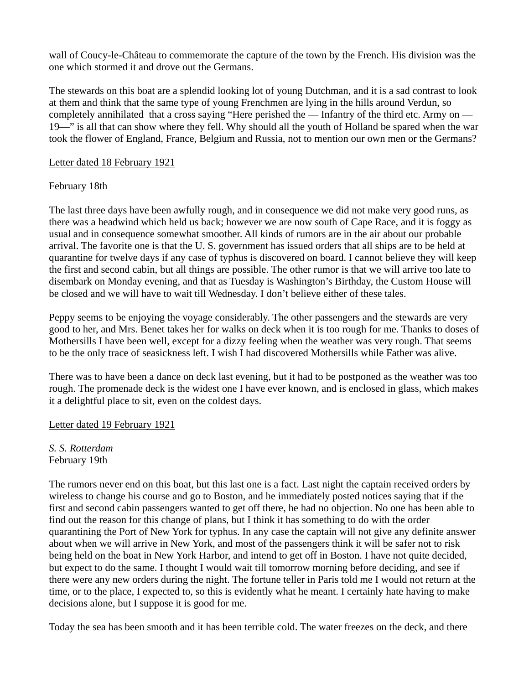wall of Coucy-le-Château to commemorate the capture of the town by the French. His division was the one which stormed it and drove out the Germans.

The stewards on this boat are a splendid looking lot of young Dutchman, and it is a sad contrast to look at them and think that the same type of young Frenchmen are lying in the hills around Verdun, so completely annihilated that a cross saying "Here perished the — Infantry of the third etc. Army on — 19—" is all that can show where they fell. Why should all the youth of Holland be spared when the war took the flower of England, France, Belgium and Russia, not to mention our own men or the Germans?

### Letter dated 18 February 1921

## February 18th

The last three days have been awfully rough, and in consequence we did not make very good runs, as there was a headwind which held us back; however we are now south of Cape Race, and it is foggy as usual and in consequence somewhat smoother. All kinds of rumors are in the air about our probable arrival. The favorite one is that the U. S. government has issued orders that all ships are to be held at quarantine for twelve days if any case of typhus is discovered on board. I cannot believe they will keep the first and second cabin, but all things are possible. The other rumor is that we will arrive too late to disembark on Monday evening, and that as Tuesday is Washington's Birthday, the Custom House will be closed and we will have to wait till Wednesday. I don't believe either of these tales.

Peppy seems to be enjoying the voyage considerably. The other passengers and the stewards are very good to her, and Mrs. Benet takes her for walks on deck when it is too rough for me. Thanks to doses of Mothersills I have been well, except for a dizzy feeling when the weather was very rough. That seems to be the only trace of seasickness left. I wish I had discovered Mothersills while Father was alive.

There was to have been a dance on deck last evening, but it had to be postponed as the weather was too rough. The promenade deck is the widest one I have ever known, and is enclosed in glass, which makes it a delightful place to sit, even on the coldest days.

# Letter dated 19 February 1921

*S. S. Rotterdam*  February 19th

The rumors never end on this boat, but this last one is a fact. Last night the captain received orders by wireless to change his course and go to Boston, and he immediately posted notices saying that if the first and second cabin passengers wanted to get off there, he had no objection. No one has been able to find out the reason for this change of plans, but I think it has something to do with the order quarantining the Port of New York for typhus. In any case the captain will not give any definite answer about when we will arrive in New York, and most of the passengers think it will be safer not to risk being held on the boat in New York Harbor, and intend to get off in Boston. I have not quite decided, but expect to do the same. I thought I would wait till tomorrow morning before deciding, and see if there were any new orders during the night. The fortune teller in Paris told me I would not return at the time, or to the place, I expected to, so this is evidently what he meant. I certainly hate having to make decisions alone, but I suppose it is good for me.

Today the sea has been smooth and it has been terrible cold. The water freezes on the deck, and there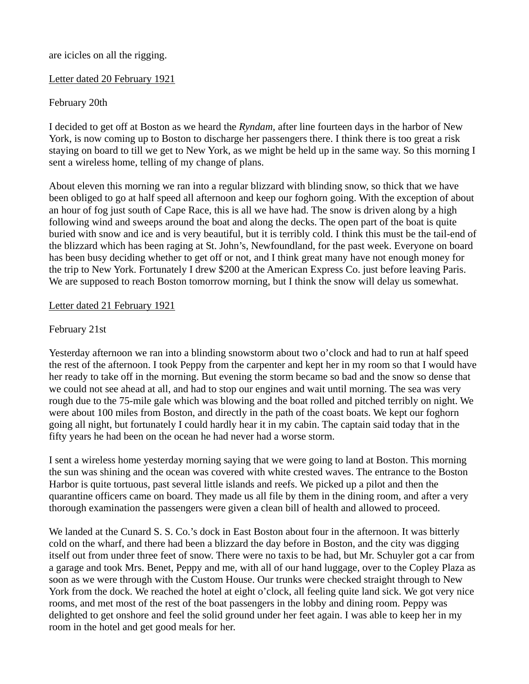## are icicles on all the rigging.

### Letter dated 20 February 1921

# February 20th

I decided to get off at Boston as we heard the *Ryndam,* after line fourteen days in the harbor of New York, is now coming up to Boston to discharge her passengers there. I think there is too great a risk staying on board to till we get to New York, as we might be held up in the same way. So this morning I sent a wireless home, telling of my change of plans.

About eleven this morning we ran into a regular blizzard with blinding snow, so thick that we have been obliged to go at half speed all afternoon and keep our foghorn going. With the exception of about an hour of fog just south of Cape Race, this is all we have had. The snow is driven along by a high following wind and sweeps around the boat and along the decks. The open part of the boat is quite buried with snow and ice and is very beautiful, but it is terribly cold. I think this must be the tail-end of the blizzard which has been raging at St. John's, Newfoundland, for the past week. Everyone on board has been busy deciding whether to get off or not, and I think great many have not enough money for the trip to New York. Fortunately I drew \$200 at the American Express Co. just before leaving Paris. We are supposed to reach Boston tomorrow morning, but I think the snow will delay us somewhat.

## Letter dated 21 February 1921

# February 21st

Yesterday afternoon we ran into a blinding snowstorm about two o'clock and had to run at half speed the rest of the afternoon. I took Peppy from the carpenter and kept her in my room so that I would have her ready to take off in the morning. But evening the storm became so bad and the snow so dense that we could not see ahead at all, and had to stop our engines and wait until morning. The sea was very rough due to the 75-mile gale which was blowing and the boat rolled and pitched terribly on night. We were about 100 miles from Boston, and directly in the path of the coast boats. We kept our foghorn going all night, but fortunately I could hardly hear it in my cabin. The captain said today that in the fifty years he had been on the ocean he had never had a worse storm.

I sent a wireless home yesterday morning saying that we were going to land at Boston. This morning the sun was shining and the ocean was covered with white crested waves. The entrance to the Boston Harbor is quite tortuous, past several little islands and reefs. We picked up a pilot and then the quarantine officers came on board. They made us all file by them in the dining room, and after a very thorough examination the passengers were given a clean bill of health and allowed to proceed.

We landed at the Cunard S. S. Co.'s dock in East Boston about four in the afternoon. It was bitterly cold on the wharf, and there had been a blizzard the day before in Boston, and the city was digging itself out from under three feet of snow. There were no taxis to be had, but Mr. Schuyler got a car from a garage and took Mrs. Benet, Peppy and me, with all of our hand luggage, over to the Copley Plaza as soon as we were through with the Custom House. Our trunks were checked straight through to New York from the dock. We reached the hotel at eight o'clock, all feeling quite land sick. We got very nice rooms, and met most of the rest of the boat passengers in the lobby and dining room. Peppy was delighted to get onshore and feel the solid ground under her feet again. I was able to keep her in my room in the hotel and get good meals for her.